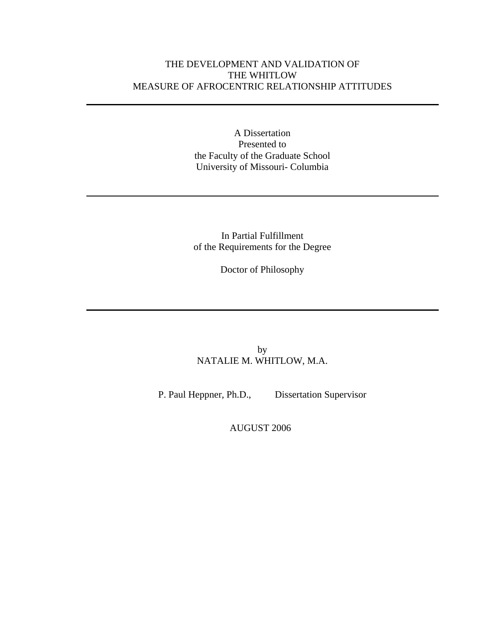# THE DEVELOPMENT AND VALIDATION OF THE WHITLOW MEASURE OF AFROCENTRIC RELATIONSHIP ATTITUDES

A Dissertation Presented to the Faculty of the Graduate School University of Missouri- Columbia

In Partial Fulfillment of the Requirements for the Degree

Doctor of Philosophy

## by NATALIE M. WHITLOW, M.A.

P. Paul Heppner, Ph.D., Dissertation Supervisor

AUGUST 2006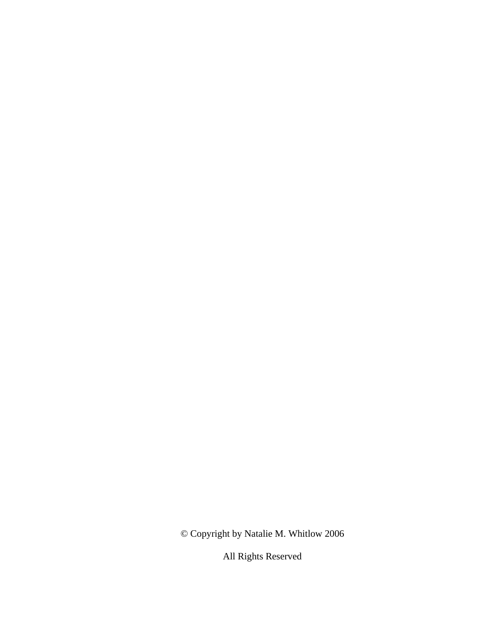© Copyright by Natalie M. Whitlow 2006

All Rights Reserved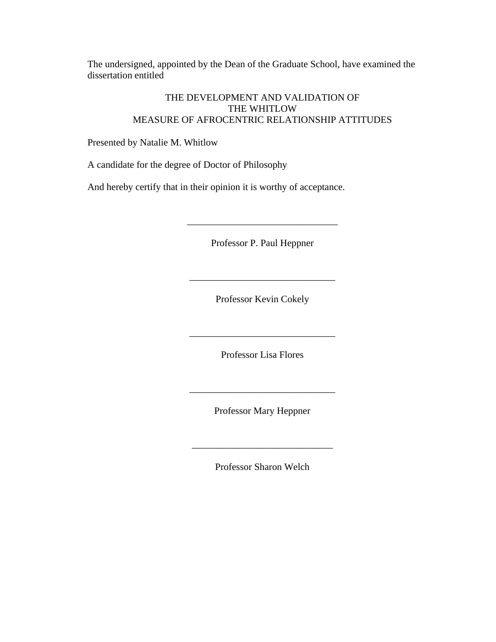The undersigned, appointed by the Dean of the Graduate School, have examined the dissertation entitled

## THE DEVELOPMENT AND VALIDATION OF THE WHITLOW MEASURE OF AFROCENTRIC RELATIONSHIP ATTITUDES

Presented by Natalie M. Whitlow

A candidate for the degree of Doctor of Philosophy

And hereby certify that in their opinion it is worthy of acceptance.

Professor P. Paul Heppner

\_\_\_\_\_\_\_\_\_\_\_\_\_\_\_\_\_\_\_\_\_\_\_\_\_\_\_\_\_\_\_

Professor Kevin Cokely

\_\_\_\_\_\_\_\_\_\_\_\_\_\_\_\_\_\_\_\_\_\_\_\_\_\_\_\_\_\_

Professor Lisa Flores

\_\_\_\_\_\_\_\_\_\_\_\_\_\_\_\_\_\_\_\_\_\_\_\_\_\_\_\_\_\_

Professor Mary Heppner

\_\_\_\_\_\_\_\_\_\_\_\_\_\_\_\_\_\_\_\_\_\_\_\_\_\_\_\_\_\_

Professor Sharon Welch

\_\_\_\_\_\_\_\_\_\_\_\_\_\_\_\_\_\_\_\_\_\_\_\_\_\_\_\_\_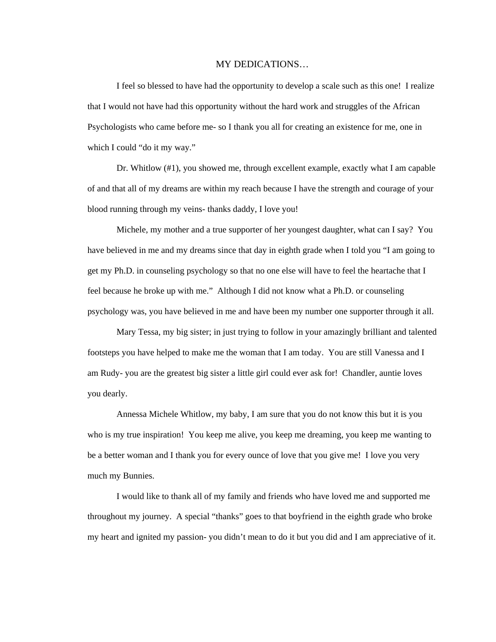### MY DEDICATIONS…

I feel so blessed to have had the opportunity to develop a scale such as this one! I realize that I would not have had this opportunity without the hard work and struggles of the African Psychologists who came before me- so I thank you all for creating an existence for me, one in which I could "do it my way."

Dr. Whitlow (#1), you showed me, through excellent example, exactly what I am capable of and that all of my dreams are within my reach because I have the strength and courage of your blood running through my veins- thanks daddy, I love you!

Michele, my mother and a true supporter of her youngest daughter, what can I say? You have believed in me and my dreams since that day in eighth grade when I told you "I am going to get my Ph.D. in counseling psychology so that no one else will have to feel the heartache that I feel because he broke up with me." Although I did not know what a Ph.D. or counseling psychology was, you have believed in me and have been my number one supporter through it all.

Mary Tessa, my big sister; in just trying to follow in your amazingly brilliant and talented footsteps you have helped to make me the woman that I am today. You are still Vanessa and I am Rudy- you are the greatest big sister a little girl could ever ask for! Chandler, auntie loves you dearly.

Annessa Michele Whitlow, my baby, I am sure that you do not know this but it is you who is my true inspiration! You keep me alive, you keep me dreaming, you keep me wanting to be a better woman and I thank you for every ounce of love that you give me! I love you very much my Bunnies.

I would like to thank all of my family and friends who have loved me and supported me throughout my journey. A special "thanks" goes to that boyfriend in the eighth grade who broke my heart and ignited my passion- you didn't mean to do it but you did and I am appreciative of it.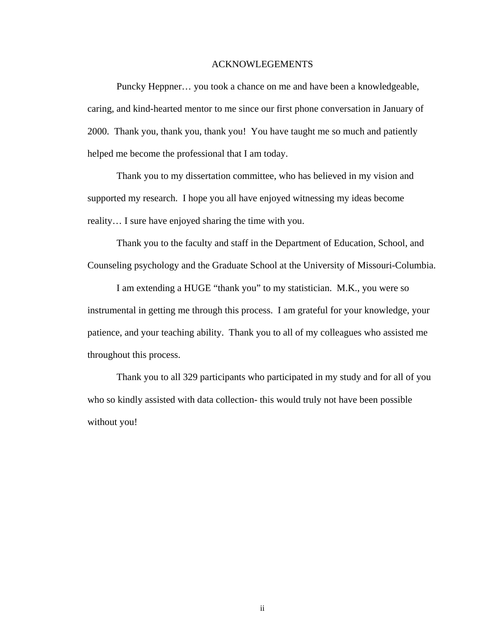#### ACKNOWLEGEMENTS

Puncky Heppner… you took a chance on me and have been a knowledgeable, caring, and kind-hearted mentor to me since our first phone conversation in January of 2000. Thank you, thank you, thank you! You have taught me so much and patiently helped me become the professional that I am today.

Thank you to my dissertation committee, who has believed in my vision and supported my research. I hope you all have enjoyed witnessing my ideas become reality… I sure have enjoyed sharing the time with you.

Thank you to the faculty and staff in the Department of Education, School, and Counseling psychology and the Graduate School at the University of Missouri-Columbia.

I am extending a HUGE "thank you" to my statistician. M.K., you were so instrumental in getting me through this process. I am grateful for your knowledge, your patience, and your teaching ability. Thank you to all of my colleagues who assisted me throughout this process.

Thank you to all 329 participants who participated in my study and for all of you who so kindly assisted with data collection- this would truly not have been possible without you!

ii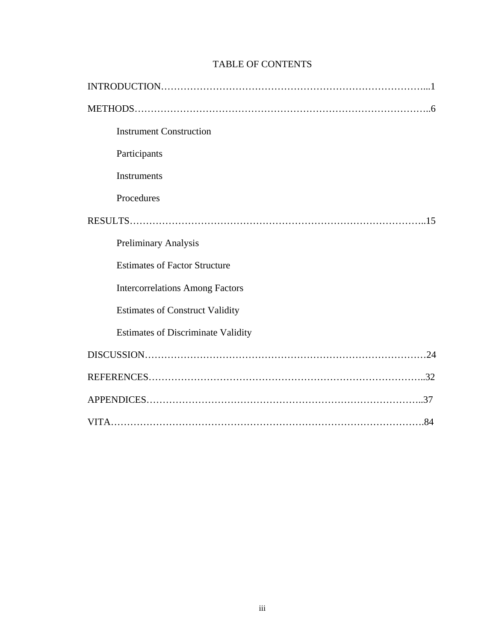# TABLE OF CONTENTS

| <b>Instrument Construction</b>            |
|-------------------------------------------|
| Participants                              |
| <b>Instruments</b>                        |
| Procedures                                |
|                                           |
| <b>Preliminary Analysis</b>               |
| <b>Estimates of Factor Structure</b>      |
| <b>Intercorrelations Among Factors</b>    |
| <b>Estimates of Construct Validity</b>    |
| <b>Estimates of Discriminate Validity</b> |
|                                           |
|                                           |
|                                           |
|                                           |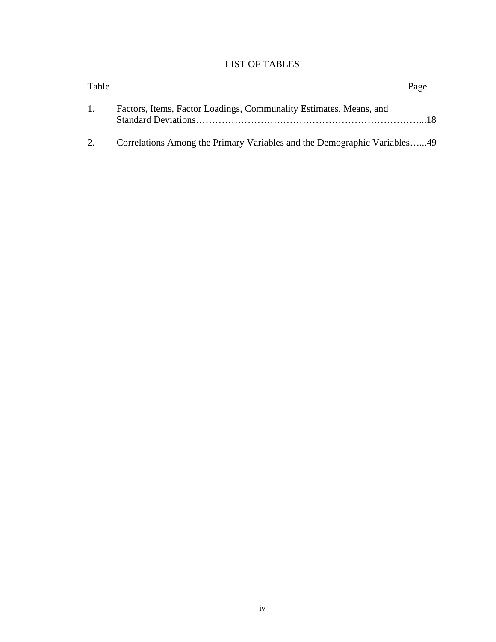# LIST OF TABLES

| Table          |                                                                          | Page |
|----------------|--------------------------------------------------------------------------|------|
| $\mathbf{1}$ . | Factors, Items, Factor Loadings, Communality Estimates, Means, and       |      |
| 2.             | Correlations Among the Primary Variables and the Demographic Variables49 |      |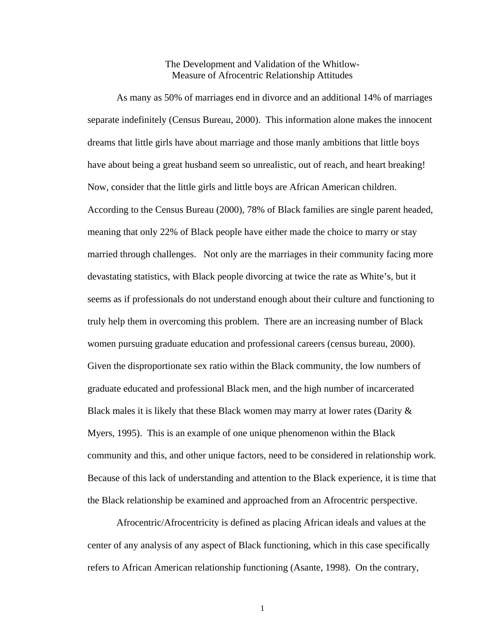The Development and Validation of the Whitlow-Measure of Afrocentric Relationship Attitudes

As many as 50% of marriages end in divorce and an additional 14% of marriages separate indefinitely (Census Bureau, 2000). This information alone makes the innocent dreams that little girls have about marriage and those manly ambitions that little boys have about being a great husband seem so unrealistic, out of reach, and heart breaking! Now, consider that the little girls and little boys are African American children. According to the Census Bureau (2000), 78% of Black families are single parent headed, meaning that only 22% of Black people have either made the choice to marry or stay married through challenges. Not only are the marriages in their community facing more devastating statistics, with Black people divorcing at twice the rate as White's, but it seems as if professionals do not understand enough about their culture and functioning to truly help them in overcoming this problem. There are an increasing number of Black women pursuing graduate education and professional careers (census bureau, 2000). Given the disproportionate sex ratio within the Black community, the low numbers of graduate educated and professional Black men, and the high number of incarcerated Black males it is likely that these Black women may marry at lower rates (Darity  $\&$ Myers, 1995). This is an example of one unique phenomenon within the Black community and this, and other unique factors, need to be considered in relationship work. Because of this lack of understanding and attention to the Black experience, it is time that the Black relationship be examined and approached from an Afrocentric perspective.

Afrocentric/Afrocentricity is defined as placing African ideals and values at the center of any analysis of any aspect of Black functioning, which in this case specifically refers to African American relationship functioning (Asante, 1998). On the contrary,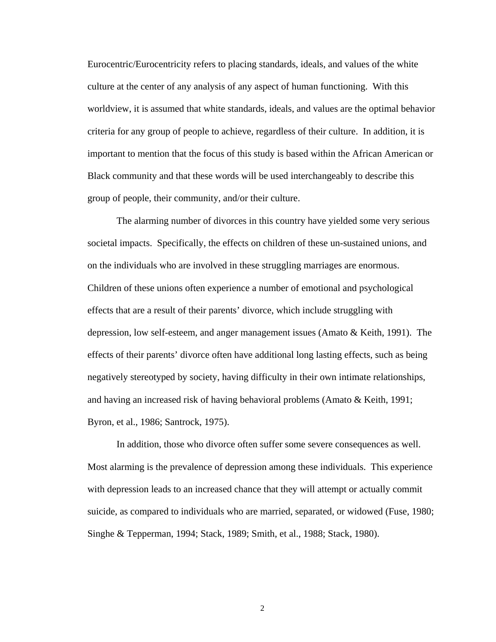Eurocentric/Eurocentricity refers to placing standards, ideals, and values of the white culture at the center of any analysis of any aspect of human functioning. With this worldview, it is assumed that white standards, ideals, and values are the optimal behavior criteria for any group of people to achieve, regardless of their culture. In addition, it is important to mention that the focus of this study is based within the African American or Black community and that these words will be used interchangeably to describe this group of people, their community, and/or their culture.

The alarming number of divorces in this country have yielded some very serious societal impacts. Specifically, the effects on children of these un-sustained unions, and on the individuals who are involved in these struggling marriages are enormous. Children of these unions often experience a number of emotional and psychological effects that are a result of their parents' divorce, which include struggling with depression, low self-esteem, and anger management issues (Amato & Keith, 1991). The effects of their parents' divorce often have additional long lasting effects, such as being negatively stereotyped by society, having difficulty in their own intimate relationships, and having an increased risk of having behavioral problems (Amato & Keith, 1991; Byron, et al., 1986; Santrock, 1975).

In addition, those who divorce often suffer some severe consequences as well. Most alarming is the prevalence of depression among these individuals. This experience with depression leads to an increased chance that they will attempt or actually commit suicide, as compared to individuals who are married, separated, or widowed (Fuse, 1980; Singhe & Tepperman, 1994; Stack, 1989; Smith, et al., 1988; Stack, 1980).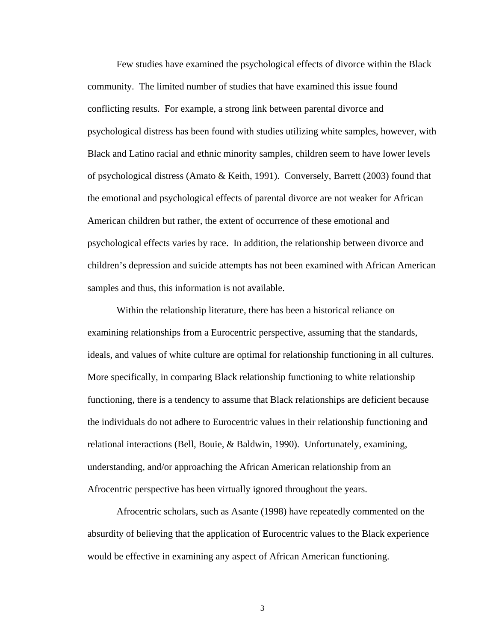Few studies have examined the psychological effects of divorce within the Black community. The limited number of studies that have examined this issue found conflicting results. For example, a strong link between parental divorce and psychological distress has been found with studies utilizing white samples, however, with Black and Latino racial and ethnic minority samples, children seem to have lower levels of psychological distress (Amato & Keith, 1991). Conversely, Barrett (2003) found that the emotional and psychological effects of parental divorce are not weaker for African American children but rather, the extent of occurrence of these emotional and psychological effects varies by race. In addition, the relationship between divorce and children's depression and suicide attempts has not been examined with African American samples and thus, this information is not available.

Within the relationship literature, there has been a historical reliance on examining relationships from a Eurocentric perspective, assuming that the standards, ideals, and values of white culture are optimal for relationship functioning in all cultures. More specifically, in comparing Black relationship functioning to white relationship functioning, there is a tendency to assume that Black relationships are deficient because the individuals do not adhere to Eurocentric values in their relationship functioning and relational interactions (Bell, Bouie, & Baldwin, 1990). Unfortunately, examining, understanding, and/or approaching the African American relationship from an Afrocentric perspective has been virtually ignored throughout the years.

Afrocentric scholars, such as Asante (1998) have repeatedly commented on the absurdity of believing that the application of Eurocentric values to the Black experience would be effective in examining any aspect of African American functioning.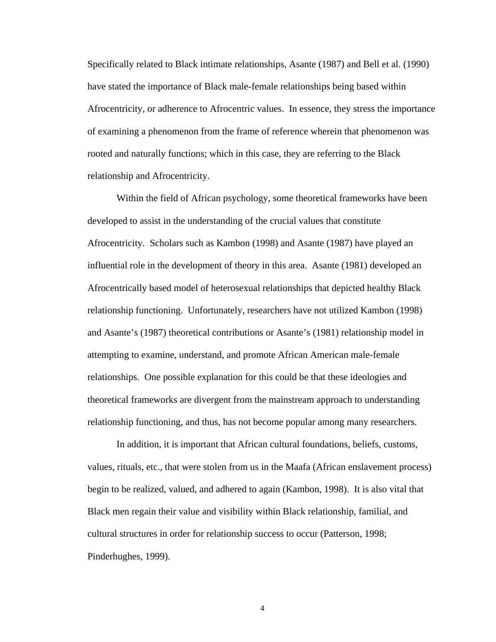Specifically related to Black intimate relationships, Asante (1987) and Bell et al. (1990) have stated the importance of Black male-female relationships being based within Afrocentricity, or adherence to Afrocentric values. In essence, they stress the importance of examining a phenomenon from the frame of reference wherein that phenomenon was rooted and naturally functions; which in this case, they are referring to the Black relationship and Afrocentricity.

Within the field of African psychology, some theoretical frameworks have been developed to assist in the understanding of the crucial values that constitute Afrocentricity. Scholars such as Kambon (1998) and Asante (1987) have played an influential role in the development of theory in this area. Asante (1981) developed an Afrocentrically based model of heterosexual relationships that depicted healthy Black relationship functioning. Unfortunately, researchers have not utilized Kambon (1998) and Asante's (1987) theoretical contributions or Asante's (1981) relationship model in attempting to examine, understand, and promote African American male-female relationships. One possible explanation for this could be that these ideologies and theoretical frameworks are divergent from the mainstream approach to understanding relationship functioning, and thus, has not become popular among many researchers.

In addition, it is important that African cultural foundations, beliefs, customs, values, rituals, etc., that were stolen from us in the Maafa (African enslavement process) begin to be realized, valued, and adhered to again (Kambon, 1998). It is also vital that Black men regain their value and visibility within Black relationship, familial, and cultural structures in order for relationship success to occur (Patterson, 1998; Pinderhughes, 1999).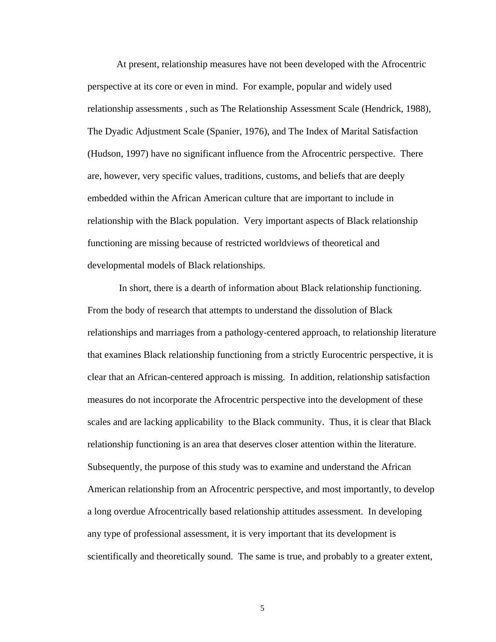At present, relationship measures have not been developed with the Afrocentric perspective at its core or even in mind. For example, popular and widely used relationship assessments , such as The Relationship Assessment Scale (Hendrick, 1988), The Dyadic Adjustment Scale (Spanier, 1976), and The Index of Marital Satisfaction (Hudson, 1997) have no significant influence from the Afrocentric perspective. There are, however, very specific values, traditions, customs, and beliefs that are deeply embedded within the African American culture that are important to include in relationship with the Black population. Very important aspects of Black relationship functioning are missing because of restricted worldviews of theoretical and developmental models of Black relationships.

 In short, there is a dearth of information about Black relationship functioning. From the body of research that attempts to understand the dissolution of Black relationships and marriages from a pathology-centered approach, to relationship literature that examines Black relationship functioning from a strictly Eurocentric perspective, it is clear that an African-centered approach is missing. In addition, relationship satisfaction measures do not incorporate the Afrocentric perspective into the development of these scales and are lacking applicability to the Black community. Thus, it is clear that Black relationship functioning is an area that deserves closer attention within the literature. Subsequently, the purpose of this study was to examine and understand the African American relationship from an Afrocentric perspective, and most importantly, to develop a long overdue Afrocentrically based relationship attitudes assessment. In developing any type of professional assessment, it is very important that its development is scientifically and theoretically sound. The same is true, and probably to a greater extent,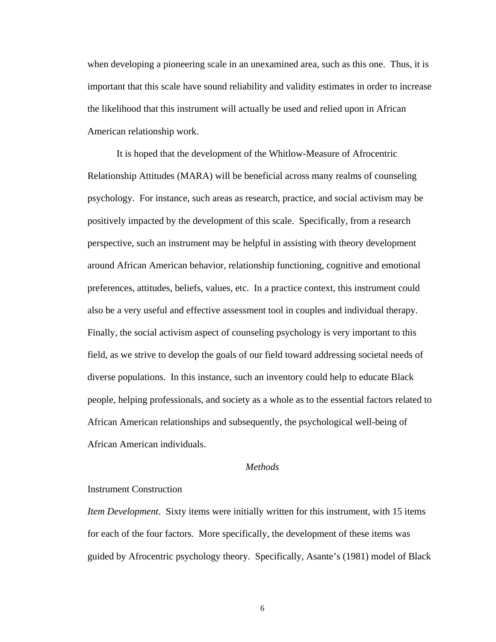when developing a pioneering scale in an unexamined area, such as this one. Thus, it is important that this scale have sound reliability and validity estimates in order to increase the likelihood that this instrument will actually be used and relied upon in African American relationship work.

It is hoped that the development of the Whitlow-Measure of Afrocentric Relationship Attitudes (MARA) will be beneficial across many realms of counseling psychology. For instance, such areas as research, practice, and social activism may be positively impacted by the development of this scale. Specifically, from a research perspective, such an instrument may be helpful in assisting with theory development around African American behavior, relationship functioning, cognitive and emotional preferences, attitudes, beliefs, values, etc. In a practice context, this instrument could also be a very useful and effective assessment tool in couples and individual therapy. Finally, the social activism aspect of counseling psychology is very important to this field, as we strive to develop the goals of our field toward addressing societal needs of diverse populations. In this instance, such an inventory could help to educate Black people, helping professionals, and society as a whole as to the essential factors related to African American relationships and subsequently, the psychological well-being of African American individuals.

#### *Methods*

### Instrument Construction

*Item Development*. Sixty items were initially written for this instrument, with 15 items for each of the four factors. More specifically, the development of these items was guided by Afrocentric psychology theory. Specifically, Asante's (1981) model of Black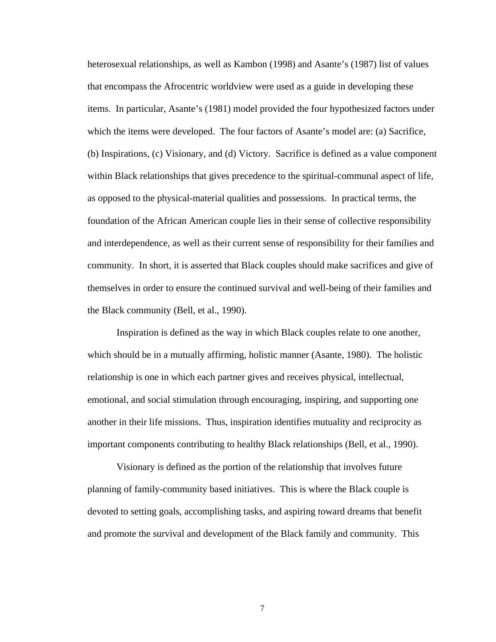heterosexual relationships, as well as Kambon (1998) and Asante's (1987) list of values that encompass the Afrocentric worldview were used as a guide in developing these items. In particular, Asante's (1981) model provided the four hypothesized factors under which the items were developed. The four factors of Asante's model are: (a) Sacrifice, (b) Inspirations, (c) Visionary, and (d) Victory. Sacrifice is defined as a value component within Black relationships that gives precedence to the spiritual-communal aspect of life, as opposed to the physical-material qualities and possessions. In practical terms, the foundation of the African American couple lies in their sense of collective responsibility and interdependence, as well as their current sense of responsibility for their families and community. In short, it is asserted that Black couples should make sacrifices and give of themselves in order to ensure the continued survival and well-being of their families and the Black community (Bell, et al., 1990).

 Inspiration is defined as the way in which Black couples relate to one another, which should be in a mutually affirming, holistic manner (Asante, 1980). The holistic relationship is one in which each partner gives and receives physical, intellectual, emotional, and social stimulation through encouraging, inspiring, and supporting one another in their life missions. Thus, inspiration identifies mutuality and reciprocity as important components contributing to healthy Black relationships (Bell, et al., 1990).

Visionary is defined as the portion of the relationship that involves future planning of family-community based initiatives. This is where the Black couple is devoted to setting goals, accomplishing tasks, and aspiring toward dreams that benefit and promote the survival and development of the Black family and community. This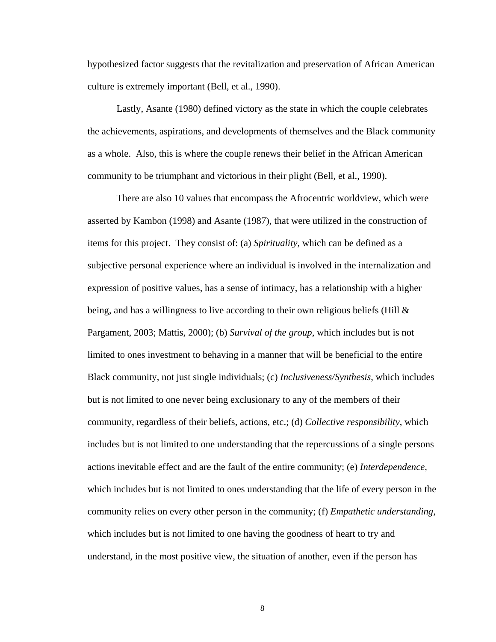hypothesized factor suggests that the revitalization and preservation of African American culture is extremely important (Bell, et al., 1990).

 Lastly, Asante (1980) defined victory as the state in which the couple celebrates the achievements, aspirations, and developments of themselves and the Black community as a whole. Also, this is where the couple renews their belief in the African American community to be triumphant and victorious in their plight (Bell, et al., 1990).

 There are also 10 values that encompass the Afrocentric worldview, which were asserted by Kambon (1998) and Asante (1987), that were utilized in the construction of items for this project. They consist of: (a) *Spirituality*, which can be defined as a subjective personal experience where an individual is involved in the internalization and expression of positive values, has a sense of intimacy, has a relationship with a higher being, and has a willingness to live according to their own religious beliefs (Hill & Pargament, 2003; Mattis, 2000); (b) *Survival of the group*, which includes but is not limited to ones investment to behaving in a manner that will be beneficial to the entire Black community, not just single individuals; (c) *Inclusiveness/Synthesis*, which includes but is not limited to one never being exclusionary to any of the members of their community, regardless of their beliefs, actions, etc.; (d) *Collective responsibility*, which includes but is not limited to one understanding that the repercussions of a single persons actions inevitable effect and are the fault of the entire community; (e) *Interdependence*, which includes but is not limited to ones understanding that the life of every person in the community relies on every other person in the community; (f) *Empathetic understanding*, which includes but is not limited to one having the goodness of heart to try and understand, in the most positive view, the situation of another, even if the person has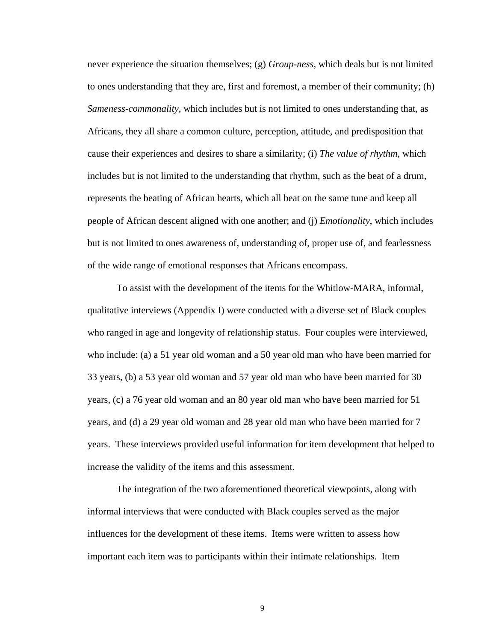never experience the situation themselves; (g) *Group-ness*, which deals but is not limited to ones understanding that they are, first and foremost, a member of their community; (h) *Sameness-commonality*, which includes but is not limited to ones understanding that, as Africans, they all share a common culture, perception, attitude, and predisposition that cause their experiences and desires to share a similarity; (i) *The value of rhythm*, which includes but is not limited to the understanding that rhythm, such as the beat of a drum, represents the beating of African hearts, which all beat on the same tune and keep all people of African descent aligned with one another; and (j) *Emotionality*, which includes but is not limited to ones awareness of, understanding of, proper use of, and fearlessness of the wide range of emotional responses that Africans encompass.

To assist with the development of the items for the Whitlow-MARA, informal, qualitative interviews (Appendix I) were conducted with a diverse set of Black couples who ranged in age and longevity of relationship status. Four couples were interviewed, who include: (a) a 51 year old woman and a 50 year old man who have been married for 33 years, (b) a 53 year old woman and 57 year old man who have been married for 30 years, (c) a 76 year old woman and an 80 year old man who have been married for 51 years, and (d) a 29 year old woman and 28 year old man who have been married for 7 years. These interviews provided useful information for item development that helped to increase the validity of the items and this assessment.

 The integration of the two aforementioned theoretical viewpoints, along with informal interviews that were conducted with Black couples served as the major influences for the development of these items. Items were written to assess how important each item was to participants within their intimate relationships. Item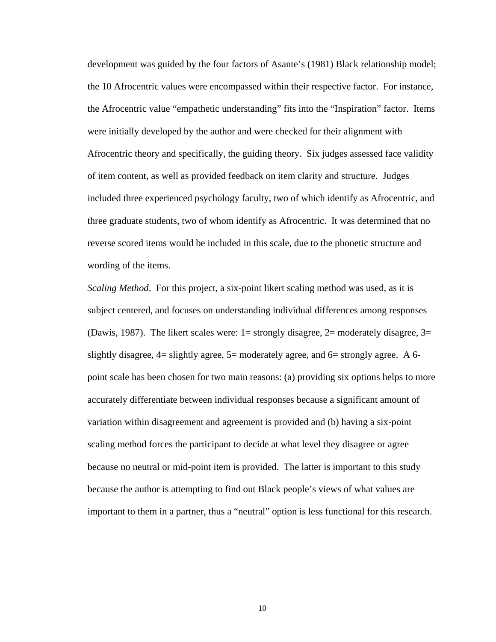development was guided by the four factors of Asante's (1981) Black relationship model; the 10 Afrocentric values were encompassed within their respective factor. For instance, the Afrocentric value "empathetic understanding" fits into the "Inspiration" factor. Items were initially developed by the author and were checked for their alignment with Afrocentric theory and specifically, the guiding theory. Six judges assessed face validity of item content, as well as provided feedback on item clarity and structure. Judges included three experienced psychology faculty, two of which identify as Afrocentric, and three graduate students, two of whom identify as Afrocentric. It was determined that no reverse scored items would be included in this scale, due to the phonetic structure and wording of the items.

*Scaling Method*. For this project, a six-point likert scaling method was used, as it is subject centered, and focuses on understanding individual differences among responses (Dawis, 1987). The likert scales were:  $1 =$  strongly disagree,  $2 =$  moderately disagree,  $3 =$ slightly disagree,  $4=$  slightly agree,  $5=$  moderately agree, and  $6=$  strongly agree. A 6point scale has been chosen for two main reasons: (a) providing six options helps to more accurately differentiate between individual responses because a significant amount of variation within disagreement and agreement is provided and (b) having a six-point scaling method forces the participant to decide at what level they disagree or agree because no neutral or mid-point item is provided. The latter is important to this study because the author is attempting to find out Black people's views of what values are important to them in a partner, thus a "neutral" option is less functional for this research.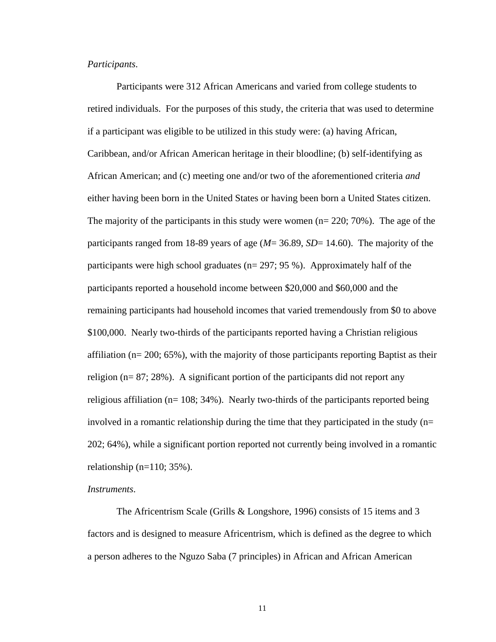## *Participants*.

Participants were 312 African Americans and varied from college students to retired individuals. For the purposes of this study, the criteria that was used to determine if a participant was eligible to be utilized in this study were: (a) having African, Caribbean, and/or African American heritage in their bloodline; (b) self-identifying as African American; and (c) meeting one and/or two of the aforementioned criteria *and* either having been born in the United States or having been born a United States citizen. The majority of the participants in this study were women  $(n= 220; 70%)$ . The age of the participants ranged from 18-89 years of age (*M*= 36.89, *SD*= 14.60). The majority of the participants were high school graduates (n= 297; 95 %). Approximately half of the participants reported a household income between \$20,000 and \$60,000 and the remaining participants had household incomes that varied tremendously from \$0 to above \$100,000. Nearly two-thirds of the participants reported having a Christian religious affiliation (n= 200; 65%), with the majority of those participants reporting Baptist as their religion (n= 87; 28%). A significant portion of the participants did not report any religious affiliation (n= 108; 34%). Nearly two-thirds of the participants reported being involved in a romantic relationship during the time that they participated in the study (n= 202; 64%), while a significant portion reported not currently being involved in a romantic relationship  $(n=110; 35\%)$ .

#### *Instruments*.

The Africentrism Scale (Grills & Longshore, 1996) consists of 15 items and 3 factors and is designed to measure Africentrism, which is defined as the degree to which a person adheres to the Nguzo Saba (7 principles) in African and African American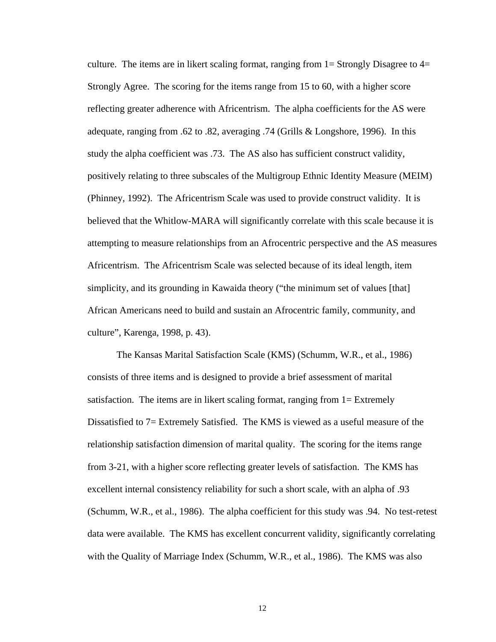culture. The items are in likert scaling format, ranging from  $1=$  Strongly Disagree to  $4=$ Strongly Agree. The scoring for the items range from 15 to 60, with a higher score reflecting greater adherence with Africentrism. The alpha coefficients for the AS were adequate, ranging from .62 to .82, averaging .74 (Grills & Longshore, 1996). In this study the alpha coefficient was .73. The AS also has sufficient construct validity, positively relating to three subscales of the Multigroup Ethnic Identity Measure (MEIM) (Phinney, 1992). The Africentrism Scale was used to provide construct validity. It is believed that the Whitlow-MARA will significantly correlate with this scale because it is attempting to measure relationships from an Afrocentric perspective and the AS measures Africentrism. The Africentrism Scale was selected because of its ideal length, item simplicity, and its grounding in Kawaida theory ("the minimum set of values [that] African Americans need to build and sustain an Afrocentric family, community, and culture", Karenga, 1998, p. 43).

 The Kansas Marital Satisfaction Scale (KMS) (Schumm, W.R., et al., 1986) consists of three items and is designed to provide a brief assessment of marital satisfaction. The items are in likert scaling format, ranging from 1= Extremely Dissatisfied to 7= Extremely Satisfied. The KMS is viewed as a useful measure of the relationship satisfaction dimension of marital quality. The scoring for the items range from 3-21, with a higher score reflecting greater levels of satisfaction. The KMS has excellent internal consistency reliability for such a short scale, with an alpha of .93 (Schumm, W.R., et al., 1986). The alpha coefficient for this study was .94. No test-retest data were available. The KMS has excellent concurrent validity, significantly correlating with the Quality of Marriage Index (Schumm, W.R., et al., 1986). The KMS was also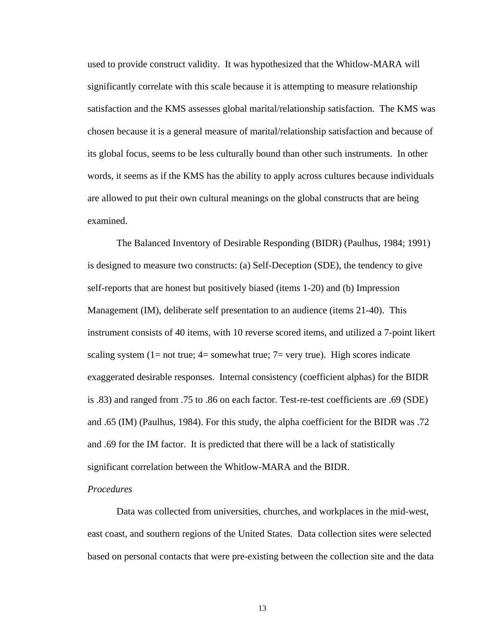used to provide construct validity. It was hypothesized that the Whitlow-MARA will significantly correlate with this scale because it is attempting to measure relationship satisfaction and the KMS assesses global marital/relationship satisfaction. The KMS was chosen because it is a general measure of marital/relationship satisfaction and because of its global focus, seems to be less culturally bound than other such instruments. In other words, it seems as if the KMS has the ability to apply across cultures because individuals are allowed to put their own cultural meanings on the global constructs that are being examined.

 The Balanced Inventory of Desirable Responding (BIDR) (Paulhus, 1984; 1991) is designed to measure two constructs: (a) Self-Deception (SDE), the tendency to give self-reports that are honest but positively biased (items 1-20) and (b) Impression Management (IM), deliberate self presentation to an audience (items 21-40). This instrument consists of 40 items, with 10 reverse scored items, and utilized a 7-point likert scaling system  $(1=$  not true;  $4=$  somewhat true;  $7=$  very true). High scores indicate exaggerated desirable responses. Internal consistency (coefficient alphas) for the BIDR is .83) and ranged from .75 to .86 on each factor. Test-re-test coefficients are .69 (SDE) and .65 (IM) (Paulhus, 1984). For this study, the alpha coefficient for the BIDR was .72 and .69 for the IM factor. It is predicted that there will be a lack of statistically significant correlation between the Whitlow-MARA and the BIDR.

### *Procedures*

Data was collected from universities, churches, and workplaces in the mid-west, east coast, and southern regions of the United States. Data collection sites were selected based on personal contacts that were pre-existing between the collection site and the data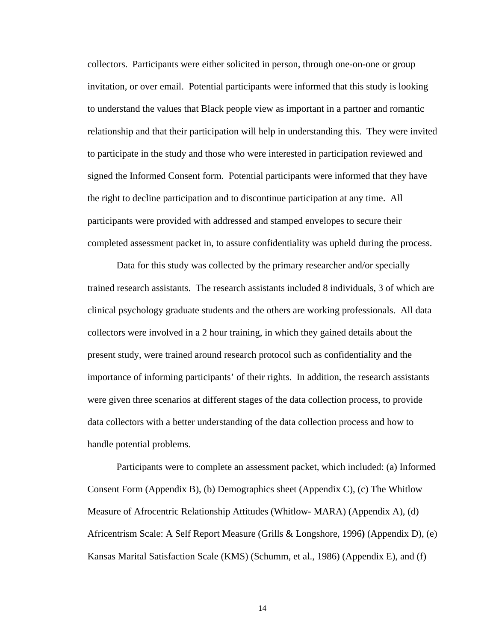collectors. Participants were either solicited in person, through one-on-one or group invitation, or over email. Potential participants were informed that this study is looking to understand the values that Black people view as important in a partner and romantic relationship and that their participation will help in understanding this. They were invited to participate in the study and those who were interested in participation reviewed and signed the Informed Consent form. Potential participants were informed that they have the right to decline participation and to discontinue participation at any time. All participants were provided with addressed and stamped envelopes to secure their completed assessment packet in, to assure confidentiality was upheld during the process.

Data for this study was collected by the primary researcher and/or specially trained research assistants. The research assistants included 8 individuals, 3 of which are clinical psychology graduate students and the others are working professionals. All data collectors were involved in a 2 hour training, in which they gained details about the present study, were trained around research protocol such as confidentiality and the importance of informing participants' of their rights. In addition, the research assistants were given three scenarios at different stages of the data collection process, to provide data collectors with a better understanding of the data collection process and how to handle potential problems.

Participants were to complete an assessment packet, which included: (a) Informed Consent Form (Appendix B), (b) Demographics sheet (Appendix C), (c) The Whitlow Measure of Afrocentric Relationship Attitudes (Whitlow- MARA) (Appendix A), (d) Africentrism Scale: A Self Report Measure (Grills & Longshore, 1996**)** (Appendix D), (e) Kansas Marital Satisfaction Scale (KMS) (Schumm, et al., 1986) (Appendix E), and (f)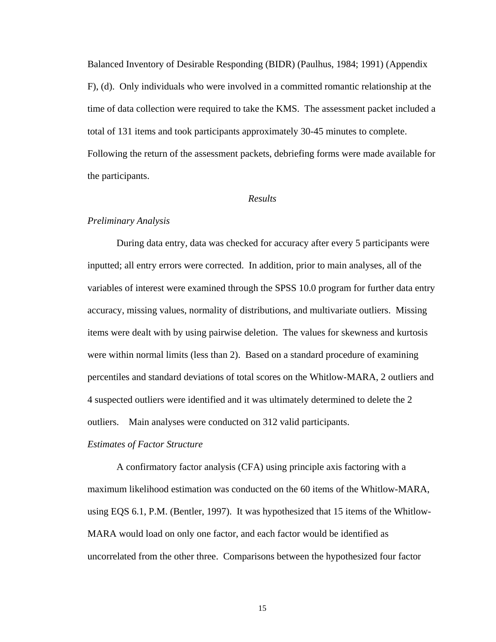Balanced Inventory of Desirable Responding (BIDR) (Paulhus, 1984; 1991) (Appendix F), (d). Only individuals who were involved in a committed romantic relationship at the time of data collection were required to take the KMS. The assessment packet included a total of 131 items and took participants approximately 30-45 minutes to complete. Following the return of the assessment packets, debriefing forms were made available for the participants.

#### *Results*

#### *Preliminary Analysis*

 During data entry, data was checked for accuracy after every 5 participants were inputted; all entry errors were corrected. In addition, prior to main analyses, all of the variables of interest were examined through the SPSS 10.0 program for further data entry accuracy, missing values, normality of distributions, and multivariate outliers. Missing items were dealt with by using pairwise deletion. The values for skewness and kurtosis were within normal limits (less than 2). Based on a standard procedure of examining percentiles and standard deviations of total scores on the Whitlow-MARA, 2 outliers and 4 suspected outliers were identified and it was ultimately determined to delete the 2 outliers. Main analyses were conducted on 312 valid participants.

#### *Estimates of Factor Structure*

A confirmatory factor analysis (CFA) using principle axis factoring with a maximum likelihood estimation was conducted on the 60 items of the Whitlow-MARA, using EQS 6.1, P.M. (Bentler, 1997). It was hypothesized that 15 items of the Whitlow-MARA would load on only one factor, and each factor would be identified as uncorrelated from the other three. Comparisons between the hypothesized four factor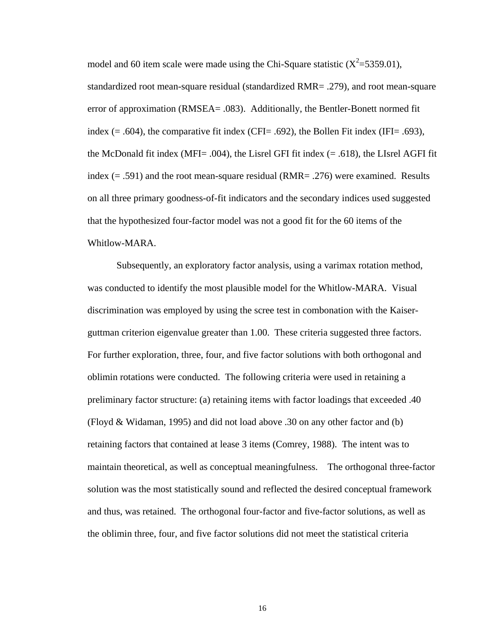model and 60 item scale were made using the Chi-Square statistic  $(X^2=5359.01)$ , standardized root mean-square residual (standardized RMR= .279), and root mean-square error of approximation (RMSEA= .083). Additionally, the Bentler-Bonett normed fit index  $(= .604)$ , the comparative fit index (CFI= .692), the Bollen Fit index (IFI= .693), the McDonald fit index (MFI=  $.004$ ), the Lisrel GFI fit index (= .618), the LIsrel AGFI fit index  $(= .591)$  and the root mean-square residual (RMR= .276) were examined. Results on all three primary goodness-of-fit indicators and the secondary indices used suggested that the hypothesized four-factor model was not a good fit for the 60 items of the Whitlow-MARA.

 Subsequently, an exploratory factor analysis, using a varimax rotation method, was conducted to identify the most plausible model for the Whitlow-MARA. Visual discrimination was employed by using the scree test in combonation with the Kaiserguttman criterion eigenvalue greater than 1.00. These criteria suggested three factors. For further exploration, three, four, and five factor solutions with both orthogonal and oblimin rotations were conducted. The following criteria were used in retaining a preliminary factor structure: (a) retaining items with factor loadings that exceeded .40 (Floyd & Widaman, 1995) and did not load above .30 on any other factor and (b) retaining factors that contained at lease 3 items (Comrey, 1988). The intent was to maintain theoretical, as well as conceptual meaningfulness. The orthogonal three-factor solution was the most statistically sound and reflected the desired conceptual framework and thus, was retained. The orthogonal four-factor and five-factor solutions, as well as the oblimin three, four, and five factor solutions did not meet the statistical criteria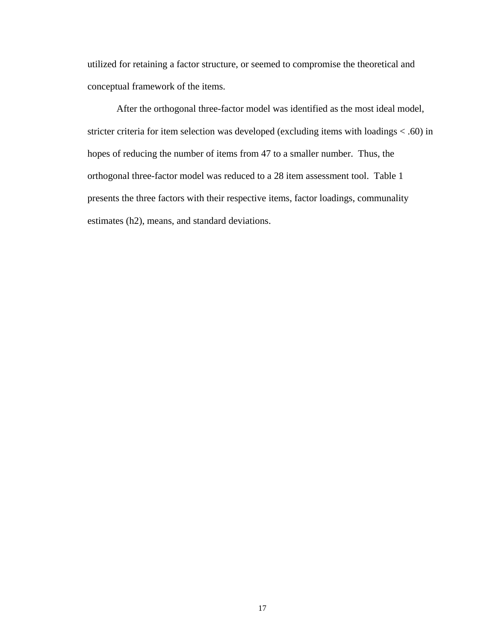utilized for retaining a factor structure, or seemed to compromise the theoretical and conceptual framework of the items.

 After the orthogonal three-factor model was identified as the most ideal model, stricter criteria for item selection was developed (excluding items with loadings < .60) in hopes of reducing the number of items from 47 to a smaller number. Thus, the orthogonal three-factor model was reduced to a 28 item assessment tool. Table 1 presents the three factors with their respective items, factor loadings, communality estimates (h2), means, and standard deviations.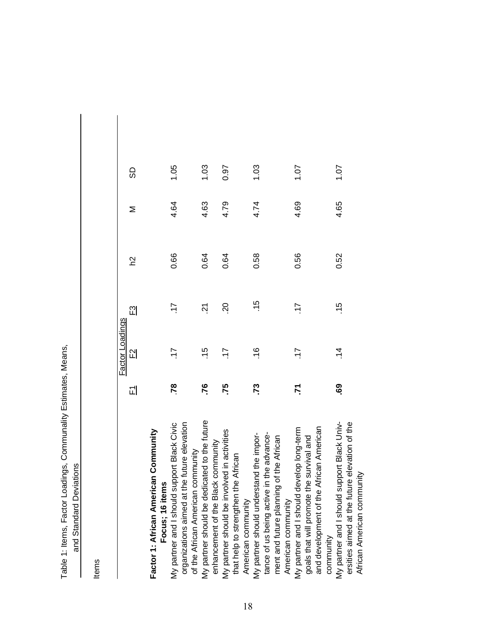Table 1: Items, Factor Loadings, Communality Estimates, Means, Table 1: Items, Factor Loadings, Communality Estimates, Means, and Standard Deviations

and Standard Deviations

 $\vert$ 

Items

|                                                                                                                                                               | 도     | Factor Loadings<br>$\frac{1}{2}$ | $\mathbb{Z}$    | S,   | Σ    | 99   |
|---------------------------------------------------------------------------------------------------------------------------------------------------------------|-------|----------------------------------|-----------------|------|------|------|
| <b>American Community</b><br>16 items<br>Factor 1: African<br>Focus;                                                                                          |       |                                  |                 |      |      |      |
| organizations aimed at the future elevation<br>My partner and I should support Black Civic                                                                    | 78    | 77                               | 77              | 0.66 | 4.64 | 1.05 |
| be dedicated to the future<br>enhancement of the Black community<br>of the African American community<br>My partner should                                    | 76    | -15                              | <u>হা</u>       | 0.64 | 4.63 | 1.03 |
| My partner should be involved in activities<br>that help to strengthen the African                                                                            | 75.   | 17                               | $\overline{5}$  | 0.64 | 4.79 | 0.97 |
| active in the advance-<br>My partner should understand the impor-<br>planning of the African<br>American community<br>tance of us being<br>ment and future    | 73.   | $\frac{6}{1}$                    | $\frac{5}{1}$   | 0.58 | 4.74 | 1.03 |
| of the African American<br>My partner and I should develop long-term<br>goals that will promote the survival and<br>unity<br>and development<br>American comm | 71.   | ζĻ                               | $\overline{17}$ | 0.56 | 4.69 | 1.07 |
| My partner and I should support Black Univ-<br>the future elevation of the<br>community<br>African American<br>ersities aimed at<br>community                 | င္မွာ | $\dot{z}$                        | 15              | 0.52 | 4.65 | 1.07 |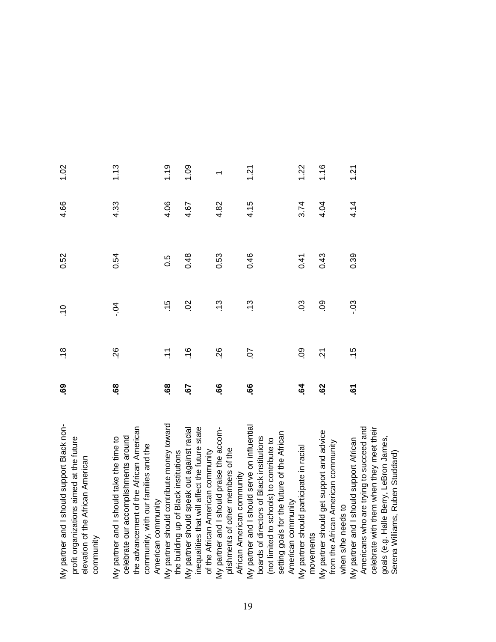| My partner and I should support Black non-<br>profit organizations aimed at the future<br>elevation of the African American<br>community                                                                     | <b>co</b>       | $\frac{8}{18}$ | $\frac{1}{2}$  | 0.52 | 4.66 | 1.02 |
|--------------------------------------------------------------------------------------------------------------------------------------------------------------------------------------------------------------|-----------------|----------------|----------------|------|------|------|
| the advancement of the African American<br>celebrate our accomplishments around<br>My partner and I should take the time to<br>community, with our families and the<br>American community                    | 89              | $\frac{8}{2}$  | ή.             | 0.54 | 4.33 | 1.13 |
| My partner should contribute money toward<br>the building up of Black institutions                                                                                                                           | $\overline{68}$ | $\tilde{t}$    | $\frac{5}{1}$  | 0.5  | 4.06 | 1.19 |
| inequalities that will affect the future state<br>My partner should speak out against racial<br>of the African American community                                                                            | 59.             | $\frac{6}{1}$  | $\mathcal{S}$  | 0.48 | 4.67 | 1.09 |
| My partner and I should praise the accom-<br>plishments of other members of the<br>African American community                                                                                                | 89              | $\frac{8}{2}$  | $\frac{3}{2}$  | 0.53 | 4.82 |      |
| My partner and I should serve on influential<br>setting goals for the future of the African<br>boards of directors of Black institutions<br>(not limited to schools) to contribute to<br>American community  | 89              | $\overline{5}$ | $\frac{3}{2}$  | 0.46 | 4.15 | 1.21 |
| My partner should participate in racial<br>movements                                                                                                                                                         | 64              | 80             | $\overline{0}$ | 0.41 | 3.74 | 1.22 |
| My partner should get support and advice<br>from the African American community<br>when s/he needs to                                                                                                        | $\overline{62}$ | <u>ير</u>      | 8Ò             | 0.43 | 4.04 | 1.16 |
| Americans who are trying to succeed and<br>celebrate with them when they meet their<br>goals (e.g. Halle Berry, LeBron James,<br>My partner and I should support African<br>Serena Williams, Ruben Studdard) | 67              | $-15$          | 03             | 0.39 | 4.14 | 1.21 |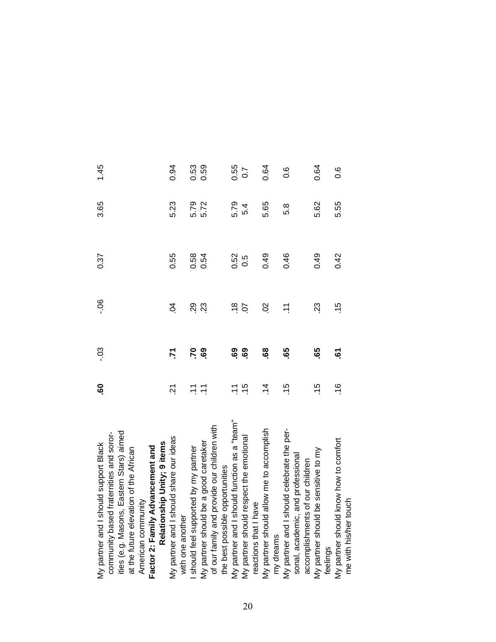| 0.55<br>0.37<br>$-0.0$<br>$\overline{5}$<br>$-03$<br>ż<br><u>ငွ</u><br>$\tilde{z}$<br>ities (e.g. Masons, Eastern Stars) aimed<br>community based fraternities and soror-<br>My partner and I should share our ideas<br>Relationship Unity: 9 items<br>My partner and I should support Black<br>Factor 2: Family Advancement and<br>at the future elevation of the African<br>American community<br>with one another |  | 3.65 | 1.45             |
|----------------------------------------------------------------------------------------------------------------------------------------------------------------------------------------------------------------------------------------------------------------------------------------------------------------------------------------------------------------------------------------------------------------------|--|------|------------------|
|                                                                                                                                                                                                                                                                                                                                                                                                                      |  |      |                  |
|                                                                                                                                                                                                                                                                                                                                                                                                                      |  | 5.23 | 0.94             |
|                                                                                                                                                                                                                                                                                                                                                                                                                      |  |      |                  |
| 0.58<br>29<br>۶.<br>$\ddot{=}$<br>I should feel supported by my partner                                                                                                                                                                                                                                                                                                                                              |  | 5.79 | 0.53             |
| 0.54<br>23<br>ශී<br>$\tilde{=}$<br>My partner should be a good caretaker                                                                                                                                                                                                                                                                                                                                             |  | 5.72 | 0.59             |
| of our family and provide our children with                                                                                                                                                                                                                                                                                                                                                                          |  |      |                  |
| the best possible opportunities                                                                                                                                                                                                                                                                                                                                                                                      |  |      |                  |
| 0.52<br>$\frac{8}{1}$<br>89<br>$\tilde{\mathcal{L}}$<br>My partner and I should function as a "team"                                                                                                                                                                                                                                                                                                                 |  | 5.79 | 0.55             |
| 0.5<br>ΟŌ<br>89<br>$-15$<br>My partner should respect the emotional                                                                                                                                                                                                                                                                                                                                                  |  | 5.4  | $\overline{0}$ . |
| reactions that I have                                                                                                                                                                                                                                                                                                                                                                                                |  |      |                  |
| 0.49<br>$\overline{c}$<br>89.<br>$\vec{4}$<br>My partner should allow me to accomplish                                                                                                                                                                                                                                                                                                                               |  | 5.65 | 0.64             |
| my dreams                                                                                                                                                                                                                                                                                                                                                                                                            |  |      |                  |
| 0.46<br>$\tilde{t}$<br>မ္မ<br>$\frac{5}{1}$<br>My partner and I should celebrate the per-                                                                                                                                                                                                                                                                                                                            |  | 5.8  | 0.G              |
| sonal, academic, and professional                                                                                                                                                                                                                                                                                                                                                                                    |  |      |                  |
| accomplishments of our children                                                                                                                                                                                                                                                                                                                                                                                      |  |      |                  |
| 0.49<br>23<br>65<br>$\frac{5}{1}$<br>My partner should be sensitive to my                                                                                                                                                                                                                                                                                                                                            |  | 5.62 | 0.64             |
| feelings                                                                                                                                                                                                                                                                                                                                                                                                             |  |      |                  |
| 0.42<br>$\frac{5}{1}$<br><u>ন্ত</u><br>$\frac{6}{1}$<br>My partner should know how to comfort                                                                                                                                                                                                                                                                                                                        |  | 5.55 | 0.6              |
| me with his/her touch                                                                                                                                                                                                                                                                                                                                                                                                |  |      |                  |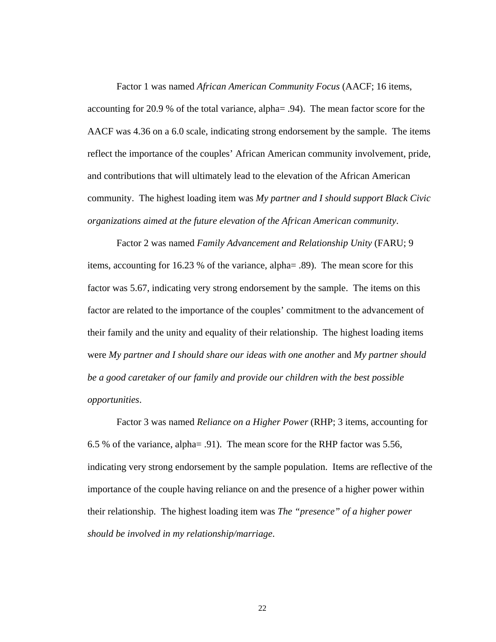Factor 1 was named *African American Community Focus* (AACF; 16 items, accounting for 20.9 % of the total variance, alpha= .94). The mean factor score for the AACF was 4.36 on a 6.0 scale, indicating strong endorsement by the sample. The items reflect the importance of the couples' African American community involvement, pride, and contributions that will ultimately lead to the elevation of the African American community. The highest loading item was *My partner and I should support Black Civic organizations aimed at the future elevation of the African American community*.

 Factor 2 was named *Family Advancement and Relationship Unity* (FARU; 9 items, accounting for 16.23 % of the variance, alpha= .89). The mean score for this factor was 5.67, indicating very strong endorsement by the sample. The items on this factor are related to the importance of the couples' commitment to the advancement of their family and the unity and equality of their relationship. The highest loading items were *My partner and I should share our ideas with one another* and *My partner should be a good caretaker of our family and provide our children with the best possible opportunities*.

 Factor 3 was named *Reliance on a Higher Power* (RHP; 3 items, accounting for 6.5 % of the variance, alpha= .91). The mean score for the RHP factor was 5.56, indicating very strong endorsement by the sample population. Items are reflective of the importance of the couple having reliance on and the presence of a higher power within their relationship. The highest loading item was *The "presence" of a higher power should be involved in my relationship/marriage*.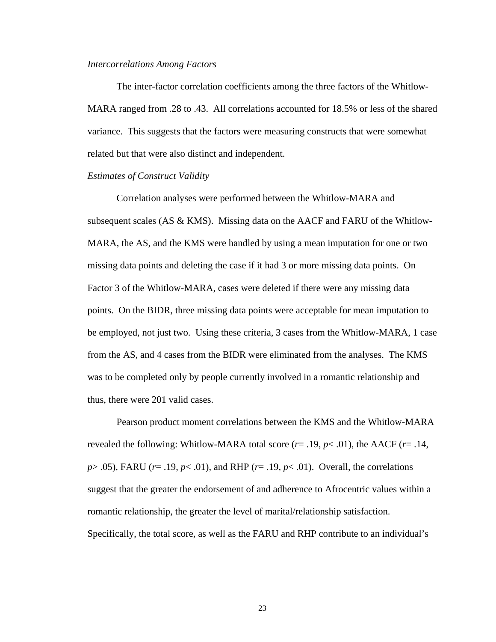#### *Intercorrelations Among Factors*

The inter-factor correlation coefficients among the three factors of the Whitlow-MARA ranged from .28 to .43. All correlations accounted for 18.5% or less of the shared variance. This suggests that the factors were measuring constructs that were somewhat related but that were also distinct and independent.

#### *Estimates of Construct Validity*

Correlation analyses were performed between the Whitlow-MARA and subsequent scales (AS  $\&$  KMS). Missing data on the AACF and FARU of the Whitlow-MARA, the AS, and the KMS were handled by using a mean imputation for one or two missing data points and deleting the case if it had 3 or more missing data points. On Factor 3 of the Whitlow-MARA, cases were deleted if there were any missing data points. On the BIDR, three missing data points were acceptable for mean imputation to be employed, not just two. Using these criteria, 3 cases from the Whitlow-MARA, 1 case from the AS, and 4 cases from the BIDR were eliminated from the analyses. The KMS was to be completed only by people currently involved in a romantic relationship and thus, there were 201 valid cases.

 Pearson product moment correlations between the KMS and the Whitlow-MARA revealed the following: Whitlow-MARA total score (*r*= .19, *p*< .01), the AACF (*r*= .14, *p*> .05), FARU (*r*= .19, *p*< .01), and RHP (*r*= .19, *p*< .01). Overall, the correlations suggest that the greater the endorsement of and adherence to Afrocentric values within a romantic relationship, the greater the level of marital/relationship satisfaction. Specifically, the total score, as well as the FARU and RHP contribute to an individual's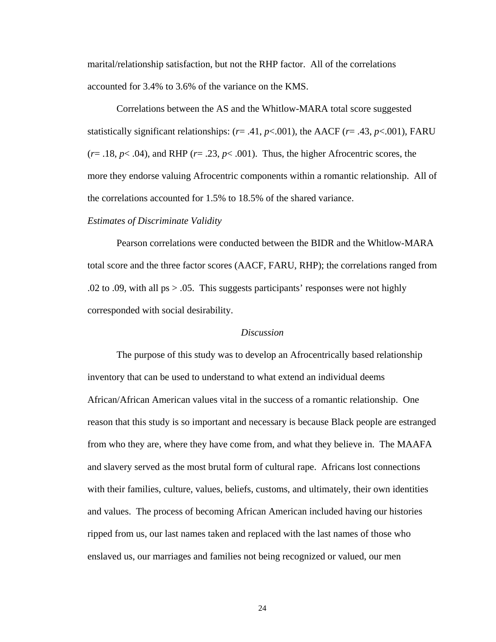marital/relationship satisfaction, but not the RHP factor. All of the correlations accounted for 3.4% to 3.6% of the variance on the KMS.

 Correlations between the AS and the Whitlow-MARA total score suggested statistically significant relationships:  $(r = .41, p < .001)$ , the AACF  $(r = .43, p < .001)$ , FARU  $(r= .18, p< .04)$ , and RHP  $(r= .23, p< .001)$ . Thus, the higher Afrocentric scores, the more they endorse valuing Afrocentric components within a romantic relationship. All of the correlations accounted for 1.5% to 18.5% of the shared variance.

#### *Estimates of Discriminate Validity*

Pearson correlations were conducted between the BIDR and the Whitlow-MARA total score and the three factor scores (AACF, FARU, RHP); the correlations ranged from .02 to .09, with all ps > .05. This suggests participants' responses were not highly corresponded with social desirability.

#### *Discussion*

The purpose of this study was to develop an Afrocentrically based relationship inventory that can be used to understand to what extend an individual deems African/African American values vital in the success of a romantic relationship. One reason that this study is so important and necessary is because Black people are estranged from who they are, where they have come from, and what they believe in. The MAAFA and slavery served as the most brutal form of cultural rape. Africans lost connections with their families, culture, values, beliefs, customs, and ultimately, their own identities and values. The process of becoming African American included having our histories ripped from us, our last names taken and replaced with the last names of those who enslaved us, our marriages and families not being recognized or valued, our men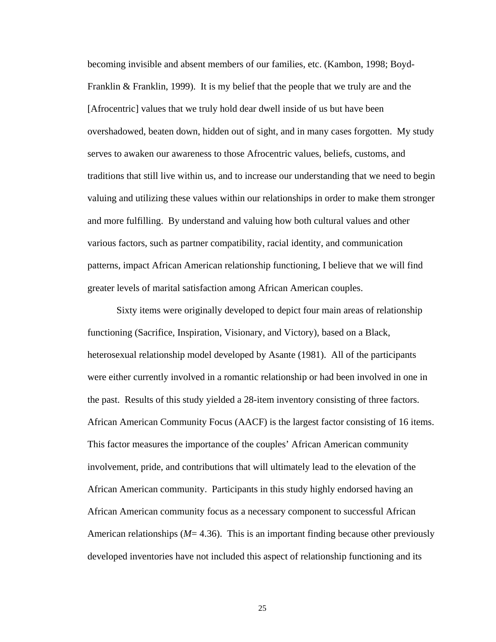becoming invisible and absent members of our families, etc. (Kambon, 1998; Boyd-Franklin & Franklin, 1999). It is my belief that the people that we truly are and the [Afrocentric] values that we truly hold dear dwell inside of us but have been overshadowed, beaten down, hidden out of sight, and in many cases forgotten. My study serves to awaken our awareness to those Afrocentric values, beliefs, customs, and traditions that still live within us, and to increase our understanding that we need to begin valuing and utilizing these values within our relationships in order to make them stronger and more fulfilling. By understand and valuing how both cultural values and other various factors, such as partner compatibility, racial identity, and communication patterns, impact African American relationship functioning, I believe that we will find greater levels of marital satisfaction among African American couples.

Sixty items were originally developed to depict four main areas of relationship functioning (Sacrifice, Inspiration, Visionary, and Victory), based on a Black, heterosexual relationship model developed by Asante (1981). All of the participants were either currently involved in a romantic relationship or had been involved in one in the past. Results of this study yielded a 28-item inventory consisting of three factors. African American Community Focus (AACF) is the largest factor consisting of 16 items. This factor measures the importance of the couples' African American community involvement, pride, and contributions that will ultimately lead to the elevation of the African American community. Participants in this study highly endorsed having an African American community focus as a necessary component to successful African American relationships (*M*= 4.36). This is an important finding because other previously developed inventories have not included this aspect of relationship functioning and its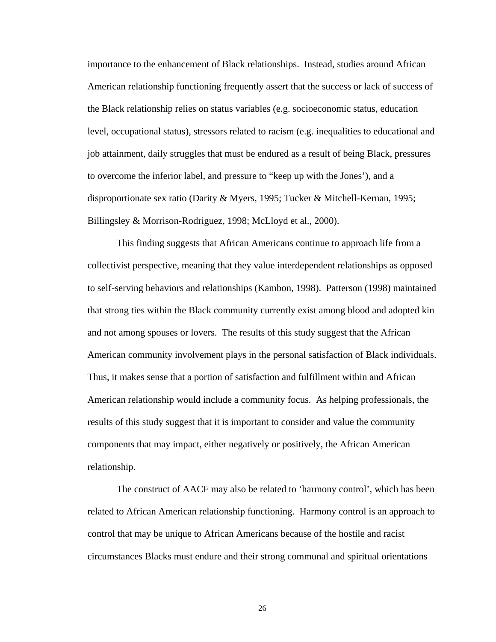importance to the enhancement of Black relationships. Instead, studies around African American relationship functioning frequently assert that the success or lack of success of the Black relationship relies on status variables (e.g. socioeconomic status, education level, occupational status), stressors related to racism (e.g. inequalities to educational and job attainment, daily struggles that must be endured as a result of being Black, pressures to overcome the inferior label, and pressure to "keep up with the Jones'), and a disproportionate sex ratio (Darity & Myers, 1995; Tucker & Mitchell-Kernan, 1995; Billingsley & Morrison-Rodriguez, 1998; McLloyd et al., 2000).

This finding suggests that African Americans continue to approach life from a collectivist perspective, meaning that they value interdependent relationships as opposed to self-serving behaviors and relationships (Kambon, 1998). Patterson (1998) maintained that strong ties within the Black community currently exist among blood and adopted kin and not among spouses or lovers. The results of this study suggest that the African American community involvement plays in the personal satisfaction of Black individuals. Thus, it makes sense that a portion of satisfaction and fulfillment within and African American relationship would include a community focus. As helping professionals, the results of this study suggest that it is important to consider and value the community components that may impact, either negatively or positively, the African American relationship.

The construct of AACF may also be related to 'harmony control', which has been related to African American relationship functioning. Harmony control is an approach to control that may be unique to African Americans because of the hostile and racist circumstances Blacks must endure and their strong communal and spiritual orientations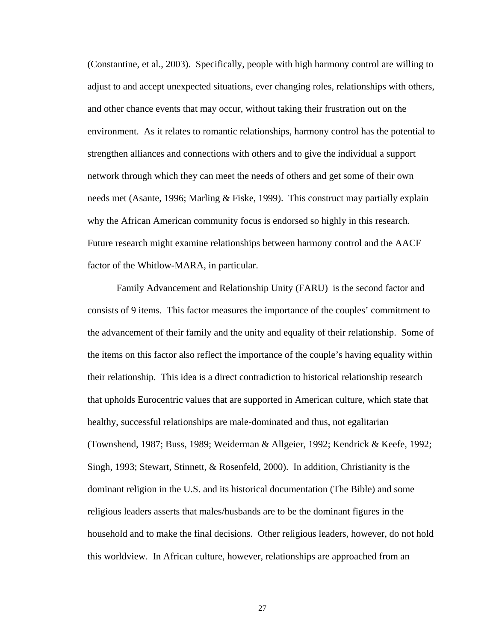(Constantine, et al., 2003). Specifically, people with high harmony control are willing to adjust to and accept unexpected situations, ever changing roles, relationships with others, and other chance events that may occur, without taking their frustration out on the environment. As it relates to romantic relationships, harmony control has the potential to strengthen alliances and connections with others and to give the individual a support network through which they can meet the needs of others and get some of their own needs met (Asante, 1996; Marling & Fiske, 1999). This construct may partially explain why the African American community focus is endorsed so highly in this research. Future research might examine relationships between harmony control and the AACF factor of the Whitlow-MARA, in particular.

Family Advancement and Relationship Unity (FARU) is the second factor and consists of 9 items. This factor measures the importance of the couples' commitment to the advancement of their family and the unity and equality of their relationship. Some of the items on this factor also reflect the importance of the couple's having equality within their relationship. This idea is a direct contradiction to historical relationship research that upholds Eurocentric values that are supported in American culture, which state that healthy, successful relationships are male-dominated and thus, not egalitarian (Townshend, 1987; Buss, 1989; Weiderman & Allgeier, 1992; Kendrick & Keefe, 1992; Singh, 1993; Stewart, Stinnett, & Rosenfeld, 2000). In addition, Christianity is the dominant religion in the U.S. and its historical documentation (The Bible) and some religious leaders asserts that males/husbands are to be the dominant figures in the household and to make the final decisions. Other religious leaders, however, do not hold this worldview. In African culture, however, relationships are approached from an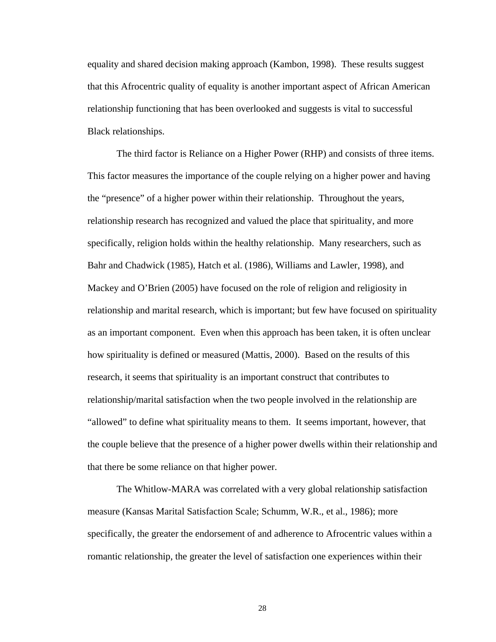equality and shared decision making approach (Kambon, 1998). These results suggest that this Afrocentric quality of equality is another important aspect of African American relationship functioning that has been overlooked and suggests is vital to successful Black relationships.

The third factor is Reliance on a Higher Power (RHP) and consists of three items. This factor measures the importance of the couple relying on a higher power and having the "presence" of a higher power within their relationship. Throughout the years, relationship research has recognized and valued the place that spirituality, and more specifically, religion holds within the healthy relationship. Many researchers, such as Bahr and Chadwick (1985), Hatch et al. (1986), Williams and Lawler, 1998), and Mackey and O'Brien (2005) have focused on the role of religion and religiosity in relationship and marital research, which is important; but few have focused on spirituality as an important component. Even when this approach has been taken, it is often unclear how spirituality is defined or measured (Mattis, 2000). Based on the results of this research, it seems that spirituality is an important construct that contributes to relationship/marital satisfaction when the two people involved in the relationship are "allowed" to define what spirituality means to them. It seems important, however, that the couple believe that the presence of a higher power dwells within their relationship and that there be some reliance on that higher power.

The Whitlow-MARA was correlated with a very global relationship satisfaction measure (Kansas Marital Satisfaction Scale; Schumm, W.R., et al., 1986); more specifically, the greater the endorsement of and adherence to Afrocentric values within a romantic relationship, the greater the level of satisfaction one experiences within their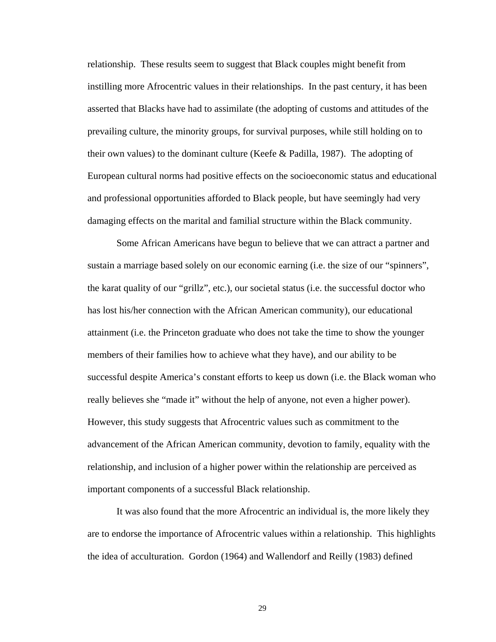relationship. These results seem to suggest that Black couples might benefit from instilling more Afrocentric values in their relationships. In the past century, it has been asserted that Blacks have had to assimilate (the adopting of customs and attitudes of the prevailing culture, the minority groups, for survival purposes, while still holding on to their own values) to the dominant culture (Keefe  $&$  Padilla, 1987). The adopting of European cultural norms had positive effects on the socioeconomic status and educational and professional opportunities afforded to Black people, but have seemingly had very damaging effects on the marital and familial structure within the Black community.

Some African Americans have begun to believe that we can attract a partner and sustain a marriage based solely on our economic earning (i.e. the size of our "spinners", the karat quality of our "grillz", etc.), our societal status (i.e. the successful doctor who has lost his/her connection with the African American community), our educational attainment (i.e. the Princeton graduate who does not take the time to show the younger members of their families how to achieve what they have), and our ability to be successful despite America's constant efforts to keep us down (i.e. the Black woman who really believes she "made it" without the help of anyone, not even a higher power). However, this study suggests that Afrocentric values such as commitment to the advancement of the African American community, devotion to family, equality with the relationship, and inclusion of a higher power within the relationship are perceived as important components of a successful Black relationship.

It was also found that the more Afrocentric an individual is, the more likely they are to endorse the importance of Afrocentric values within a relationship. This highlights the idea of acculturation. Gordon (1964) and Wallendorf and Reilly (1983) defined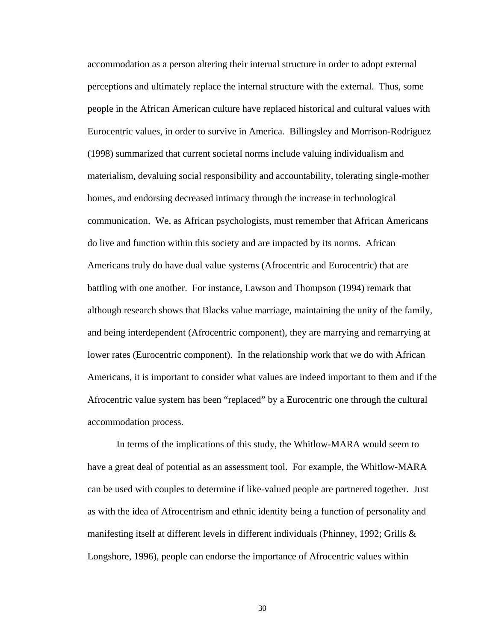accommodation as a person altering their internal structure in order to adopt external perceptions and ultimately replace the internal structure with the external. Thus, some people in the African American culture have replaced historical and cultural values with Eurocentric values, in order to survive in America. Billingsley and Morrison-Rodriguez (1998) summarized that current societal norms include valuing individualism and materialism, devaluing social responsibility and accountability, tolerating single-mother homes, and endorsing decreased intimacy through the increase in technological communication. We, as African psychologists, must remember that African Americans do live and function within this society and are impacted by its norms. African Americans truly do have dual value systems (Afrocentric and Eurocentric) that are battling with one another. For instance, Lawson and Thompson (1994) remark that although research shows that Blacks value marriage, maintaining the unity of the family, and being interdependent (Afrocentric component), they are marrying and remarrying at lower rates (Eurocentric component). In the relationship work that we do with African Americans, it is important to consider what values are indeed important to them and if the Afrocentric value system has been "replaced" by a Eurocentric one through the cultural accommodation process.

In terms of the implications of this study, the Whitlow-MARA would seem to have a great deal of potential as an assessment tool. For example, the Whitlow-MARA can be used with couples to determine if like-valued people are partnered together. Just as with the idea of Afrocentrism and ethnic identity being a function of personality and manifesting itself at different levels in different individuals (Phinney, 1992; Grills & Longshore, 1996), people can endorse the importance of Afrocentric values within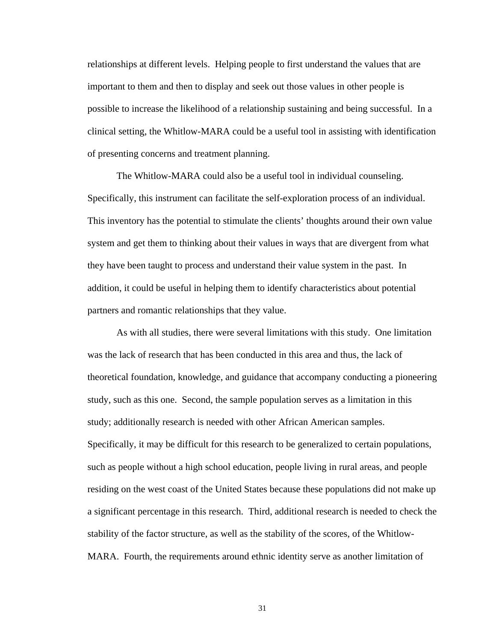relationships at different levels. Helping people to first understand the values that are important to them and then to display and seek out those values in other people is possible to increase the likelihood of a relationship sustaining and being successful. In a clinical setting, the Whitlow-MARA could be a useful tool in assisting with identification of presenting concerns and treatment planning.

The Whitlow-MARA could also be a useful tool in individual counseling. Specifically, this instrument can facilitate the self-exploration process of an individual. This inventory has the potential to stimulate the clients' thoughts around their own value system and get them to thinking about their values in ways that are divergent from what they have been taught to process and understand their value system in the past. In addition, it could be useful in helping them to identify characteristics about potential partners and romantic relationships that they value.

As with all studies, there were several limitations with this study. One limitation was the lack of research that has been conducted in this area and thus, the lack of theoretical foundation, knowledge, and guidance that accompany conducting a pioneering study, such as this one. Second, the sample population serves as a limitation in this study; additionally research is needed with other African American samples. Specifically, it may be difficult for this research to be generalized to certain populations, such as people without a high school education, people living in rural areas, and people residing on the west coast of the United States because these populations did not make up a significant percentage in this research. Third, additional research is needed to check the stability of the factor structure, as well as the stability of the scores, of the Whitlow-MARA. Fourth, the requirements around ethnic identity serve as another limitation of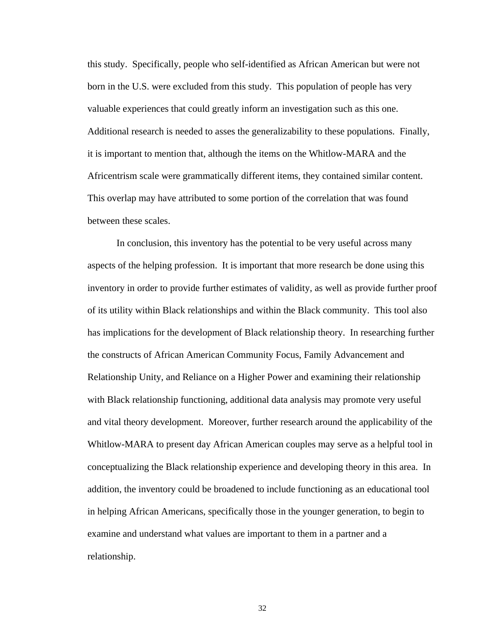this study. Specifically, people who self-identified as African American but were not born in the U.S. were excluded from this study. This population of people has very valuable experiences that could greatly inform an investigation such as this one. Additional research is needed to asses the generalizability to these populations. Finally, it is important to mention that, although the items on the Whitlow-MARA and the Africentrism scale were grammatically different items, they contained similar content. This overlap may have attributed to some portion of the correlation that was found between these scales.

In conclusion, this inventory has the potential to be very useful across many aspects of the helping profession. It is important that more research be done using this inventory in order to provide further estimates of validity, as well as provide further proof of its utility within Black relationships and within the Black community. This tool also has implications for the development of Black relationship theory. In researching further the constructs of African American Community Focus, Family Advancement and Relationship Unity, and Reliance on a Higher Power and examining their relationship with Black relationship functioning, additional data analysis may promote very useful and vital theory development. Moreover, further research around the applicability of the Whitlow-MARA to present day African American couples may serve as a helpful tool in conceptualizing the Black relationship experience and developing theory in this area. In addition, the inventory could be broadened to include functioning as an educational tool in helping African Americans, specifically those in the younger generation, to begin to examine and understand what values are important to them in a partner and a relationship.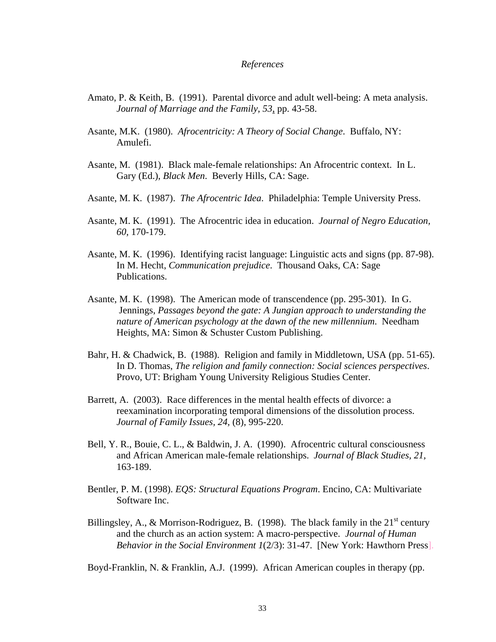### *References*

- Amato, P. & Keith, B. (1991). Parental divorce and adult well-being: A meta analysis. *Journal of Marriage and the Family, 53*, pp. 43-58.
- Asante, M.K. (1980). *Afrocentricity: A Theory of Social Change*. Buffalo, NY: Amulefi.
- Asante, M. (1981). Black male-female relationships: An Afrocentric context. In L. Gary (Ed.), *Black Men*. Beverly Hills, CA: Sage.
- Asante, M. K. (1987). *The Afrocentric Idea*. Philadelphia: Temple University Press.
- Asante, M. K. (1991). The Afrocentric idea in education. *Journal of Negro Education, 60,* 170-179.
- Asante, M. K. (1996). Identifying racist language: Linguistic acts and signs (pp. 87-98). In M. Hecht, *Communication prejudice*. Thousand Oaks, CA: Sage Publications.
- Asante, M. K. (1998). The American mode of transcendence (pp. 295-301). In G. Jennings, *Passages beyond the gate: A Jungian approach to understanding the nature of American psychology at the dawn of the new millennium*. Needham Heights, MA: Simon & Schuster Custom Publishing.
- Bahr, H. & Chadwick, B. (1988). Religion and family in Middletown, USA (pp. 51-65). In D. Thomas, *The religion and family connection: Social sciences perspectives*. Provo, UT: Brigham Young University Religious Studies Center.
- Barrett, A. (2003). Race differences in the mental health effects of divorce: a reexamination incorporating temporal dimensions of the dissolution process. *Journal of Family Issues, 24,* (8), 995-220.
- Bell, Y. R., Bouie, C. L., & Baldwin, J. A. (1990). Afrocentric cultural consciousness and African American male-female relationships. *Journal of Black Studies, 21,* 163-189.
- Bentler, P. M. (1998). *EQS: Structural Equations Program*. Encino, CA: Multivariate Software Inc.
- Billingsley, A., & Morrison-Rodriguez, B. (1998). The black family in the  $21<sup>st</sup>$  century and the church as an action system: A macro-perspective. *Journal of Human Behavior in the Social Environment 1*(2/3): 31-47. [New York: Hawthorn Press].

Boyd-Franklin, N. & Franklin, A.J. (1999). African American couples in therapy (pp.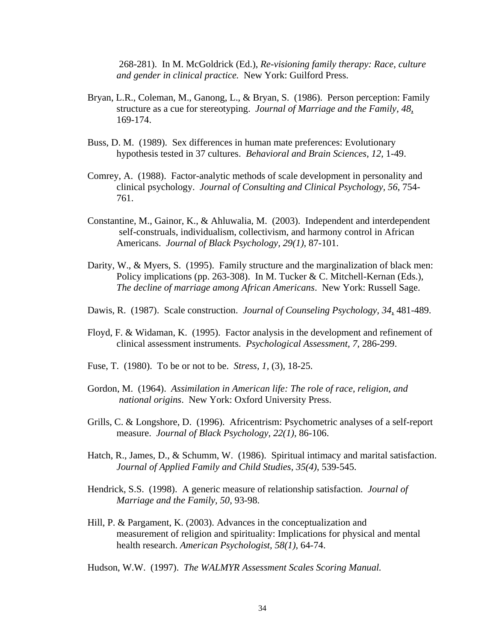268-281). In M. McGoldrick (Ed.), *Re-visioning family therapy: Race, culture and gender in clinical practice.* New York: Guilford Press.

- Bryan, L.R., Coleman, M., Ganong, L., & Bryan, S. (1986). Person perception: Family structure as a cue for stereotyping. *Journal of Marriage and the Family, 48*, 169-174.
- Buss, D. M. (1989). Sex differences in human mate preferences: Evolutionary hypothesis tested in 37 cultures. *Behavioral and Brain Sciences, 12,* 1-49.
- Comrey, A. (1988). Factor-analytic methods of scale development in personality and clinical psychology. *Journal of Consulting and Clinical Psychology, 56*, 754- 761.
- Constantine, M., Gainor, K., & Ahluwalia, M. (2003). Independent and interdependent self-construals, individualism, collectivism, and harmony control in African Americans. *Journal of Black Psychology, 29(1)*, 87-101.
- Darity, W., & Myers, S. (1995). Family structure and the marginalization of black men: Policy implications (pp. 263-308). In M. Tucker & C. Mitchell-Kernan (Eds.), *The decline of marriage among African Americans*. New York: Russell Sage.
- Dawis, R. (1987). Scale construction. *Journal of Counseling Psychology, 34*, 481-489.
- Floyd, F. & Widaman, K. (1995). Factor analysis in the development and refinement of clinical assessment instruments. *Psychological Assessment, 7*, 286-299.
- Fuse, T. (1980). To be or not to be. *Stress, 1,* (3), 18-25.
- Gordon, M. (1964). *Assimilation in American life: The role of race, religion, and national origins*. New York: Oxford University Press.
- Grills, C. & Longshore, D. (1996). Africentrism: Psychometric analyses of a self-report measure. *Journal of Black Psychology, 22(1),* 86-106.
- Hatch, R., James, D., & Schumm, W. (1986). Spiritual intimacy and marital satisfaction. *Journal of Applied Family and Child Studies, 35(4)*, 539-545.
- Hendrick, S.S. (1998). A generic measure of relationship satisfaction. *Journal of Marriage and the Family, 50,* 93-98.
- Hill, P. & Pargament, K. (2003). Advances in the conceptualization and measurement of religion and spirituality: Implications for physical and mental health research. *American Psychologist, 58(1),* 64-74.

Hudson, W.W. (1997). *The WALMYR Assessment Scales Scoring Manual.*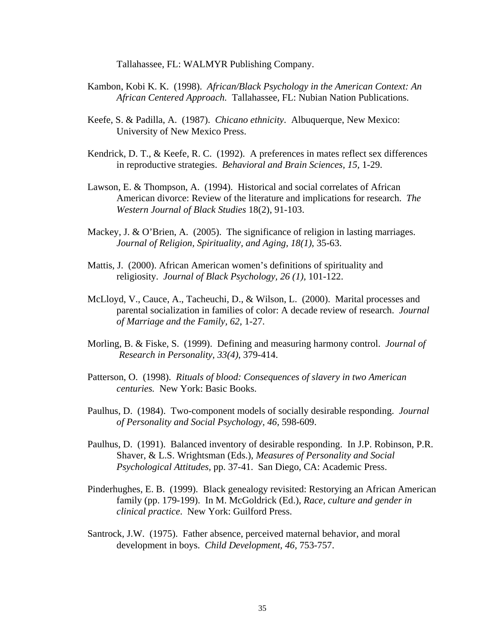Tallahassee, FL: WALMYR Publishing Company.

- Kambon, Kobi K. K. (1998). *African/Black Psychology in the American Context: An African Centered Approach.* Tallahassee, FL: Nubian Nation Publications.
- Keefe, S. & Padilla, A. (1987). *Chicano ethnicity*. Albuquerque, New Mexico: University of New Mexico Press.
- Kendrick, D. T., & Keefe, R. C. (1992). A preferences in mates reflect sex differences in reproductive strategies. *Behavioral and Brain Sciences, 15,* 1-29.
- Lawson, E. & Thompson, A. (1994). Historical and social correlates of African American divorce: Review of the literature and implications for research. *The Western Journal of Black Studies* 18(2), 91-103.
- Mackey, J. & O'Brien, A.  $(2005)$ . The significance of religion in lasting marriages. *Journal of Religion, Spirituality, and Aging, 18(1)*, 35-63.
- Mattis, J. (2000). African American women's definitions of spirituality and religiosity. *Journal of Black Psychology, 26 (1),* 101-122.
- McLloyd, V., Cauce, A., Tacheuchi, D., & Wilson, L. (2000). Marital processes and parental socialization in families of color: A decade review of research. *Journal of Marriage and the Family, 62,* 1-27.
- Morling, B. & Fiske, S. (1999). Defining and measuring harmony control. *Journal of Research in Personality, 33(4)*, 379-414.
- Patterson, O. (1998). *Rituals of blood: Consequences of slavery in two American centuries.* New York: Basic Books.
- Paulhus, D. (1984). Two-component models of socially desirable responding. *Journal of Personality and Social Psychology, 46,* 598-609.
- Paulhus, D. (1991). Balanced inventory of desirable responding. In J.P. Robinson, P.R. Shaver, & L.S. Wrightsman (Eds.), *Measures of Personality and Social Psychological Attitudes,* pp. 37-41. San Diego, CA: Academic Press.
- Pinderhughes, E. B. (1999). Black genealogy revisited: Restorying an African American family (pp. 179-199). In M. McGoldrick (Ed.), *Race, culture and gender in clinical practice*. New York: Guilford Press.
- Santrock, J.W. (1975). Father absence, perceived maternal behavior, and moral development in boys. *Child Development, 46,* 753-757.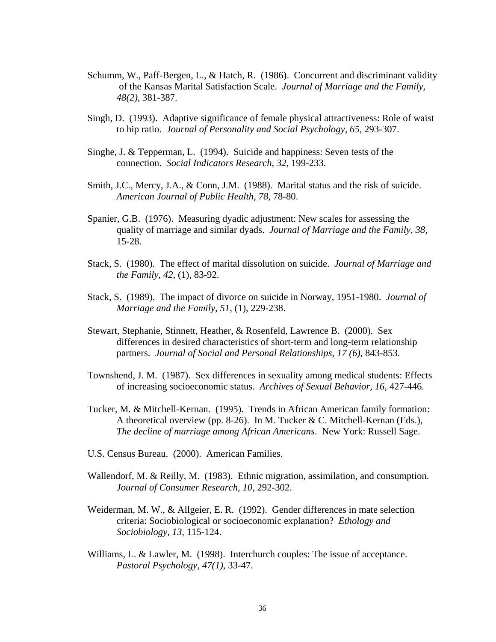- Schumm, W., Paff-Bergen, L., & Hatch, R. (1986). Concurrent and discriminant validity of the Kansas Marital Satisfaction Scale. *Journal of Marriage and the Family, 48(2)*, 381-387.
- Singh, D. (1993). Adaptive significance of female physical attractiveness: Role of waist to hip ratio. *Journal of Personality and Social Psychology, 65,* 293-307.
- Singhe, J. & Tepperman, L. (1994). Suicide and happiness: Seven tests of the connection. *Social Indicators Research, 32*, 199-233.
- Smith, J.C., Mercy, J.A., & Conn, J.M. (1988). Marital status and the risk of suicide. *American Journal of Public Health, 78,* 78-80.
- Spanier, G.B. (1976). Measuring dyadic adjustment: New scales for assessing the quality of marriage and similar dyads. *Journal of Marriage and the Family, 38,*  15-28.
- Stack, S. (1980). The effect of marital dissolution on suicide. *Journal of Marriage and the Family, 42,* (1), 83-92.
- Stack, S. (1989). The impact of divorce on suicide in Norway, 1951-1980. *Journal of Marriage and the Family, 51,* (1), 229-238.
- Stewart, Stephanie, Stinnett, Heather, & Rosenfeld, Lawrence B. (2000). Sex differences in desired characteristics of short-term and long-term relationship partners. *Journal of Social and Personal Relationships, 17 (6)*, 843-853.
- Townshend, J. M. (1987). Sex differences in sexuality among medical students: Effects of increasing socioeconomic status. *Archives of Sexual Behavior, 16,* 427-446.
- Tucker, M. & Mitchell-Kernan. (1995). Trends in African American family formation: A theoretical overview (pp. 8-26). In M. Tucker & C. Mitchell-Kernan (Eds.), *The decline of marriage among African Americans*. New York: Russell Sage.
- U.S. Census Bureau. (2000). American Families.
- Wallendorf, M. & Reilly, M. (1983). Ethnic migration, assimilation, and consumption. *Journal of Consumer Research, 10*, 292-302.
- Weiderman, M. W., & Allgeier, E. R. (1992). Gender differences in mate selection criteria: Sociobiological or socioeconomic explanation? *Ethology and Sociobiology, 13,* 115-124.
- Williams, L. & Lawler, M. (1998). Interchurch couples: The issue of acceptance. *Pastoral Psychology, 47(1)*, 33-47.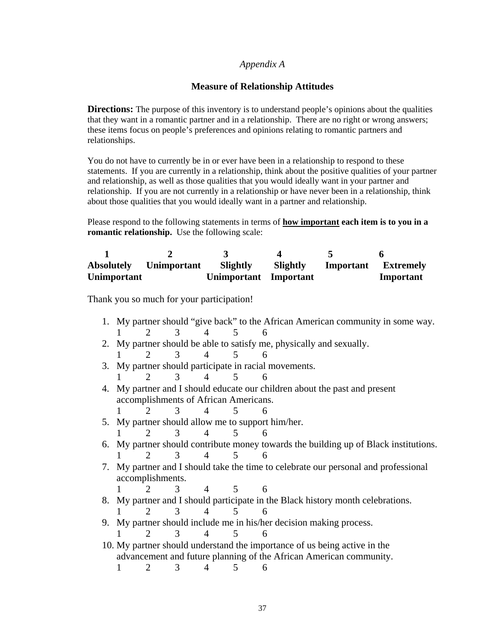## *Appendix A*

## **Measure of Relationship Attitudes**

**Directions:** The purpose of this inventory is to understand people's opinions about the qualities that they want in a romantic partner and in a relationship. There are no right or wrong answers; these items focus on people's preferences and opinions relating to romantic partners and relationships.

You do not have to currently be in or ever have been in a relationship to respond to these statements. If you are currently in a relationship, think about the positive qualities of your partner and relationship, as well as those qualities that you would ideally want in your partner and relationship. If you are not currently in a relationship or have never been in a relationship, think about those qualities that you would ideally want in a partner and relationship.

Please respond to the following statements in terms of **how important each item is to you in a romantic relationship.** Use the following scale:

|                    | Absolutely Unimportant | Slightly              | Slightly | Important | Extremely |
|--------------------|------------------------|-----------------------|----------|-----------|-----------|
| <b>Unimportant</b> |                        | Unimportant Important |          |           | Important |

Thank you so much for your participation!

- 1. My partner should "give back" to the African American community in some way. 1 2 3 4 5 6
- 2. My partner should be able to satisfy me, physically and sexually. 1 2 3 4 5 6
- 3. My partner should participate in racial movements. 1 2 3 4 5 6
- 4. My partner and I should educate our children about the past and present accomplishments of African Americans.
	- 1 2 3 4 5 6
- 5. My partner should allow me to support him/her.
	- 1 2 3 4 5 6
- 6. My partner should contribute money towards the building up of Black institutions. 1 2 3 4 5 6
- 7. My partner and I should take the time to celebrate our personal and professional accomplishments.
	- 1 2 3 4 5 6
- 8. My partner and I should participate in the Black history month celebrations. 1 2 3 4 5 6
- 9. My partner should include me in his/her decision making process. 1 2 3 4 5 6

10. My partner should understand the importance of us being active in the advancement and future planning of the African American community.

1 2 3 4 5 6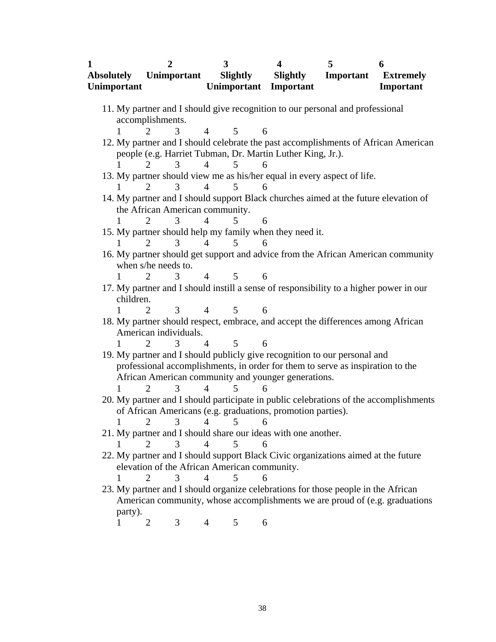| $\mathbf{1}$      | $\overline{2}$                                         | 3                                | 4                                                                                                                                                                 | 5         | 6                |
|-------------------|--------------------------------------------------------|----------------------------------|-------------------------------------------------------------------------------------------------------------------------------------------------------------------|-----------|------------------|
| <b>Absolutely</b> | Unimportant                                            | Slightly                         | Slightly                                                                                                                                                          | Important | <b>Extremely</b> |
| Unimportant       |                                                        |                                  | Unimportant Important                                                                                                                                             |           | Important        |
|                   |                                                        |                                  |                                                                                                                                                                   |           |                  |
|                   |                                                        |                                  | 11. My partner and I should give recognition to our personal and professional                                                                                     |           |                  |
|                   | accomplishments.                                       |                                  |                                                                                                                                                                   |           |                  |
| 1                 | $\overline{2}$<br>3                                    | $\overline{4}$<br>5              | 6                                                                                                                                                                 |           |                  |
|                   |                                                        |                                  | 12. My partner and I should celebrate the past accomplishments of African American                                                                                |           |                  |
|                   |                                                        |                                  | people (e.g. Harriet Tubman, Dr. Martin Luther King, Jr.).                                                                                                        |           |                  |
|                   | 3<br>2                                                 | $\overline{4}$<br>$\mathfrak{S}$ | 6                                                                                                                                                                 |           |                  |
|                   |                                                        |                                  | 13. My partner should view me as his/her equal in every aspect of life.                                                                                           |           |                  |
| 1                 | $\overline{2}$<br>3                                    | $\overline{4}$<br>5              | 6                                                                                                                                                                 |           |                  |
|                   |                                                        |                                  | 14. My partner and I should support Black churches aimed at the future elevation of                                                                               |           |                  |
|                   | the African American community.                        |                                  |                                                                                                                                                                   |           |                  |
|                   | 3<br>2                                                 | $\overline{4}$<br>5              | 6                                                                                                                                                                 |           |                  |
|                   |                                                        |                                  | 15. My partner should help my family when they need it.                                                                                                           |           |                  |
|                   | 3<br>2                                                 | $\overline{4}$<br>5              | 6                                                                                                                                                                 |           |                  |
|                   |                                                        |                                  | 16. My partner should get support and advice from the African American community                                                                                  |           |                  |
|                   | when s/he needs to.                                    |                                  |                                                                                                                                                                   |           |                  |
| 1                 | $\overline{2}$<br>3                                    | $\overline{4}$<br>5              | 6                                                                                                                                                                 |           |                  |
|                   |                                                        |                                  | 17. My partner and I should instill a sense of responsibility to a higher power in our                                                                            |           |                  |
| children.         |                                                        |                                  |                                                                                                                                                                   |           |                  |
| 1                 | $\overline{2}$<br>3                                    | $\overline{4}$<br>5              | 6                                                                                                                                                                 |           |                  |
|                   |                                                        |                                  | 18. My partner should respect, embrace, and accept the differences among African                                                                                  |           |                  |
|                   | American individuals.                                  |                                  |                                                                                                                                                                   |           |                  |
| 1                 | 2<br>3                                                 | 5<br>$\overline{4}$              | 6                                                                                                                                                                 |           |                  |
|                   |                                                        |                                  | 19. My partner and I should publicly give recognition to our personal and                                                                                         |           |                  |
|                   |                                                        |                                  | professional accomplishments, in order for them to serve as inspiration to the                                                                                    |           |                  |
|                   |                                                        |                                  | African American community and younger generations.                                                                                                               |           |                  |
|                   | 2<br>3                                                 | $\overline{4}$<br>5              | 6                                                                                                                                                                 |           |                  |
|                   |                                                        |                                  | 20. My partner and I should participate in public celebrations of the accomplishments                                                                             |           |                  |
|                   |                                                        |                                  | of African Americans (e.g. graduations, promotion parties).                                                                                                       |           |                  |
|                   | 2                                                      | 3 4 5 6                          |                                                                                                                                                                   |           |                  |
|                   |                                                        |                                  | 21. My partner and I should share our ideas with one another.                                                                                                     |           |                  |
|                   | 3                                                      | $\overline{4}$<br>5              | 6                                                                                                                                                                 |           |                  |
|                   |                                                        |                                  | 22. My partner and I should support Black Civic organizations aimed at the future                                                                                 |           |                  |
|                   | elevation of the African American community.<br>3<br>2 | 5<br>$\overline{4}$              |                                                                                                                                                                   |           |                  |
| 1                 |                                                        |                                  | 6                                                                                                                                                                 |           |                  |
|                   |                                                        |                                  | 23. My partner and I should organize celebrations for those people in the African<br>American community, whose accomplishments we are proud of (e.g. graduations) |           |                  |
|                   |                                                        |                                  |                                                                                                                                                                   |           |                  |
| party).           |                                                        |                                  |                                                                                                                                                                   |           |                  |

1 2 3 4 5 6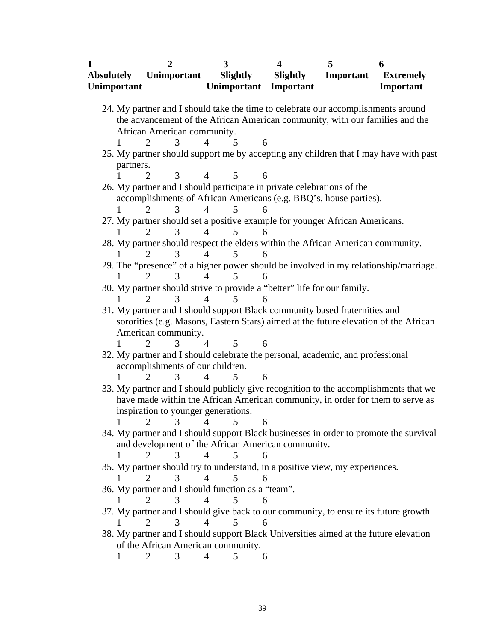| 1           | $\overline{2}$                                                                                                     | 3                     | $\overline{\mathbf{4}}$ | 5         | 6                |
|-------------|--------------------------------------------------------------------------------------------------------------------|-----------------------|-------------------------|-----------|------------------|
| Absolutely  | <b>Unimportant</b>                                                                                                 | <b>Slightly</b>       | <b>Slightly</b>         | Important | <b>Extremely</b> |
| Unimportant |                                                                                                                    | Unimportant Important |                         |           | Important        |
|             |                                                                                                                    |                       |                         |           |                  |
|             | 24. My partner and I should take the time to celebrate our accomplishments around                                  |                       |                         |           |                  |
|             | the advancement of the African American community, with our families and the                                       |                       |                         |           |                  |
|             | African American community.                                                                                        |                       |                         |           |                  |
| 1           | $\overline{2}$<br>$\mathfrak{Z}$                                                                                   | $\overline{4}$<br>5   | 6                       |           |                  |
|             | 25. My partner should support me by accepting any children that I may have with past                               |                       |                         |           |                  |
|             | partners.                                                                                                          |                       |                         |           |                  |
| L           | 3<br>2                                                                                                             | 5<br>$\overline{4}$   | 6                       |           |                  |
|             | 26. My partner and I should participate in private celebrations of the                                             |                       |                         |           |                  |
|             | accomplishments of African Americans (e.g. BBQ's, house parties).                                                  |                       |                         |           |                  |
| 1           | 2<br>3                                                                                                             | $\overline{4}$<br>5   | 6                       |           |                  |
|             | 27. My partner should set a positive example for younger African Americans.                                        |                       |                         |           |                  |
|             | $\mathcal{D}_{\cdot}$<br>3                                                                                         | $\overline{4}$<br>5   | 6                       |           |                  |
|             | 28. My partner should respect the elders within the African American community.                                    |                       |                         |           |                  |
|             | $\overline{2}$<br>3                                                                                                | 5<br>$\overline{4}$   | 6                       |           |                  |
|             | 29. The "presence" of a higher power should be involved in my relationship/marriage.                               |                       |                         |           |                  |
|             | 2<br>3                                                                                                             | 5<br>4                | 6                       |           |                  |
|             | 30. My partner should strive to provide a "better" life for our family.                                            |                       |                         |           |                  |
|             | 3                                                                                                                  | $\overline{4}$<br>5   | 6                       |           |                  |
|             | 31. My partner and I should support Black community based fraternities and                                         |                       |                         |           |                  |
|             | sororities (e.g. Masons, Eastern Stars) aimed at the future elevation of the African                               |                       |                         |           |                  |
| 1           | American community.<br>3<br>$\mathcal{D}_{\cdot}$                                                                  | $\overline{4}$<br>5   | 6                       |           |                  |
|             |                                                                                                                    |                       |                         |           |                  |
|             | 32. My partner and I should celebrate the personal, academic, and professional<br>accomplishments of our children. |                       |                         |           |                  |
|             | $\mathcal{D}_{\cdot}$<br>3                                                                                         | $\overline{4}$<br>5   | 6                       |           |                  |
|             | 33. My partner and I should publicly give recognition to the accomplishments that we                               |                       |                         |           |                  |
|             | have made within the African American community, in order for them to serve as                                     |                       |                         |           |                  |
|             | inspiration to younger generations.                                                                                |                       |                         |           |                  |
|             | $1 \t2 \t3 \t4 \t5 \t6$                                                                                            |                       |                         |           |                  |
|             | 34. My partner and I should support Black businesses in order to promote the survival                              |                       |                         |           |                  |
|             | and development of the African American community.                                                                 |                       |                         |           |                  |
| 1           | 3                                                                                                                  | Δ<br>5                | 6                       |           |                  |
|             | 35. My partner should try to understand, in a positive view, my experiences.                                       |                       |                         |           |                  |
| 1           | $\mathcal{D}_{\mathcal{L}}$<br>3                                                                                   | $\overline{4}$<br>5   | 6                       |           |                  |
|             | 36. My partner and I should function as a "team".                                                                  |                       |                         |           |                  |
|             | $\mathcal{D}_{\mathcal{L}}$<br>3                                                                                   | 4<br>5                | 6                       |           |                  |
|             | 37. My partner and I should give back to our community, to ensure its future growth.                               |                       |                         |           |                  |
|             |                                                                                                                    | 4<br>5                | 6                       |           |                  |
|             | 38. My partner and I should support Black Universities aimed at the future elevation                               |                       |                         |           |                  |
|             | of the African American community.                                                                                 |                       |                         |           |                  |
|             | 3                                                                                                                  | 4<br>5                | 6                       |           |                  |
|             |                                                                                                                    |                       |                         |           |                  |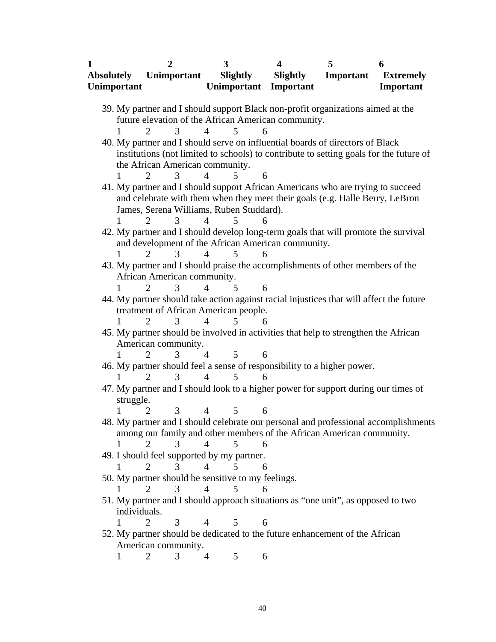| 1                 | 2                                                                                       | 3              |                          | $\overline{\mathbf{4}}$ | 5         | 6                |
|-------------------|-----------------------------------------------------------------------------------------|----------------|--------------------------|-------------------------|-----------|------------------|
| <b>Absolutely</b> | <b>Unimportant</b>                                                                      |                | Slightly                 | Slightly                | Important | <b>Extremely</b> |
| Unimportant       |                                                                                         |                |                          | Unimportant Important   |           | Important        |
|                   |                                                                                         |                |                          |                         |           |                  |
|                   | 39. My partner and I should support Black non-profit organizations aimed at the         |                |                          |                         |           |                  |
|                   | future elevation of the African American community.                                     |                |                          |                         |           |                  |
|                   | 2<br>3                                                                                  | $\overline{4}$ | 5<br>6                   |                         |           |                  |
|                   | 40. My partner and I should serve on influential boards of directors of Black           |                |                          |                         |           |                  |
|                   | institutions (not limited to schools) to contribute to setting goals for the future of  |                |                          |                         |           |                  |
|                   | the African American community.                                                         |                |                          |                         |           |                  |
| 1                 | 3<br>2                                                                                  | $\overline{A}$ | 6<br>5                   |                         |           |                  |
|                   | 41. My partner and I should support African Americans who are trying to succeed         |                |                          |                         |           |                  |
|                   | and celebrate with them when they meet their goals (e.g. Halle Berry, LeBron            |                |                          |                         |           |                  |
|                   | James, Serena Williams, Ruben Studdard).<br>3<br>2                                      | $\overline{4}$ | 5<br>6                   |                         |           |                  |
|                   | 42. My partner and I should develop long-term goals that will promote the survival      |                |                          |                         |           |                  |
|                   | and development of the African American community.                                      |                |                          |                         |           |                  |
| 1                 | 3<br>$\overline{2}$                                                                     | $\overline{4}$ |                          |                         |           |                  |
|                   | 43. My partner and I should praise the accomplishments of other members of the          |                |                          |                         |           |                  |
|                   | African American community.                                                             |                |                          |                         |           |                  |
|                   | 2<br>3                                                                                  | 4              | 5<br>6                   |                         |           |                  |
|                   | 44. My partner should take action against racial injustices that will affect the future |                |                          |                         |           |                  |
|                   | treatment of African American people.                                                   |                |                          |                         |           |                  |
| 1                 | $\overline{2}$<br>3                                                                     | $\overline{4}$ | 5<br>6                   |                         |           |                  |
|                   | 45. My partner should be involved in activities that help to strengthen the African     |                |                          |                         |           |                  |
|                   | American community.                                                                     |                |                          |                         |           |                  |
|                   | 3<br>2                                                                                  | $\overline{4}$ | 5<br>6                   |                         |           |                  |
|                   | 46. My partner should feel a sense of responsibility to a higher power.                 |                |                          |                         |           |                  |
| 1                 | $\overline{2}$<br>3                                                                     | $\overline{4}$ | 5<br>6                   |                         |           |                  |
|                   | 47. My partner and I should look to a higher power for support during our times of      |                |                          |                         |           |                  |
| struggle.         |                                                                                         |                |                          |                         |           |                  |
|                   | 3<br>2                                                                                  | $\overline{4}$ | 5<br>6                   |                         |           |                  |
|                   | 48. My partner and I should celebrate our personal and professional accomplishments     |                |                          |                         |           |                  |
|                   | among our family and other members of the African American community.                   |                |                          |                         |           |                  |
| 1                 | $\mathcal{D}_{\mathcal{L}}$<br>3                                                        | $\overline{4}$ | 5<br>6                   |                         |           |                  |
|                   | 49. I should feel supported by my partner.                                              | 4              | $\overline{\mathcal{L}}$ |                         |           |                  |
|                   | $\overline{2}$<br>3                                                                     |                |                          |                         |           |                  |
|                   | 50. My partner should be sensitive to my feelings.<br>2<br>3                            | $\overline{4}$ | 5<br>6                   |                         |           |                  |
|                   | 51. My partner and I should approach situations as "one unit", as opposed to two        |                |                          |                         |           |                  |
|                   | individuals.                                                                            |                |                          |                         |           |                  |
|                   |                                                                                         |                |                          |                         |           |                  |

1 2 3 4 5 6

- 52. My partner should be dedicated to the future enhancement of the African American community.
	- 1 2 3 4 5 6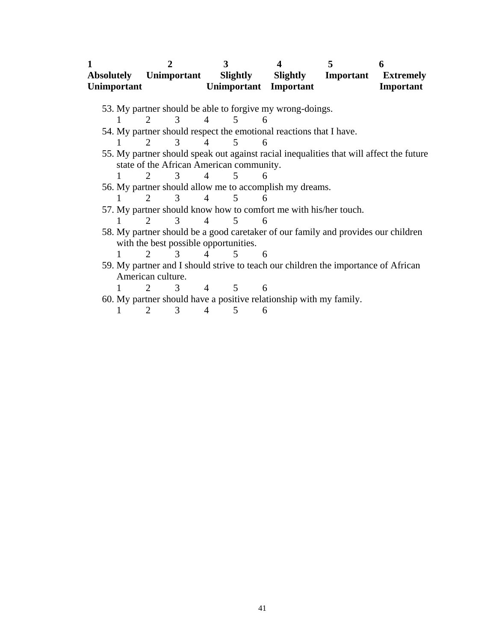## **1 2 3 4 5 6 Absolutely Unimportant Slightly Slightly Important Extremely Unimportant Unimportant Important Important**

53. My partner should be able to forgive my wrong-doings. 1 2 3 4 5 6 54. My partner should respect the emotional reactions that I have. 1 2 3 4 5 6 55. My partner should speak out against racial inequalities that will affect the future state of the African American community. 1 2 3 4 5 6 56. My partner should allow me to accomplish my dreams. 1 2 3 4 5 6 57. My partner should know how to comfort me with his/her touch. 1 2 3 4 5 6 58. My partner should be a good caretaker of our family and provides our children with the best possible opportunities. 1 2 3 4 5 6 59. My partner and I should strive to teach our children the importance of African American culture. 1 2 3 4 5 6 60. My partner should have a positive relationship with my family. 1 2 3 4 5 6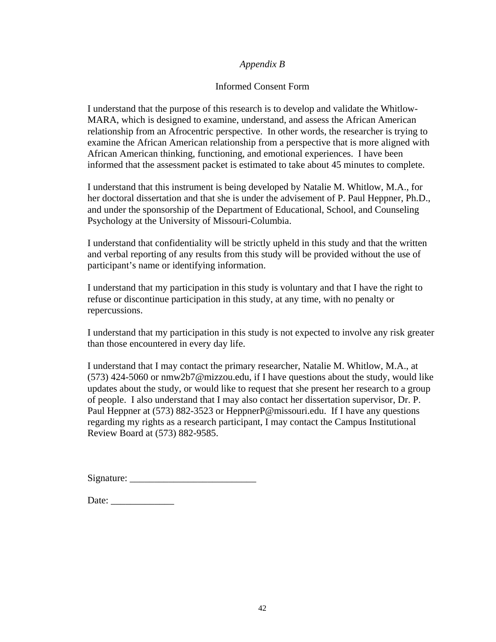## *Appendix B*

## Informed Consent Form

I understand that the purpose of this research is to develop and validate the Whitlow-MARA, which is designed to examine, understand, and assess the African American relationship from an Afrocentric perspective. In other words, the researcher is trying to examine the African American relationship from a perspective that is more aligned with African American thinking, functioning, and emotional experiences. I have been informed that the assessment packet is estimated to take about 45 minutes to complete.

I understand that this instrument is being developed by Natalie M. Whitlow, M.A., for her doctoral dissertation and that she is under the advisement of P. Paul Heppner, Ph.D., and under the sponsorship of the Department of Educational, School, and Counseling Psychology at the University of Missouri-Columbia.

I understand that confidentiality will be strictly upheld in this study and that the written and verbal reporting of any results from this study will be provided without the use of participant's name or identifying information.

I understand that my participation in this study is voluntary and that I have the right to refuse or discontinue participation in this study, at any time, with no penalty or repercussions.

I understand that my participation in this study is not expected to involve any risk greater than those encountered in every day life.

I understand that I may contact the primary researcher, Natalie M. Whitlow, M.A., at (573) 424-5060 or nmw2b7@mizzou.edu, if I have questions about the study, would like updates about the study, or would like to request that she present her research to a group of people. I also understand that I may also contact her dissertation supervisor, Dr. P. Paul Heppner at (573) 882-3523 or HeppnerP@missouri.edu. If I have any questions regarding my rights as a research participant, I may contact the Campus Institutional Review Board at (573) 882-9585.

| Signature: |  |
|------------|--|
|            |  |

| Date: |  |
|-------|--|
|-------|--|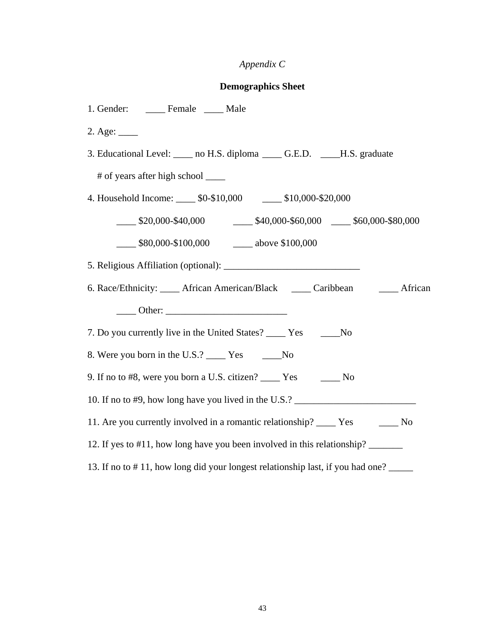# *Appendix C*

# **Demographics Sheet**

| 1. Gender: _________ Female _______ Male                                                                                   |
|----------------------------------------------------------------------------------------------------------------------------|
| $2. \text{Age:}$                                                                                                           |
| 3. Educational Level: _____ no H.S. diploma _____ G.E.D. ____H.S. graduate                                                 |
| # of years after high school _____                                                                                         |
| 4. Household Income: 50-\$10,000 510,000-\$20,000                                                                          |
| $\frac{\text{100}}{2}$ \$20,000-\$40,000 $\frac{\text{100}}{2}$ \$40,000-\$60,000 $\frac{\text{100}}{2}$ \$60,000-\$80,000 |
| $\frac{\text{I}}{\text{I}}$ \$80,000-\$100,000 $\frac{\text{I}}{\text{I}}$ above \$100,000                                 |
|                                                                                                                            |
| 6. Race/Ethnicity: _____ African American/Black _____ Caribbean ______ African                                             |
|                                                                                                                            |
| 7. Do you currently live in the United States? _____ Yes _______No                                                         |
| 8. Were you born in the U.S.? ________ Yes ____________No                                                                  |
| 9. If no to #8, were you born a U.S. citizen? _____ Yes _______ No                                                         |
| 10. If no to #9, how long have you lived in the U.S.? __________________________                                           |
| 11. Are you currently involved in a romantic relationship? ______ Yes ________ No                                          |
| 12. If yes to #11, how long have you been involved in this relationship?                                                   |
| 13. If no to #11, how long did your longest relationship last, if you had one?                                             |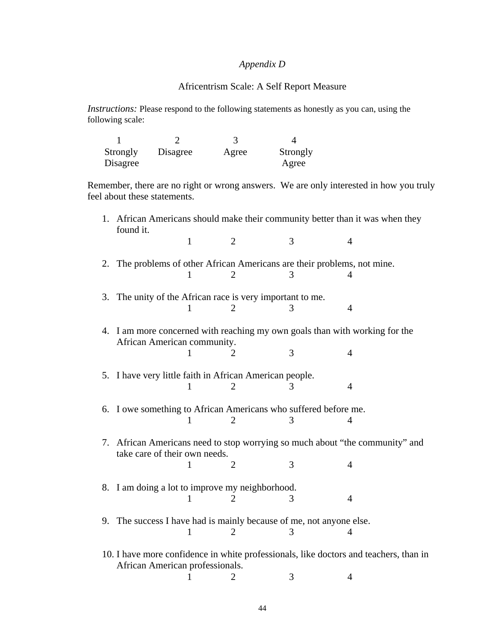# *Appendix D*

## Africentrism Scale: A Self Report Measure

*Instructions:* Please respond to the following statements as honestly as you can, using the following scale:

| Strongly | Disagree | Agree | Strongly |
|----------|----------|-------|----------|
| Disagree |          |       | Agree    |

Remember, there are no right or wrong answers. We are only interested in how you truly feel about these statements.

| 1. African Americans should make their community better than it was when they<br>found it. |              |                |                                                                     |                                                                                            |  |
|--------------------------------------------------------------------------------------------|--------------|----------------|---------------------------------------------------------------------|--------------------------------------------------------------------------------------------|--|
|                                                                                            | $\mathbf{1}$ | $\overline{2}$ | 3                                                                   | $\overline{4}$                                                                             |  |
|                                                                                            |              |                | 3                                                                   | 2. The problems of other African Americans are their problems, not mine.<br>$\overline{4}$ |  |
|                                                                                            |              |                | 3. The unity of the African race is very important to me.           |                                                                                            |  |
|                                                                                            |              | 2              | 3                                                                   | 4                                                                                          |  |
| African American community.                                                                |              |                |                                                                     | 4. I am more concerned with reaching my own goals than with working for the                |  |
|                                                                                            |              |                | 3                                                                   | $\overline{4}$                                                                             |  |
| 5. I have very little faith in African American people.                                    |              | 2              | 3                                                                   | $\overline{4}$                                                                             |  |
|                                                                                            |              |                |                                                                     |                                                                                            |  |
|                                                                                            |              |                | 6. I owe something to African Americans who suffered before me.     |                                                                                            |  |
|                                                                                            | 1            | 2              |                                                                     | 4                                                                                          |  |
| take care of their own needs.                                                              |              |                |                                                                     | 7. African Americans need to stop worrying so much about "the community" and               |  |
|                                                                                            |              | 2              | 3                                                                   | 4                                                                                          |  |
| 8. I am doing a lot to improve my neighborhood.                                            |              |                |                                                                     |                                                                                            |  |
|                                                                                            |              |                | 3                                                                   | 4                                                                                          |  |
|                                                                                            |              |                | 9. The success I have had is mainly because of me, not anyone else. |                                                                                            |  |
|                                                                                            |              |                | 3                                                                   | 4                                                                                          |  |
|                                                                                            |              |                |                                                                     | 10. I have more confidence in white professionals, like doctors and teachers, than in      |  |
| African American professionals.                                                            |              |                |                                                                     |                                                                                            |  |
|                                                                                            |              | 2              | 3                                                                   | 4                                                                                          |  |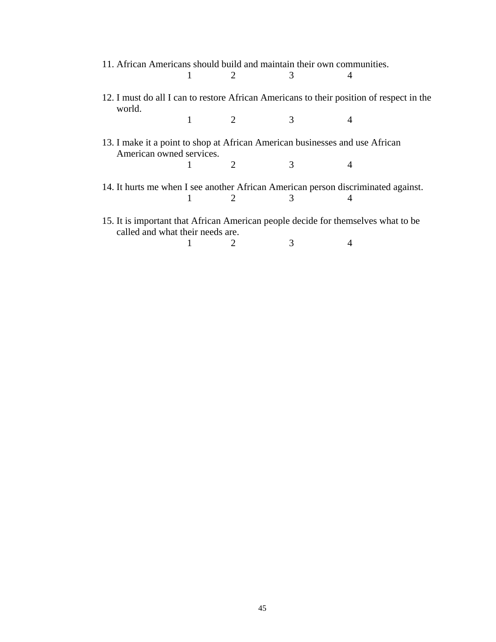| 11. African Americans should build and maintain their own communities.                                   |                             |   |   |  |
|----------------------------------------------------------------------------------------------------------|-----------------------------|---|---|--|
|                                                                                                          | $\mathcal{D}_{\mathcal{L}}$ | 3 |   |  |
| 12. I must do all I can to restore African Americans to their position of respect in the<br>world.       |                             |   |   |  |
|                                                                                                          | $\mathcal{D}_{\mathcal{L}}$ | 3 | 4 |  |
| 13. I make it a point to shop at African American businesses and use African<br>American owned services. |                             |   |   |  |
|                                                                                                          | $\mathcal{D}_{\mathcal{L}}$ | 3 | 4 |  |
| 14. It hurts me when I see another African American person discriminated against.                        |                             |   |   |  |
|                                                                                                          | $\mathcal{D}_{\cdot}$       | 3 |   |  |
| 15. It is important that African American people decide for themselves what to be                        |                             |   |   |  |
| called and what their needs are.                                                                         |                             |   |   |  |
|                                                                                                          |                             |   |   |  |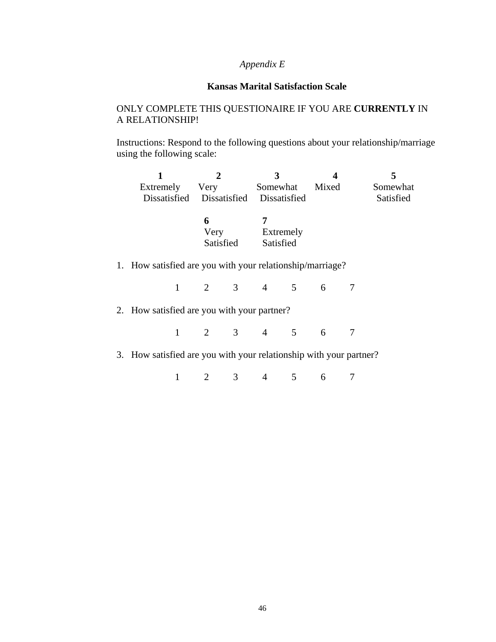# *Appendix E*

## **Kansas Marital Satisfaction Scale**

# ONLY COMPLETE THIS QUESTIONAIRE IF YOU ARE **CURRENTLY** IN A RELATIONSHIP!

Instructions: Respond to the following questions about your relationship/marriage using the following scale:

|                                                                    |                        | 3                                      |       | 5         |  |  |
|--------------------------------------------------------------------|------------------------|----------------------------------------|-------|-----------|--|--|
| Extremely                                                          | Very                   | Somewhat                               | Mixed | Somewhat  |  |  |
|                                                                    |                        | Dissatisfied Dissatisfied Dissatisfied |       | Satisfied |  |  |
|                                                                    | 6<br>Very<br>Satisfied | 7<br>Extremely<br>Satisfied            |       |           |  |  |
| 1. How satisfied are you with your relationship/marriage?          |                        |                                        |       |           |  |  |
| $\mathbf{1}$                                                       |                        | 2 3 4 5                                | 6     | 7         |  |  |
| 2. How satisfied are you with your partner?                        |                        |                                        |       |           |  |  |
| 1                                                                  | $\overline{2}$         | $3 \t 4 \t 5$                          | 6     | 7         |  |  |
| 3. How satisfied are you with your relationship with your partner? |                        |                                        |       |           |  |  |

1 2 3 4 5 6 7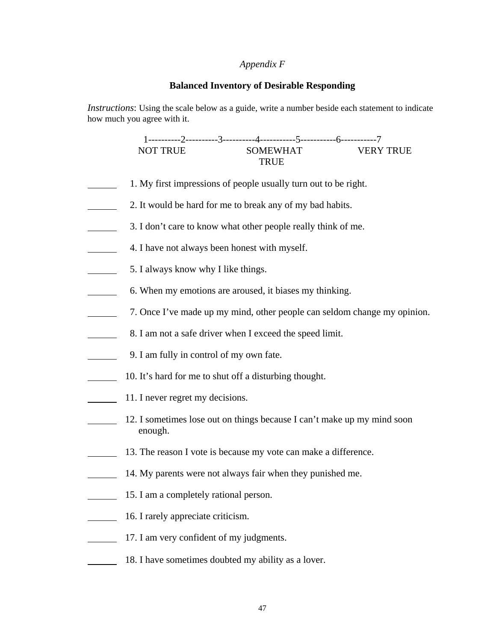#### *Appendix F*

### **Balanced Inventory of Desirable Responding**

*Instructions*: Using the scale below as a guide, write a number beside each statement to indicate how much you agree with it.

| NOT TRUE | SOMEWHAT | <b>VERY TRUE</b> |  |
|----------|----------|------------------|--|
|          |          |                  |  |
|          | TRUE     |                  |  |

- 1. My first impressions of people usually turn out to be right.
- 2. It would be hard for me to break any of my bad habits.
- 3. I don't care to know what other people really think of me.
- 4. I have not always been honest with myself.
- 5. I always know why I like things.
- 6. When my emotions are aroused, it biases my thinking.
- 7. Once I've made up my mind, other people can seldom change my opinion.
- 8. I am not a safe driver when I exceed the speed limit.
- 9. I am fully in control of my own fate.
- 10. It's hard for me to shut off a disturbing thought.
- 11. I never regret my decisions.
- 12. I sometimes lose out on things because I can't make up my mind soon enough.
- 13. The reason I vote is because my vote can make a difference.
- 14. My parents were not always fair when they punished me.
- 15. I am a completely rational person.
- 16. I rarely appreciate criticism.
- 17. I am very confident of my judgments.
- 18. I have sometimes doubted my ability as a lover.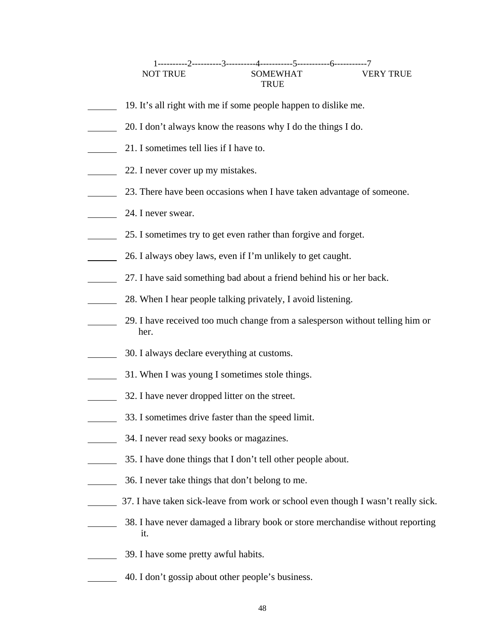## 1----------2----------3----------4-----------5-----------6-----------7 NOT TRUE SOMEWHAT VERY TRUE **TRUE**

- 19. It's all right with me if some people happen to dislike me.
- 20. I don't always know the reasons why I do the things I do.
- 21. I sometimes tell lies if I have to.
- 22. I never cover up my mistakes.
- 23. There have been occasions when I have taken advantage of someone.
- 24. I never swear.
- 25. I sometimes try to get even rather than forgive and forget.
- 26. I always obey laws, even if I'm unlikely to get caught.
- 27. I have said something bad about a friend behind his or her back.
- 28. When I hear people talking privately, I avoid listening.
- 29. I have received too much change from a salesperson without telling him or her.
- 30. I always declare everything at customs.
- 31. When I was young I sometimes stole things.
- 32. I have never dropped litter on the street.
- 33. I sometimes drive faster than the speed limit.
- 34. I never read sexy books or magazines.
- 35. I have done things that I don't tell other people about.
- 36. I never take things that don't belong to me.
- 37. I have taken sick-leave from work or school even though I wasn't really sick.
- 38. I have never damaged a library book or store merchandise without reporting it.
- 39. I have some pretty awful habits.
- 40. I don't gossip about other people's business.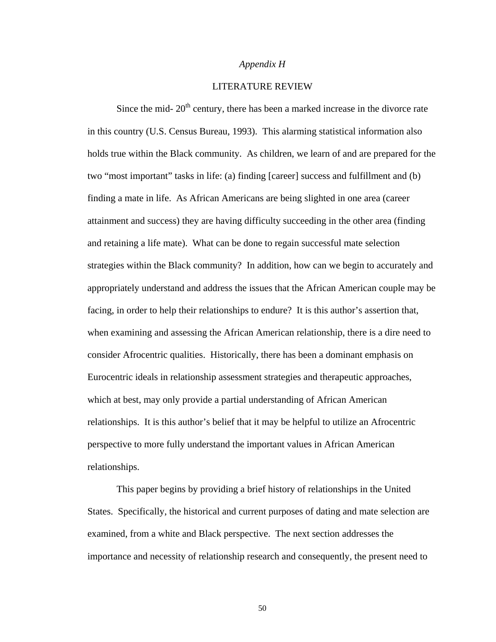## *Appendix H*

## LITERATURE REVIEW

Since the mid-  $20<sup>th</sup>$  century, there has been a marked increase in the divorce rate in this country (U.S. Census Bureau, 1993). This alarming statistical information also holds true within the Black community. As children, we learn of and are prepared for the two "most important" tasks in life: (a) finding [career] success and fulfillment and (b) finding a mate in life. As African Americans are being slighted in one area (career attainment and success) they are having difficulty succeeding in the other area (finding and retaining a life mate). What can be done to regain successful mate selection strategies within the Black community? In addition, how can we begin to accurately and appropriately understand and address the issues that the African American couple may be facing, in order to help their relationships to endure? It is this author's assertion that, when examining and assessing the African American relationship, there is a dire need to consider Afrocentric qualities. Historically, there has been a dominant emphasis on Eurocentric ideals in relationship assessment strategies and therapeutic approaches, which at best, may only provide a partial understanding of African American relationships. It is this author's belief that it may be helpful to utilize an Afrocentric perspective to more fully understand the important values in African American relationships.

 This paper begins by providing a brief history of relationships in the United States. Specifically, the historical and current purposes of dating and mate selection are examined, from a white and Black perspective. The next section addresses the importance and necessity of relationship research and consequently, the present need to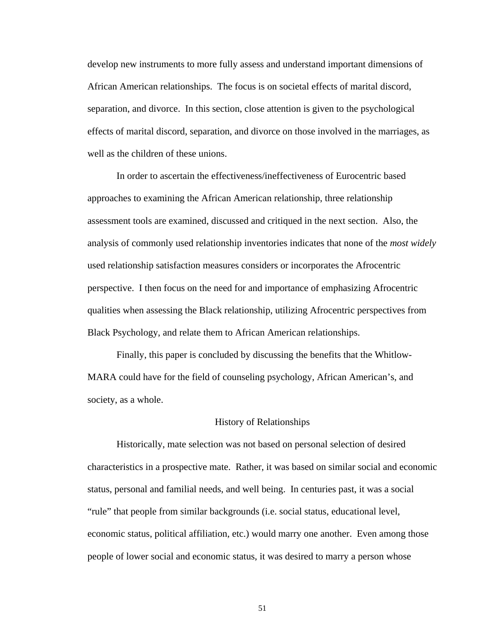develop new instruments to more fully assess and understand important dimensions of African American relationships. The focus is on societal effects of marital discord, separation, and divorce. In this section, close attention is given to the psychological effects of marital discord, separation, and divorce on those involved in the marriages, as well as the children of these unions.

 In order to ascertain the effectiveness/ineffectiveness of Eurocentric based approaches to examining the African American relationship, three relationship assessment tools are examined, discussed and critiqued in the next section. Also, the analysis of commonly used relationship inventories indicates that none of the *most widely* used relationship satisfaction measures considers or incorporates the Afrocentric perspective. I then focus on the need for and importance of emphasizing Afrocentric qualities when assessing the Black relationship, utilizing Afrocentric perspectives from Black Psychology, and relate them to African American relationships.

Finally, this paper is concluded by discussing the benefits that the Whitlow-MARA could have for the field of counseling psychology, African American's, and society, as a whole.

#### History of Relationships

 Historically, mate selection was not based on personal selection of desired characteristics in a prospective mate. Rather, it was based on similar social and economic status, personal and familial needs, and well being. In centuries past, it was a social "rule" that people from similar backgrounds (i.e. social status, educational level, economic status, political affiliation, etc.) would marry one another. Even among those people of lower social and economic status, it was desired to marry a person whose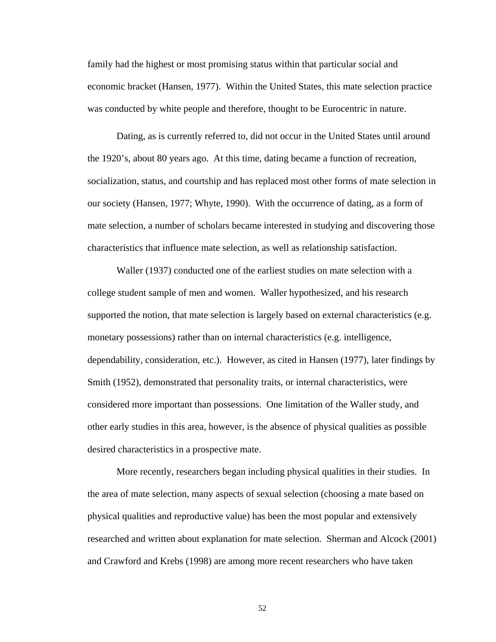family had the highest or most promising status within that particular social and economic bracket (Hansen, 1977). Within the United States, this mate selection practice was conducted by white people and therefore, thought to be Eurocentric in nature.

 Dating, as is currently referred to, did not occur in the United States until around the 1920's, about 80 years ago. At this time, dating became a function of recreation, socialization, status, and courtship and has replaced most other forms of mate selection in our society (Hansen, 1977; Whyte, 1990). With the occurrence of dating, as a form of mate selection, a number of scholars became interested in studying and discovering those characteristics that influence mate selection, as well as relationship satisfaction.

 Waller (1937) conducted one of the earliest studies on mate selection with a college student sample of men and women. Waller hypothesized, and his research supported the notion, that mate selection is largely based on external characteristics (e.g. monetary possessions) rather than on internal characteristics (e.g. intelligence, dependability, consideration, etc.). However, as cited in Hansen (1977), later findings by Smith (1952), demonstrated that personality traits, or internal characteristics, were considered more important than possessions. One limitation of the Waller study, and other early studies in this area, however, is the absence of physical qualities as possible desired characteristics in a prospective mate.

 More recently, researchers began including physical qualities in their studies. In the area of mate selection, many aspects of sexual selection (choosing a mate based on physical qualities and reproductive value) has been the most popular and extensively researched and written about explanation for mate selection. Sherman and Alcock (2001) and Crawford and Krebs (1998) are among more recent researchers who have taken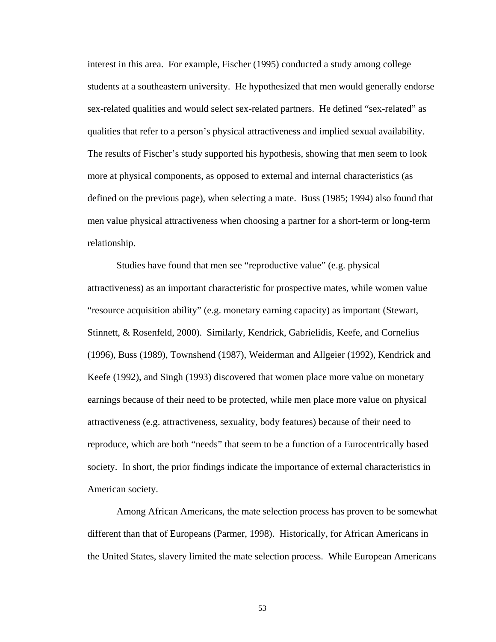interest in this area. For example, Fischer (1995) conducted a study among college students at a southeastern university. He hypothesized that men would generally endorse sex-related qualities and would select sex-related partners. He defined "sex-related" as qualities that refer to a person's physical attractiveness and implied sexual availability. The results of Fischer's study supported his hypothesis, showing that men seem to look more at physical components, as opposed to external and internal characteristics (as defined on the previous page), when selecting a mate. Buss (1985; 1994) also found that men value physical attractiveness when choosing a partner for a short-term or long-term relationship.

 Studies have found that men see "reproductive value" (e.g. physical attractiveness) as an important characteristic for prospective mates, while women value "resource acquisition ability" (e.g. monetary earning capacity) as important (Stewart, Stinnett, & Rosenfeld, 2000). Similarly, Kendrick, Gabrielidis, Keefe, and Cornelius (1996), Buss (1989), Townshend (1987), Weiderman and Allgeier (1992), Kendrick and Keefe (1992), and Singh (1993) discovered that women place more value on monetary earnings because of their need to be protected, while men place more value on physical attractiveness (e.g. attractiveness, sexuality, body features) because of their need to reproduce, which are both "needs" that seem to be a function of a Eurocentrically based society. In short, the prior findings indicate the importance of external characteristics in American society.

 Among African Americans, the mate selection process has proven to be somewhat different than that of Europeans (Parmer, 1998). Historically, for African Americans in the United States, slavery limited the mate selection process. While European Americans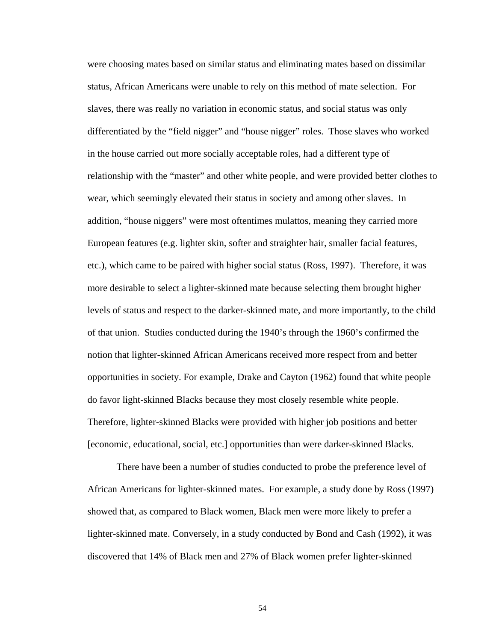were choosing mates based on similar status and eliminating mates based on dissimilar status, African Americans were unable to rely on this method of mate selection. For slaves, there was really no variation in economic status, and social status was only differentiated by the "field nigger" and "house nigger" roles. Those slaves who worked in the house carried out more socially acceptable roles, had a different type of relationship with the "master" and other white people, and were provided better clothes to wear, which seemingly elevated their status in society and among other slaves. In addition, "house niggers" were most oftentimes mulattos, meaning they carried more European features (e.g. lighter skin, softer and straighter hair, smaller facial features, etc.), which came to be paired with higher social status (Ross, 1997). Therefore, it was more desirable to select a lighter-skinned mate because selecting them brought higher levels of status and respect to the darker-skinned mate, and more importantly, to the child of that union. Studies conducted during the 1940's through the 1960's confirmed the notion that lighter-skinned African Americans received more respect from and better opportunities in society. For example, Drake and Cayton (1962) found that white people do favor light-skinned Blacks because they most closely resemble white people. Therefore, lighter-skinned Blacks were provided with higher job positions and better [economic, educational, social, etc.] opportunities than were darker-skinned Blacks.

 There have been a number of studies conducted to probe the preference level of African Americans for lighter-skinned mates. For example, a study done by Ross (1997) showed that, as compared to Black women, Black men were more likely to prefer a lighter-skinned mate. Conversely, in a study conducted by Bond and Cash (1992), it was discovered that 14% of Black men and 27% of Black women prefer lighter-skinned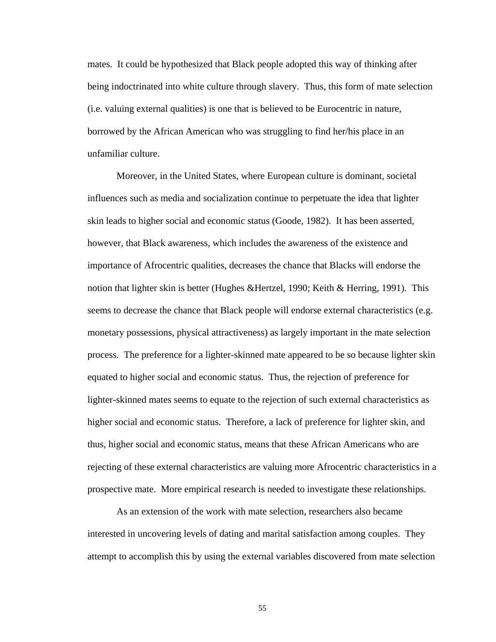mates. It could be hypothesized that Black people adopted this way of thinking after being indoctrinated into white culture through slavery. Thus, this form of mate selection (i.e. valuing external qualities) is one that is believed to be Eurocentric in nature, borrowed by the African American who was struggling to find her/his place in an unfamiliar culture.

Moreover, in the United States, where European culture is dominant, societal influences such as media and socialization continue to perpetuate the idea that lighter skin leads to higher social and economic status (Goode, 1982). It has been asserted, however, that Black awareness, which includes the awareness of the existence and importance of Afrocentric qualities, decreases the chance that Blacks will endorse the notion that lighter skin is better (Hughes &Hertzel, 1990; Keith & Herring, 1991). This seems to decrease the chance that Black people will endorse external characteristics (e.g. monetary possessions, physical attractiveness) as largely important in the mate selection process. The preference for a lighter-skinned mate appeared to be so because lighter skin equated to higher social and economic status. Thus, the rejection of preference for lighter-skinned mates seems to equate to the rejection of such external characteristics as higher social and economic status. Therefore, a lack of preference for lighter skin, and thus, higher social and economic status, means that these African Americans who are rejecting of these external characteristics are valuing more Afrocentric characteristics in a prospective mate. More empirical research is needed to investigate these relationships.

 As an extension of the work with mate selection, researchers also became interested in uncovering levels of dating and marital satisfaction among couples. They attempt to accomplish this by using the external variables discovered from mate selection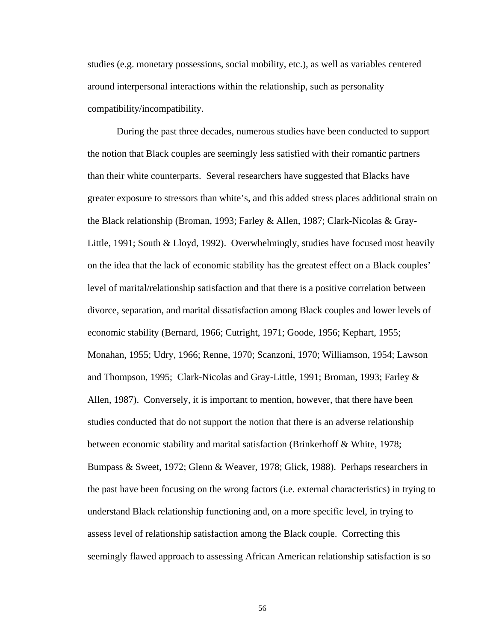studies (e.g. monetary possessions, social mobility, etc.), as well as variables centered around interpersonal interactions within the relationship, such as personality compatibility/incompatibility.

 During the past three decades, numerous studies have been conducted to support the notion that Black couples are seemingly less satisfied with their romantic partners than their white counterparts. Several researchers have suggested that Blacks have greater exposure to stressors than white's, and this added stress places additional strain on the Black relationship (Broman, 1993; Farley & Allen, 1987; Clark-Nicolas & Gray-Little, 1991; South & Lloyd, 1992). Overwhelmingly, studies have focused most heavily on the idea that the lack of economic stability has the greatest effect on a Black couples' level of marital/relationship satisfaction and that there is a positive correlation between divorce, separation, and marital dissatisfaction among Black couples and lower levels of economic stability (Bernard, 1966; Cutright, 1971; Goode, 1956; Kephart, 1955; Monahan, 1955; Udry, 1966; Renne, 1970; Scanzoni, 1970; Williamson, 1954; Lawson and Thompson, 1995; Clark-Nicolas and Gray-Little, 1991; Broman, 1993; Farley & Allen, 1987). Conversely, it is important to mention, however, that there have been studies conducted that do not support the notion that there is an adverse relationship between economic stability and marital satisfaction (Brinkerhoff & White, 1978; Bumpass & Sweet, 1972; Glenn & Weaver, 1978; Glick, 1988). Perhaps researchers in the past have been focusing on the wrong factors (i.e. external characteristics) in trying to understand Black relationship functioning and, on a more specific level, in trying to assess level of relationship satisfaction among the Black couple. Correcting this seemingly flawed approach to assessing African American relationship satisfaction is so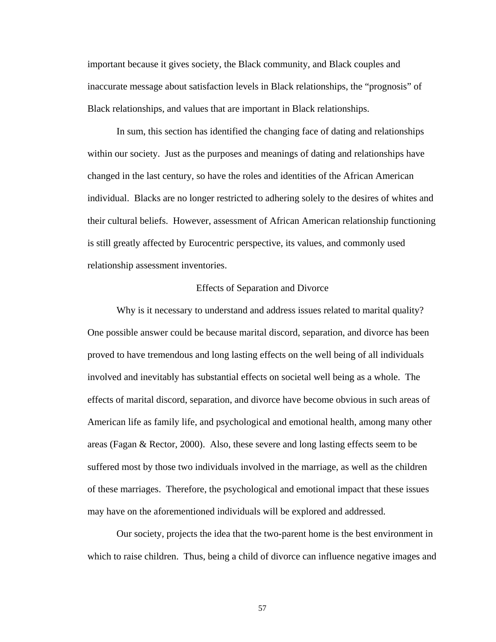important because it gives society, the Black community, and Black couples and inaccurate message about satisfaction levels in Black relationships, the "prognosis" of Black relationships, and values that are important in Black relationships.

 In sum, this section has identified the changing face of dating and relationships within our society. Just as the purposes and meanings of dating and relationships have changed in the last century, so have the roles and identities of the African American individual. Blacks are no longer restricted to adhering solely to the desires of whites and their cultural beliefs. However, assessment of African American relationship functioning is still greatly affected by Eurocentric perspective, its values, and commonly used relationship assessment inventories.

#### Effects of Separation and Divorce

Why is it necessary to understand and address issues related to marital quality? One possible answer could be because marital discord, separation, and divorce has been proved to have tremendous and long lasting effects on the well being of all individuals involved and inevitably has substantial effects on societal well being as a whole. The effects of marital discord, separation, and divorce have become obvious in such areas of American life as family life, and psychological and emotional health, among many other areas (Fagan & Rector, 2000). Also, these severe and long lasting effects seem to be suffered most by those two individuals involved in the marriage, as well as the children of these marriages. Therefore, the psychological and emotional impact that these issues may have on the aforementioned individuals will be explored and addressed.

 Our society, projects the idea that the two-parent home is the best environment in which to raise children. Thus, being a child of divorce can influence negative images and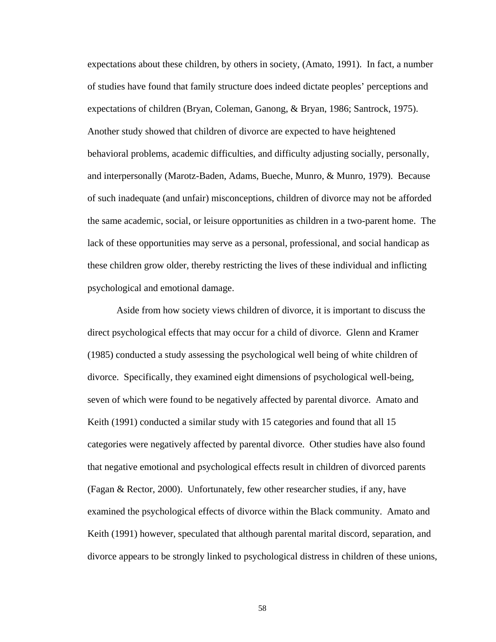expectations about these children, by others in society, (Amato, 1991). In fact, a number of studies have found that family structure does indeed dictate peoples' perceptions and expectations of children (Bryan, Coleman, Ganong, & Bryan, 1986; Santrock, 1975). Another study showed that children of divorce are expected to have heightened behavioral problems, academic difficulties, and difficulty adjusting socially, personally, and interpersonally (Marotz-Baden, Adams, Bueche, Munro, & Munro, 1979). Because of such inadequate (and unfair) misconceptions, children of divorce may not be afforded the same academic, social, or leisure opportunities as children in a two-parent home. The lack of these opportunities may serve as a personal, professional, and social handicap as these children grow older, thereby restricting the lives of these individual and inflicting psychological and emotional damage.

 Aside from how society views children of divorce, it is important to discuss the direct psychological effects that may occur for a child of divorce. Glenn and Kramer (1985) conducted a study assessing the psychological well being of white children of divorce. Specifically, they examined eight dimensions of psychological well-being, seven of which were found to be negatively affected by parental divorce. Amato and Keith (1991) conducted a similar study with 15 categories and found that all 15 categories were negatively affected by parental divorce. Other studies have also found that negative emotional and psychological effects result in children of divorced parents (Fagan & Rector, 2000). Unfortunately, few other researcher studies, if any, have examined the psychological effects of divorce within the Black community. Amato and Keith (1991) however, speculated that although parental marital discord, separation, and divorce appears to be strongly linked to psychological distress in children of these unions,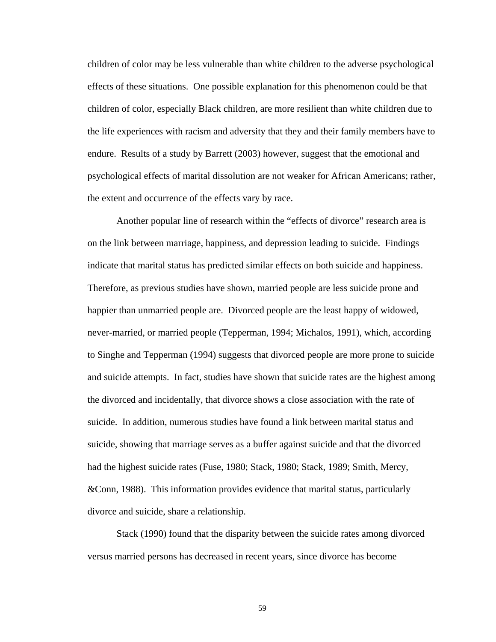children of color may be less vulnerable than white children to the adverse psychological effects of these situations. One possible explanation for this phenomenon could be that children of color, especially Black children, are more resilient than white children due to the life experiences with racism and adversity that they and their family members have to endure. Results of a study by Barrett (2003) however, suggest that the emotional and psychological effects of marital dissolution are not weaker for African Americans; rather, the extent and occurrence of the effects vary by race.

Another popular line of research within the "effects of divorce" research area is on the link between marriage, happiness, and depression leading to suicide. Findings indicate that marital status has predicted similar effects on both suicide and happiness. Therefore, as previous studies have shown, married people are less suicide prone and happier than unmarried people are. Divorced people are the least happy of widowed, never-married, or married people (Tepperman, 1994; Michalos, 1991), which, according to Singhe and Tepperman (1994) suggests that divorced people are more prone to suicide and suicide attempts. In fact, studies have shown that suicide rates are the highest among the divorced and incidentally, that divorce shows a close association with the rate of suicide. In addition, numerous studies have found a link between marital status and suicide, showing that marriage serves as a buffer against suicide and that the divorced had the highest suicide rates (Fuse, 1980; Stack, 1980; Stack, 1989; Smith, Mercy, &Conn, 1988). This information provides evidence that marital status, particularly divorce and suicide, share a relationship.

 Stack (1990) found that the disparity between the suicide rates among divorced versus married persons has decreased in recent years, since divorce has become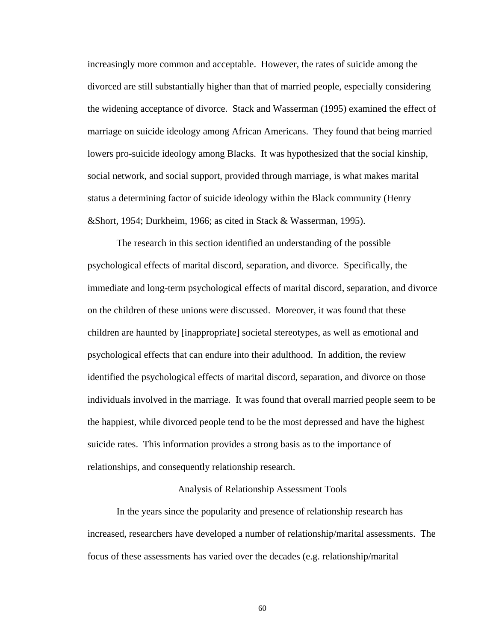increasingly more common and acceptable. However, the rates of suicide among the divorced are still substantially higher than that of married people, especially considering the widening acceptance of divorce. Stack and Wasserman (1995) examined the effect of marriage on suicide ideology among African Americans. They found that being married lowers pro-suicide ideology among Blacks. It was hypothesized that the social kinship, social network, and social support, provided through marriage, is what makes marital status a determining factor of suicide ideology within the Black community (Henry &Short, 1954; Durkheim, 1966; as cited in Stack & Wasserman, 1995).

 The research in this section identified an understanding of the possible psychological effects of marital discord, separation, and divorce. Specifically, the immediate and long-term psychological effects of marital discord, separation, and divorce on the children of these unions were discussed. Moreover, it was found that these children are haunted by [inappropriate] societal stereotypes, as well as emotional and psychological effects that can endure into their adulthood. In addition, the review identified the psychological effects of marital discord, separation, and divorce on those individuals involved in the marriage. It was found that overall married people seem to be the happiest, while divorced people tend to be the most depressed and have the highest suicide rates. This information provides a strong basis as to the importance of relationships, and consequently relationship research.

#### Analysis of Relationship Assessment Tools

 In the years since the popularity and presence of relationship research has increased, researchers have developed a number of relationship/marital assessments. The focus of these assessments has varied over the decades (e.g. relationship/marital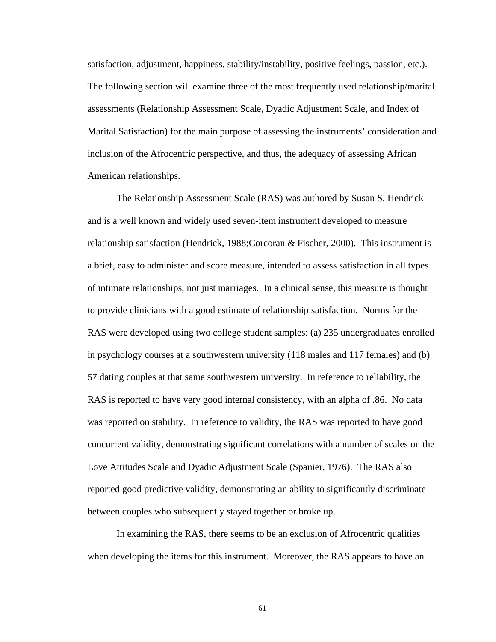satisfaction, adjustment, happiness, stability/instability, positive feelings, passion, etc.). The following section will examine three of the most frequently used relationship/marital assessments (Relationship Assessment Scale, Dyadic Adjustment Scale, and Index of Marital Satisfaction) for the main purpose of assessing the instruments' consideration and inclusion of the Afrocentric perspective, and thus, the adequacy of assessing African American relationships.

 The Relationship Assessment Scale (RAS) was authored by Susan S. Hendrick and is a well known and widely used seven-item instrument developed to measure relationship satisfaction (Hendrick, 1988;Corcoran & Fischer, 2000). This instrument is a brief, easy to administer and score measure, intended to assess satisfaction in all types of intimate relationships, not just marriages. In a clinical sense, this measure is thought to provide clinicians with a good estimate of relationship satisfaction. Norms for the RAS were developed using two college student samples: (a) 235 undergraduates enrolled in psychology courses at a southwestern university (118 males and 117 females) and (b) 57 dating couples at that same southwestern university. In reference to reliability, the RAS is reported to have very good internal consistency, with an alpha of .86. No data was reported on stability. In reference to validity, the RAS was reported to have good concurrent validity, demonstrating significant correlations with a number of scales on the Love Attitudes Scale and Dyadic Adjustment Scale (Spanier, 1976). The RAS also reported good predictive validity, demonstrating an ability to significantly discriminate between couples who subsequently stayed together or broke up.

 In examining the RAS, there seems to be an exclusion of Afrocentric qualities when developing the items for this instrument. Moreover, the RAS appears to have an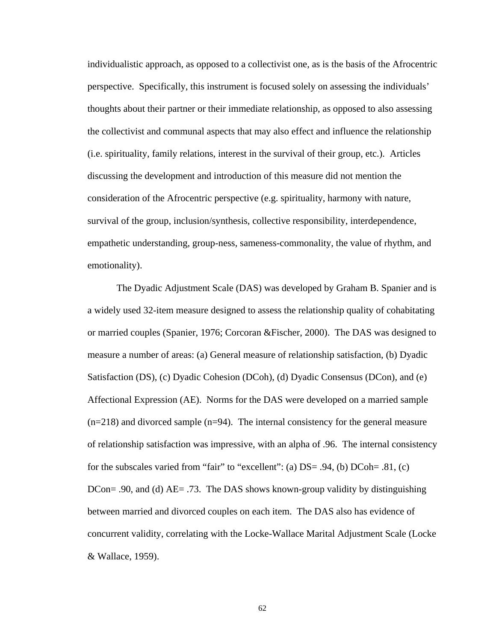individualistic approach, as opposed to a collectivist one, as is the basis of the Afrocentric perspective. Specifically, this instrument is focused solely on assessing the individuals' thoughts about their partner or their immediate relationship, as opposed to also assessing the collectivist and communal aspects that may also effect and influence the relationship (i.e. spirituality, family relations, interest in the survival of their group, etc.). Articles discussing the development and introduction of this measure did not mention the consideration of the Afrocentric perspective (e.g. spirituality, harmony with nature, survival of the group, inclusion/synthesis, collective responsibility, interdependence, empathetic understanding, group-ness, sameness-commonality, the value of rhythm, and emotionality).

The Dyadic Adjustment Scale (DAS) was developed by Graham B. Spanier and is a widely used 32-item measure designed to assess the relationship quality of cohabitating or married couples (Spanier, 1976; Corcoran &Fischer, 2000). The DAS was designed to measure a number of areas: (a) General measure of relationship satisfaction, (b) Dyadic Satisfaction (DS), (c) Dyadic Cohesion (DCoh), (d) Dyadic Consensus (DCon), and (e) Affectional Expression (AE). Norms for the DAS were developed on a married sample  $(n=218)$  and divorced sample  $(n=94)$ . The internal consistency for the general measure of relationship satisfaction was impressive, with an alpha of .96. The internal consistency for the subscales varied from "fair" to "excellent": (a)  $DS = .94$ , (b)  $DCoh = .81$ , (c) DCon= .90, and (d) AE= .73. The DAS shows known-group validity by distinguishing between married and divorced couples on each item. The DAS also has evidence of concurrent validity, correlating with the Locke-Wallace Marital Adjustment Scale (Locke & Wallace, 1959).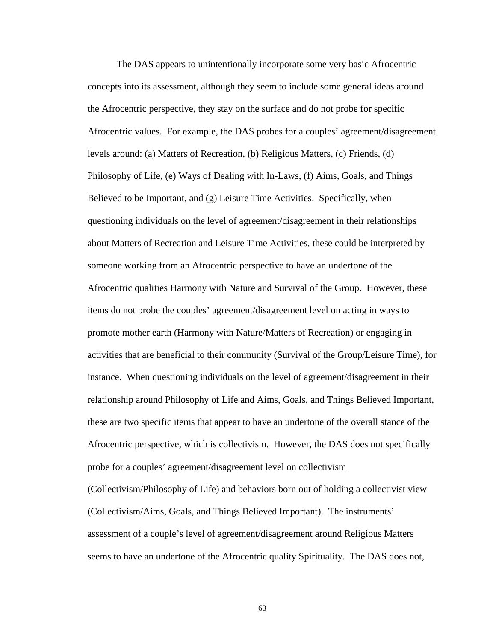The DAS appears to unintentionally incorporate some very basic Afrocentric concepts into its assessment, although they seem to include some general ideas around the Afrocentric perspective, they stay on the surface and do not probe for specific Afrocentric values. For example, the DAS probes for a couples' agreement/disagreement levels around: (a) Matters of Recreation, (b) Religious Matters, (c) Friends, (d) Philosophy of Life, (e) Ways of Dealing with In-Laws, (f) Aims, Goals, and Things Believed to be Important, and (g) Leisure Time Activities. Specifically, when questioning individuals on the level of agreement/disagreement in their relationships about Matters of Recreation and Leisure Time Activities, these could be interpreted by someone working from an Afrocentric perspective to have an undertone of the Afrocentric qualities Harmony with Nature and Survival of the Group. However, these items do not probe the couples' agreement/disagreement level on acting in ways to promote mother earth (Harmony with Nature/Matters of Recreation) or engaging in activities that are beneficial to their community (Survival of the Group/Leisure Time), for instance. When questioning individuals on the level of agreement/disagreement in their relationship around Philosophy of Life and Aims, Goals, and Things Believed Important, these are two specific items that appear to have an undertone of the overall stance of the Afrocentric perspective, which is collectivism. However, the DAS does not specifically probe for a couples' agreement/disagreement level on collectivism (Collectivism/Philosophy of Life) and behaviors born out of holding a collectivist view (Collectivism/Aims, Goals, and Things Believed Important). The instruments' assessment of a couple's level of agreement/disagreement around Religious Matters

seems to have an undertone of the Afrocentric quality Spirituality. The DAS does not,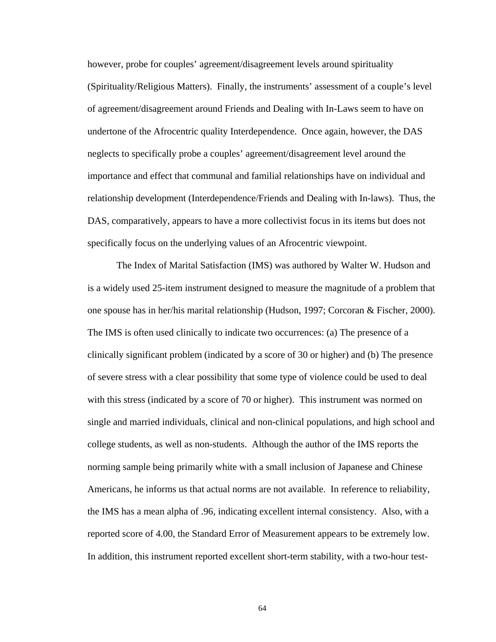however, probe for couples' agreement/disagreement levels around spirituality (Spirituality/Religious Matters). Finally, the instruments' assessment of a couple's level of agreement/disagreement around Friends and Dealing with In-Laws seem to have on undertone of the Afrocentric quality Interdependence. Once again, however, the DAS neglects to specifically probe a couples' agreement/disagreement level around the importance and effect that communal and familial relationships have on individual and relationship development (Interdependence/Friends and Dealing with In-laws). Thus, the DAS, comparatively, appears to have a more collectivist focus in its items but does not specifically focus on the underlying values of an Afrocentric viewpoint.

 The Index of Marital Satisfaction (IMS) was authored by Walter W. Hudson and is a widely used 25-item instrument designed to measure the magnitude of a problem that one spouse has in her/his marital relationship (Hudson, 1997; Corcoran & Fischer, 2000). The IMS is often used clinically to indicate two occurrences: (a) The presence of a clinically significant problem (indicated by a score of 30 or higher) and (b) The presence of severe stress with a clear possibility that some type of violence could be used to deal with this stress (indicated by a score of 70 or higher). This instrument was normed on single and married individuals, clinical and non-clinical populations, and high school and college students, as well as non-students. Although the author of the IMS reports the norming sample being primarily white with a small inclusion of Japanese and Chinese Americans, he informs us that actual norms are not available. In reference to reliability, the IMS has a mean alpha of .96, indicating excellent internal consistency. Also, with a reported score of 4.00, the Standard Error of Measurement appears to be extremely low. In addition, this instrument reported excellent short-term stability, with a two-hour test-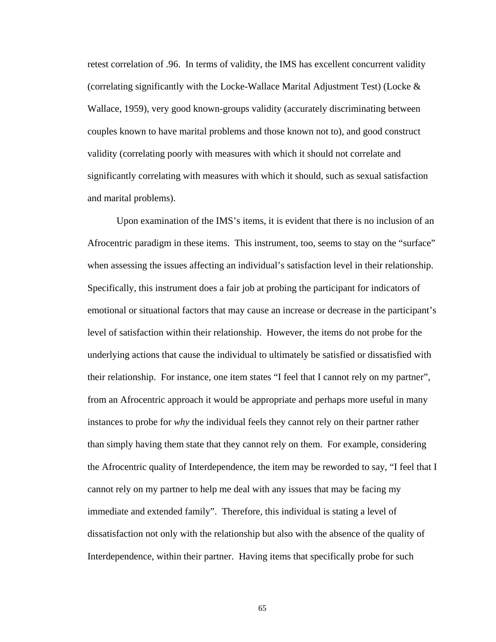retest correlation of .96. In terms of validity, the IMS has excellent concurrent validity (correlating significantly with the Locke-Wallace Marital Adjustment Test) (Locke  $\&$ Wallace, 1959), very good known-groups validity (accurately discriminating between couples known to have marital problems and those known not to), and good construct validity (correlating poorly with measures with which it should not correlate and significantly correlating with measures with which it should, such as sexual satisfaction and marital problems).

 Upon examination of the IMS's items, it is evident that there is no inclusion of an Afrocentric paradigm in these items. This instrument, too, seems to stay on the "surface" when assessing the issues affecting an individual's satisfaction level in their relationship. Specifically, this instrument does a fair job at probing the participant for indicators of emotional or situational factors that may cause an increase or decrease in the participant's level of satisfaction within their relationship. However, the items do not probe for the underlying actions that cause the individual to ultimately be satisfied or dissatisfied with their relationship. For instance, one item states "I feel that I cannot rely on my partner", from an Afrocentric approach it would be appropriate and perhaps more useful in many instances to probe for *why* the individual feels they cannot rely on their partner rather than simply having them state that they cannot rely on them. For example, considering the Afrocentric quality of Interdependence, the item may be reworded to say, "I feel that I cannot rely on my partner to help me deal with any issues that may be facing my immediate and extended family". Therefore, this individual is stating a level of dissatisfaction not only with the relationship but also with the absence of the quality of Interdependence, within their partner. Having items that specifically probe for such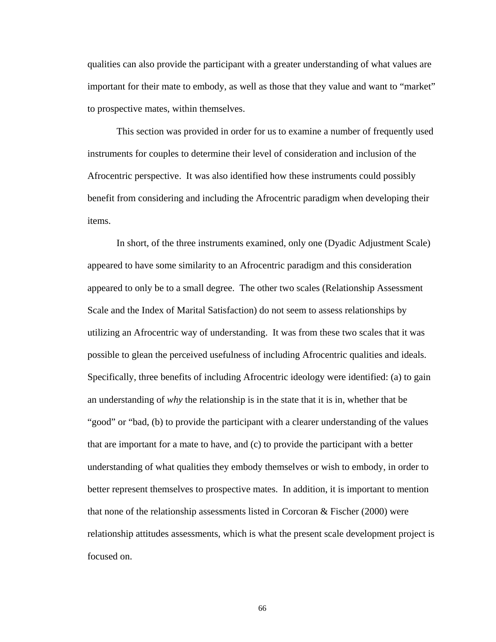qualities can also provide the participant with a greater understanding of what values are important for their mate to embody, as well as those that they value and want to "market" to prospective mates, within themselves.

 This section was provided in order for us to examine a number of frequently used instruments for couples to determine their level of consideration and inclusion of the Afrocentric perspective. It was also identified how these instruments could possibly benefit from considering and including the Afrocentric paradigm when developing their items.

 In short, of the three instruments examined, only one (Dyadic Adjustment Scale) appeared to have some similarity to an Afrocentric paradigm and this consideration appeared to only be to a small degree. The other two scales (Relationship Assessment Scale and the Index of Marital Satisfaction) do not seem to assess relationships by utilizing an Afrocentric way of understanding. It was from these two scales that it was possible to glean the perceived usefulness of including Afrocentric qualities and ideals. Specifically, three benefits of including Afrocentric ideology were identified: (a) to gain an understanding of *why* the relationship is in the state that it is in, whether that be "good" or "bad, (b) to provide the participant with a clearer understanding of the values that are important for a mate to have, and (c) to provide the participant with a better understanding of what qualities they embody themselves or wish to embody, in order to better represent themselves to prospective mates. In addition, it is important to mention that none of the relationship assessments listed in Corcoran  $\&$  Fischer (2000) were relationship attitudes assessments, which is what the present scale development project is focused on.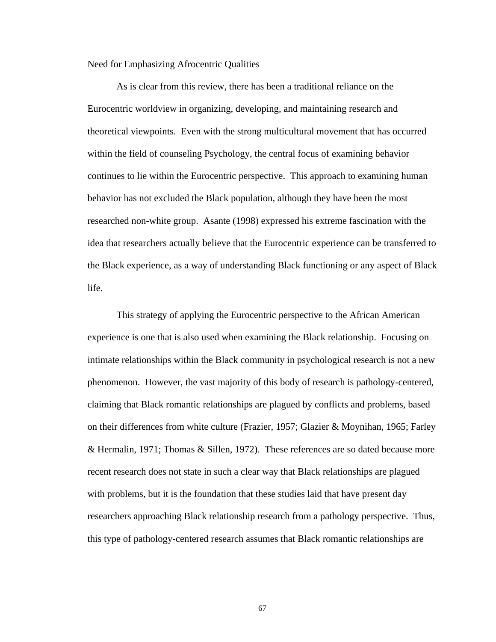Need for Emphasizing Afrocentric Qualities

 As is clear from this review, there has been a traditional reliance on the Eurocentric worldview in organizing, developing, and maintaining research and theoretical viewpoints. Even with the strong multicultural movement that has occurred within the field of counseling Psychology, the central focus of examining behavior continues to lie within the Eurocentric perspective. This approach to examining human behavior has not excluded the Black population, although they have been the most researched non-white group. Asante (1998) expressed his extreme fascination with the idea that researchers actually believe that the Eurocentric experience can be transferred to the Black experience, as a way of understanding Black functioning or any aspect of Black life.

 This strategy of applying the Eurocentric perspective to the African American experience is one that is also used when examining the Black relationship. Focusing on intimate relationships within the Black community in psychological research is not a new phenomenon. However, the vast majority of this body of research is pathology-centered, claiming that Black romantic relationships are plagued by conflicts and problems, based on their differences from white culture (Frazier, 1957; Glazier & Moynihan, 1965; Farley & Hermalin, 1971; Thomas & Sillen, 1972). These references are so dated because more recent research does not state in such a clear way that Black relationships are plagued with problems, but it is the foundation that these studies laid that have present day researchers approaching Black relationship research from a pathology perspective. Thus, this type of pathology-centered research assumes that Black romantic relationships are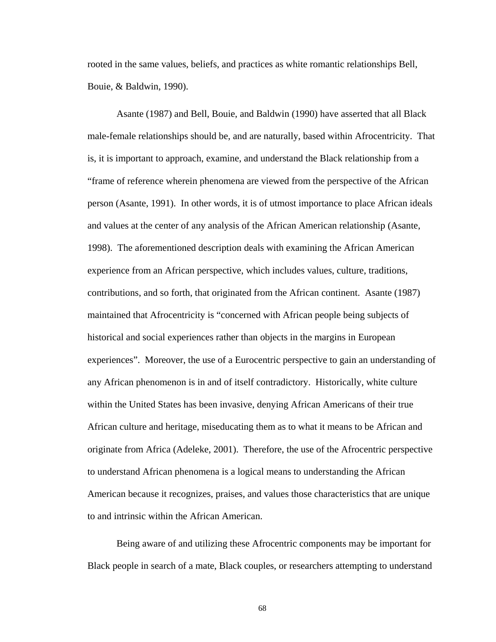rooted in the same values, beliefs, and practices as white romantic relationships Bell, Bouie, & Baldwin, 1990).

Asante (1987) and Bell, Bouie, and Baldwin (1990) have asserted that all Black male-female relationships should be, and are naturally, based within Afrocentricity. That is, it is important to approach, examine, and understand the Black relationship from a "frame of reference wherein phenomena are viewed from the perspective of the African person (Asante, 1991). In other words, it is of utmost importance to place African ideals and values at the center of any analysis of the African American relationship (Asante, 1998). The aforementioned description deals with examining the African American experience from an African perspective, which includes values, culture, traditions, contributions, and so forth, that originated from the African continent. Asante (1987) maintained that Afrocentricity is "concerned with African people being subjects of historical and social experiences rather than objects in the margins in European experiences". Moreover, the use of a Eurocentric perspective to gain an understanding of any African phenomenon is in and of itself contradictory. Historically, white culture within the United States has been invasive, denying African Americans of their true African culture and heritage, miseducating them as to what it means to be African and originate from Africa (Adeleke, 2001). Therefore, the use of the Afrocentric perspective to understand African phenomena is a logical means to understanding the African American because it recognizes, praises, and values those characteristics that are unique to and intrinsic within the African American.

Being aware of and utilizing these Afrocentric components may be important for Black people in search of a mate, Black couples, or researchers attempting to understand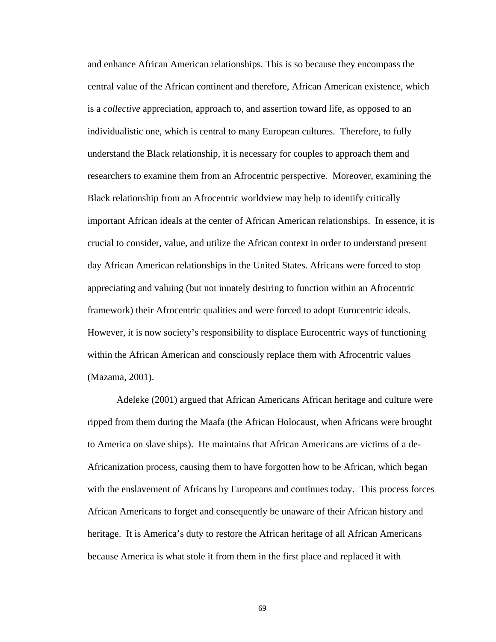and enhance African American relationships. This is so because they encompass the central value of the African continent and therefore, African American existence, which is a *collective* appreciation, approach to, and assertion toward life, as opposed to an individualistic one, which is central to many European cultures. Therefore, to fully understand the Black relationship, it is necessary for couples to approach them and researchers to examine them from an Afrocentric perspective. Moreover, examining the Black relationship from an Afrocentric worldview may help to identify critically important African ideals at the center of African American relationships. In essence, it is crucial to consider, value, and utilize the African context in order to understand present day African American relationships in the United States. Africans were forced to stop appreciating and valuing (but not innately desiring to function within an Afrocentric framework) their Afrocentric qualities and were forced to adopt Eurocentric ideals. However, it is now society's responsibility to displace Eurocentric ways of functioning within the African American and consciously replace them with Afrocentric values (Mazama, 2001).

 Adeleke (2001) argued that African Americans African heritage and culture were ripped from them during the Maafa (the African Holocaust, when Africans were brought to America on slave ships). He maintains that African Americans are victims of a de-Africanization process, causing them to have forgotten how to be African, which began with the enslavement of Africans by Europeans and continues today. This process forces African Americans to forget and consequently be unaware of their African history and heritage. It is America's duty to restore the African heritage of all African Americans because America is what stole it from them in the first place and replaced it with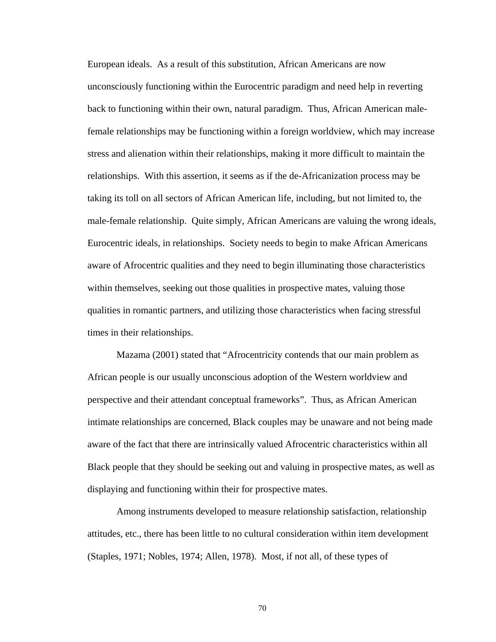European ideals. As a result of this substitution, African Americans are now unconsciously functioning within the Eurocentric paradigm and need help in reverting back to functioning within their own, natural paradigm. Thus, African American malefemale relationships may be functioning within a foreign worldview, which may increase stress and alienation within their relationships, making it more difficult to maintain the relationships. With this assertion, it seems as if the de-Africanization process may be taking its toll on all sectors of African American life, including, but not limited to, the male-female relationship. Quite simply, African Americans are valuing the wrong ideals, Eurocentric ideals, in relationships. Society needs to begin to make African Americans aware of Afrocentric qualities and they need to begin illuminating those characteristics within themselves, seeking out those qualities in prospective mates, valuing those qualities in romantic partners, and utilizing those characteristics when facing stressful times in their relationships.

 Mazama (2001) stated that "Afrocentricity contends that our main problem as African people is our usually unconscious adoption of the Western worldview and perspective and their attendant conceptual frameworks". Thus, as African American intimate relationships are concerned, Black couples may be unaware and not being made aware of the fact that there are intrinsically valued Afrocentric characteristics within all Black people that they should be seeking out and valuing in prospective mates, as well as displaying and functioning within their for prospective mates.

 Among instruments developed to measure relationship satisfaction, relationship attitudes, etc., there has been little to no cultural consideration within item development (Staples, 1971; Nobles, 1974; Allen, 1978). Most, if not all, of these types of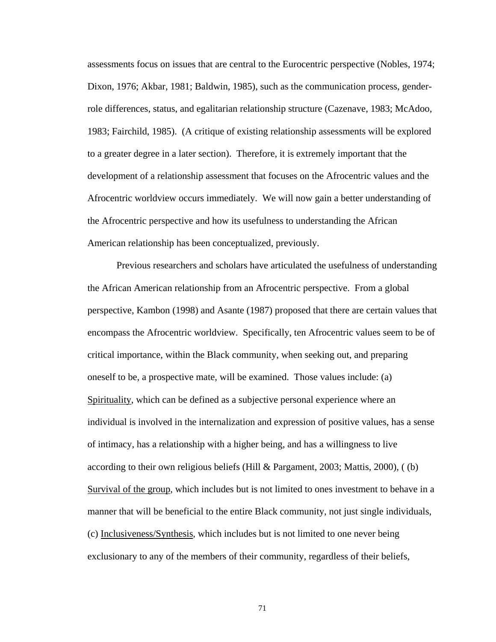assessments focus on issues that are central to the Eurocentric perspective (Nobles, 1974; Dixon, 1976; Akbar, 1981; Baldwin, 1985), such as the communication process, genderrole differences, status, and egalitarian relationship structure (Cazenave, 1983; McAdoo, 1983; Fairchild, 1985). (A critique of existing relationship assessments will be explored to a greater degree in a later section). Therefore, it is extremely important that the development of a relationship assessment that focuses on the Afrocentric values and the Afrocentric worldview occurs immediately. We will now gain a better understanding of the Afrocentric perspective and how its usefulness to understanding the African American relationship has been conceptualized, previously.

 Previous researchers and scholars have articulated the usefulness of understanding the African American relationship from an Afrocentric perspective. From a global perspective, Kambon (1998) and Asante (1987) proposed that there are certain values that encompass the Afrocentric worldview. Specifically, ten Afrocentric values seem to be of critical importance, within the Black community, when seeking out, and preparing oneself to be, a prospective mate, will be examined. Those values include: (a) Spirituality, which can be defined as a subjective personal experience where an individual is involved in the internalization and expression of positive values, has a sense of intimacy, has a relationship with a higher being, and has a willingness to live according to their own religious beliefs (Hill & Pargament, 2003; Mattis, 2000), ( (b) Survival of the group, which includes but is not limited to ones investment to behave in a manner that will be beneficial to the entire Black community, not just single individuals, (c) Inclusiveness/Synthesis, which includes but is not limited to one never being exclusionary to any of the members of their community, regardless of their beliefs,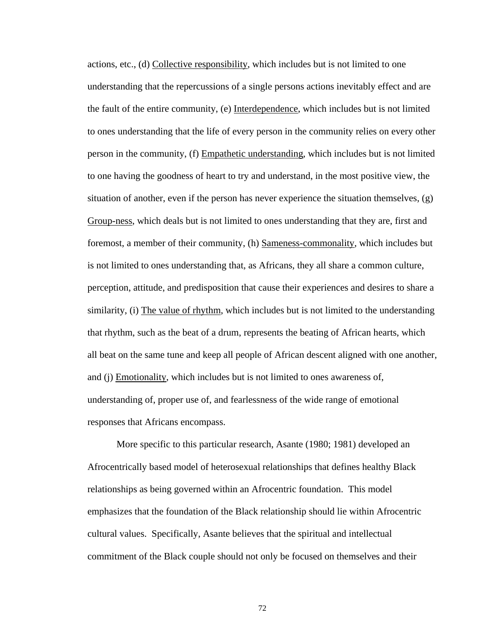actions, etc., (d) Collective responsibility, which includes but is not limited to one understanding that the repercussions of a single persons actions inevitably effect and are the fault of the entire community, (e) Interdependence, which includes but is not limited to ones understanding that the life of every person in the community relies on every other person in the community, (f) Empathetic understanding, which includes but is not limited to one having the goodness of heart to try and understand, in the most positive view, the situation of another, even if the person has never experience the situation themselves,  $(g)$ Group-ness, which deals but is not limited to ones understanding that they are, first and foremost, a member of their community, (h) Sameness-commonality, which includes but is not limited to ones understanding that, as Africans, they all share a common culture, perception, attitude, and predisposition that cause their experiences and desires to share a similarity, (i) The value of rhythm, which includes but is not limited to the understanding that rhythm, such as the beat of a drum, represents the beating of African hearts, which all beat on the same tune and keep all people of African descent aligned with one another, and (j) Emotionality, which includes but is not limited to ones awareness of, understanding of, proper use of, and fearlessness of the wide range of emotional responses that Africans encompass.

 More specific to this particular research, Asante (1980; 1981) developed an Afrocentrically based model of heterosexual relationships that defines healthy Black relationships as being governed within an Afrocentric foundation. This model emphasizes that the foundation of the Black relationship should lie within Afrocentric cultural values. Specifically, Asante believes that the spiritual and intellectual commitment of the Black couple should not only be focused on themselves and their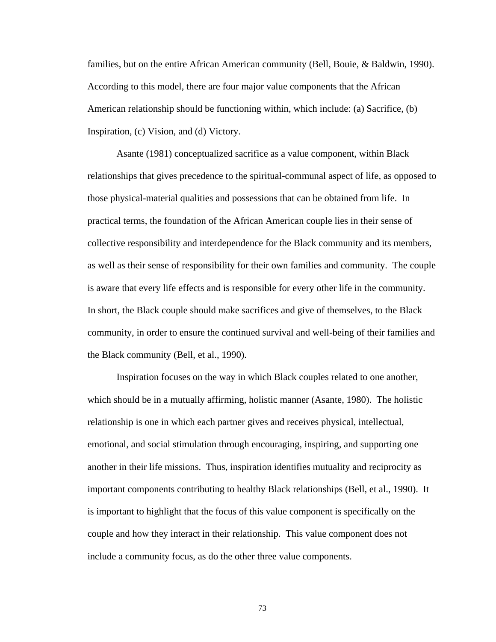families, but on the entire African American community (Bell, Bouie, & Baldwin, 1990). According to this model, there are four major value components that the African American relationship should be functioning within, which include: (a) Sacrifice, (b) Inspiration, (c) Vision, and (d) Victory.

 Asante (1981) conceptualized sacrifice as a value component, within Black relationships that gives precedence to the spiritual-communal aspect of life, as opposed to those physical-material qualities and possessions that can be obtained from life. In practical terms, the foundation of the African American couple lies in their sense of collective responsibility and interdependence for the Black community and its members, as well as their sense of responsibility for their own families and community. The couple is aware that every life effects and is responsible for every other life in the community. In short, the Black couple should make sacrifices and give of themselves, to the Black community, in order to ensure the continued survival and well-being of their families and the Black community (Bell, et al., 1990).

 Inspiration focuses on the way in which Black couples related to one another, which should be in a mutually affirming, holistic manner (Asante, 1980). The holistic relationship is one in which each partner gives and receives physical, intellectual, emotional, and social stimulation through encouraging, inspiring, and supporting one another in their life missions. Thus, inspiration identifies mutuality and reciprocity as important components contributing to healthy Black relationships (Bell, et al., 1990). It is important to highlight that the focus of this value component is specifically on the couple and how they interact in their relationship. This value component does not include a community focus, as do the other three value components.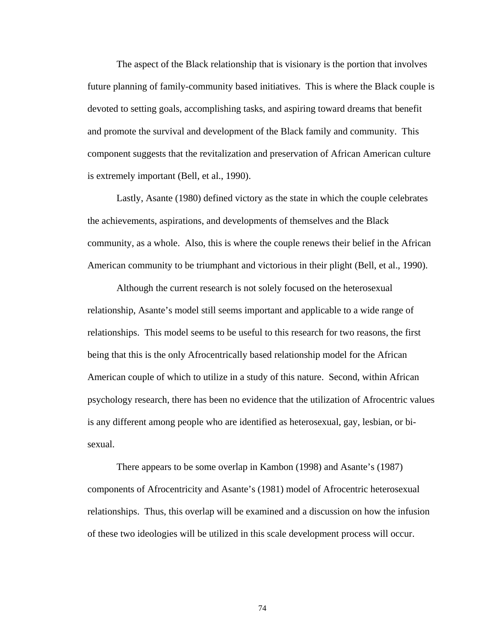The aspect of the Black relationship that is visionary is the portion that involves future planning of family-community based initiatives. This is where the Black couple is devoted to setting goals, accomplishing tasks, and aspiring toward dreams that benefit and promote the survival and development of the Black family and community. This component suggests that the revitalization and preservation of African American culture is extremely important (Bell, et al., 1990).

 Lastly, Asante (1980) defined victory as the state in which the couple celebrates the achievements, aspirations, and developments of themselves and the Black community, as a whole. Also, this is where the couple renews their belief in the African American community to be triumphant and victorious in their plight (Bell, et al., 1990).

 Although the current research is not solely focused on the heterosexual relationship, Asante's model still seems important and applicable to a wide range of relationships. This model seems to be useful to this research for two reasons, the first being that this is the only Afrocentrically based relationship model for the African American couple of which to utilize in a study of this nature. Second, within African psychology research, there has been no evidence that the utilization of Afrocentric values is any different among people who are identified as heterosexual, gay, lesbian, or bisexual.

 There appears to be some overlap in Kambon (1998) and Asante's (1987) components of Afrocentricity and Asante's (1981) model of Afrocentric heterosexual relationships. Thus, this overlap will be examined and a discussion on how the infusion of these two ideologies will be utilized in this scale development process will occur.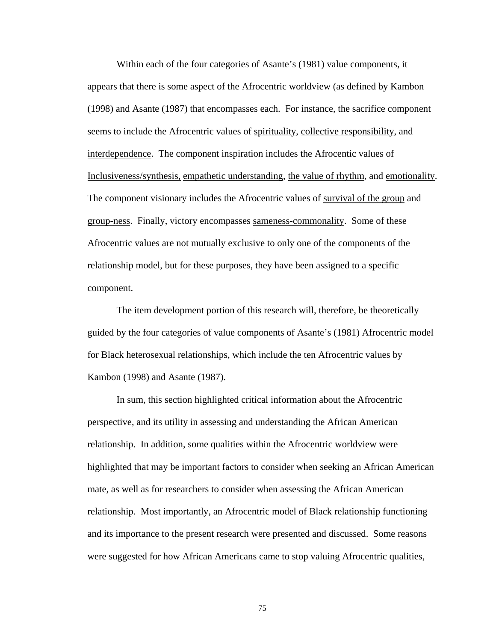Within each of the four categories of Asante's (1981) value components, it appears that there is some aspect of the Afrocentric worldview (as defined by Kambon (1998) and Asante (1987) that encompasses each. For instance, the sacrifice component seems to include the Afrocentric values of spirituality, collective responsibility, and interdependence. The component inspiration includes the Afrocentic values of Inclusiveness/synthesis, empathetic understanding, the value of rhythm, and emotionality. The component visionary includes the Afrocentric values of survival of the group and group-ness. Finally, victory encompasses sameness-commonality. Some of these Afrocentric values are not mutually exclusive to only one of the components of the relationship model, but for these purposes, they have been assigned to a specific component.

The item development portion of this research will, therefore, be theoretically guided by the four categories of value components of Asante's (1981) Afrocentric model for Black heterosexual relationships, which include the ten Afrocentric values by Kambon (1998) and Asante (1987).

 In sum, this section highlighted critical information about the Afrocentric perspective, and its utility in assessing and understanding the African American relationship. In addition, some qualities within the Afrocentric worldview were highlighted that may be important factors to consider when seeking an African American mate, as well as for researchers to consider when assessing the African American relationship. Most importantly, an Afrocentric model of Black relationship functioning and its importance to the present research were presented and discussed. Some reasons were suggested for how African Americans came to stop valuing Afrocentric qualities,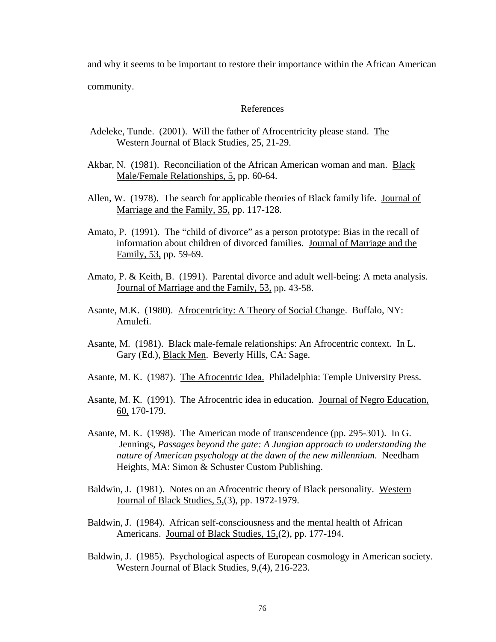and why it seems to be important to restore their importance within the African American community.

## References

- Adeleke, Tunde. (2001). Will the father of Afrocentricity please stand. The Western Journal of Black Studies, 25, 21-29.
- Akbar, N. (1981). Reconciliation of the African American woman and man. Black Male/Female Relationships, 5, pp. 60-64.
- Allen, W. (1978). The search for applicable theories of Black family life. Journal of Marriage and the Family, 35, pp. 117-128.
- Amato, P. (1991). The "child of divorce" as a person prototype: Bias in the recall of information about children of divorced families. Journal of Marriage and the Family, 53, pp. 59-69.
- Amato, P. & Keith, B. (1991). Parental divorce and adult well-being: A meta analysis. Journal of Marriage and the Family, 53, pp. 43-58.
- Asante, M.K. (1980). Afrocentricity: A Theory of Social Change. Buffalo, NY: Amulefi.
- Asante, M. (1981). Black male-female relationships: An Afrocentric context. In L. Gary (Ed.), Black Men. Beverly Hills, CA: Sage.
- Asante, M. K. (1987). The Afrocentric Idea. Philadelphia: Temple University Press.
- Asante, M. K. (1991). The Afrocentric idea in education. Journal of Negro Education, 60, 170-179.
- Asante, M. K. (1998). The American mode of transcendence (pp. 295-301). In G. Jennings, *Passages beyond the gate: A Jungian approach to understanding the nature of American psychology at the dawn of the new millennium*. Needham Heights, MA: Simon & Schuster Custom Publishing.
- Baldwin, J. (1981). Notes on an Afrocentric theory of Black personality. Western Journal of Black Studies, 5,(3), pp. 1972-1979.
- Baldwin, J. (1984). African self-consciousness and the mental health of African Americans. Journal of Black Studies, 15,(2), pp. 177-194.
- Baldwin, J. (1985). Psychological aspects of European cosmology in American society. Western Journal of Black Studies, 9,(4), 216-223.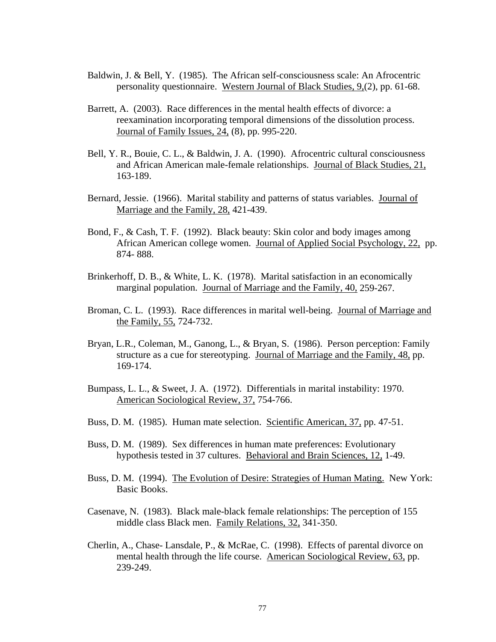- Baldwin, J. & Bell, Y. (1985). The African self-consciousness scale: An Afrocentric personality questionnaire. Western Journal of Black Studies, 9,(2), pp. 61-68.
- Barrett, A. (2003). Race differences in the mental health effects of divorce: a reexamination incorporating temporal dimensions of the dissolution process. Journal of Family Issues, 24, (8), pp. 995-220.
- Bell, Y. R., Bouie, C. L., & Baldwin, J. A. (1990). Afrocentric cultural consciousness and African American male-female relationships. Journal of Black Studies, 21, 163-189.
- Bernard, Jessie. (1966). Marital stability and patterns of status variables. Journal of Marriage and the Family, 28, 421-439.
- Bond, F., & Cash, T. F. (1992). Black beauty: Skin color and body images among African American college women. Journal of Applied Social Psychology, 22, pp. 874- 888.
- Brinkerhoff, D. B., & White, L. K. (1978). Marital satisfaction in an economically marginal population. Journal of Marriage and the Family, 40, 259-267.
- Broman, C. L. (1993). Race differences in marital well-being. Journal of Marriage and the Family, 55, 724-732.
- Bryan, L.R., Coleman, M., Ganong, L., & Bryan, S. (1986). Person perception: Family structure as a cue for stereotyping. Journal of Marriage and the Family, 48, pp. 169-174.
- Bumpass, L. L., & Sweet, J. A. (1972). Differentials in marital instability: 1970. American Sociological Review, 37, 754-766.
- Buss, D. M. (1985). Human mate selection. Scientific American, 37, pp. 47-51.
- Buss, D. M. (1989). Sex differences in human mate preferences: Evolutionary hypothesis tested in 37 cultures. Behavioral and Brain Sciences, 12, 1-49.
- Buss, D. M. (1994). The Evolution of Desire: Strategies of Human Mating. New York: Basic Books.
- Casenave, N. (1983). Black male-black female relationships: The perception of 155 middle class Black men. Family Relations, 32, 341-350.
- Cherlin, A., Chase- Lansdale, P., & McRae, C. (1998). Effects of parental divorce on mental health through the life course. American Sociological Review, 63, pp. 239-249.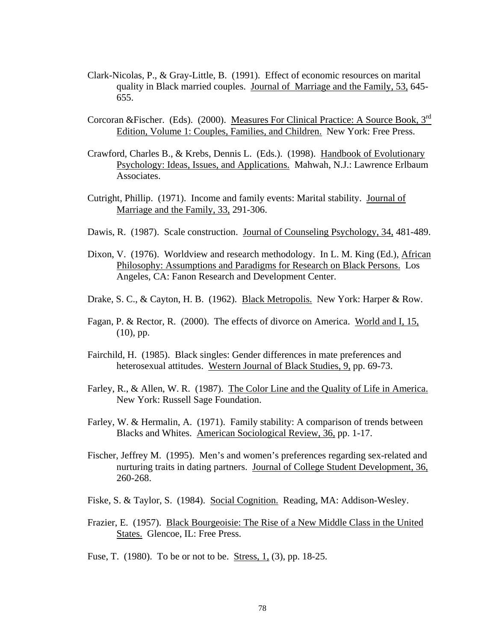- Clark-Nicolas, P., & Gray-Little, B. (1991). Effect of economic resources on marital quality in Black married couples. Journal of Marriage and the Family, 53, 645- 655.
- Corcoran &Fischer. (Eds). (2000). Measures For Clinical Practice: A Source Book, 3rd Edition, Volume 1: Couples, Families, and Children. New York: Free Press.
- Crawford, Charles B., & Krebs, Dennis L. (Eds.). (1998). Handbook of Evolutionary Psychology: Ideas, Issues, and Applications. Mahwah, N.J.: Lawrence Erlbaum Associates.
- Cutright, Phillip. (1971). Income and family events: Marital stability. Journal of Marriage and the Family, 33, 291-306.
- Dawis, R. (1987). Scale construction. Journal of Counseling Psychology, 34, 481-489.
- Dixon, V. (1976). Worldview and research methodology. In L. M. King (Ed.), African Philosophy: Assumptions and Paradigms for Research on Black Persons. Los Angeles, CA: Fanon Research and Development Center.
- Drake, S. C., & Cayton, H. B. (1962). Black Metropolis. New York: Harper & Row.
- Fagan, P. & Rector, R. (2000). The effects of divorce on America. World and I, 15,  $(10)$ , pp.
- Fairchild, H. (1985). Black singles: Gender differences in mate preferences and heterosexual attitudes. Western Journal of Black Studies, 9, pp. 69-73.
- Farley, R., & Allen, W. R. (1987). The Color Line and the Quality of Life in America. New York: Russell Sage Foundation.
- Farley, W. & Hermalin, A. (1971). Family stability: A comparison of trends between Blacks and Whites. American Sociological Review, 36, pp. 1-17.
- Fischer, Jeffrey M. (1995). Men's and women's preferences regarding sex-related and nurturing traits in dating partners. Journal of College Student Development, 36, 260-268.
- Fiske, S. & Taylor, S. (1984). Social Cognition. Reading, MA: Addison-Wesley.
- Frazier, E. (1957). Black Bourgeoisie: The Rise of a New Middle Class in the United States. Glencoe, IL: Free Press.
- Fuse, T. (1980). To be or not to be. Stress, 1, (3), pp. 18-25.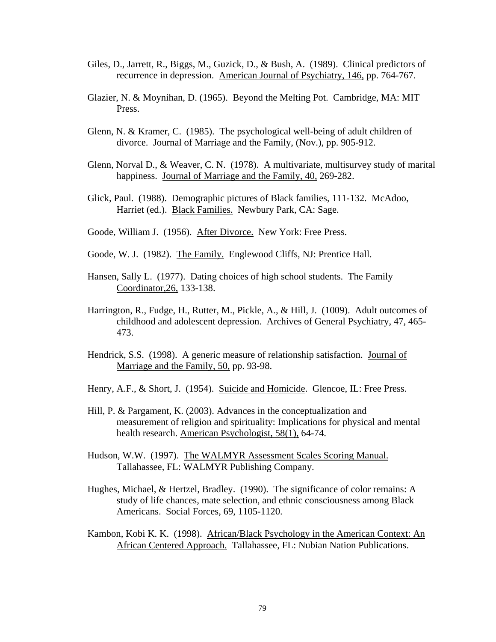- Giles, D., Jarrett, R., Biggs, M., Guzick, D., & Bush, A. (1989). Clinical predictors of recurrence in depression. American Journal of Psychiatry, 146, pp. 764-767.
- Glazier, N. & Moynihan, D. (1965). Beyond the Melting Pot. Cambridge, MA: MIT Press.
- Glenn, N. & Kramer, C. (1985). The psychological well-being of adult children of divorce. Journal of Marriage and the Family, (Nov.), pp. 905-912.
- Glenn, Norval D., & Weaver, C. N. (1978). A multivariate, multisurvey study of marital happiness. Journal of Marriage and the Family, 40, 269-282.
- Glick, Paul. (1988). Demographic pictures of Black families, 111-132. McAdoo, Harriet (ed.). Black Families. Newbury Park, CA: Sage.
- Goode, William J. (1956). After Divorce. New York: Free Press.
- Goode, W. J. (1982). The Family. Englewood Cliffs, NJ: Prentice Hall.
- Hansen, Sally L. (1977). Dating choices of high school students. The Family Coordinator,26, 133-138.
- Harrington, R., Fudge, H., Rutter, M., Pickle, A., & Hill, J. (1009). Adult outcomes of childhood and adolescent depression. Archives of General Psychiatry, 47, 465- 473.
- Hendrick, S.S. (1998). A generic measure of relationship satisfaction. Journal of Marriage and the Family, 50, pp. 93-98.
- Henry, A.F., & Short, J. (1954). Suicide and Homicide. Glencoe, IL: Free Press.
- Hill, P. & Pargament, K. (2003). Advances in the conceptualization and measurement of religion and spirituality: Implications for physical and mental health research. American Psychologist, 58(1), 64-74.
- Hudson, W.W. (1997). The WALMYR Assessment Scales Scoring Manual. Tallahassee, FL: WALMYR Publishing Company.
- Hughes, Michael, & Hertzel, Bradley. (1990). The significance of color remains: A study of life chances, mate selection, and ethnic consciousness among Black Americans. Social Forces, 69, 1105-1120.
- Kambon, Kobi K. K. (1998). African/Black Psychology in the American Context: An African Centered Approach. Tallahassee, FL: Nubian Nation Publications.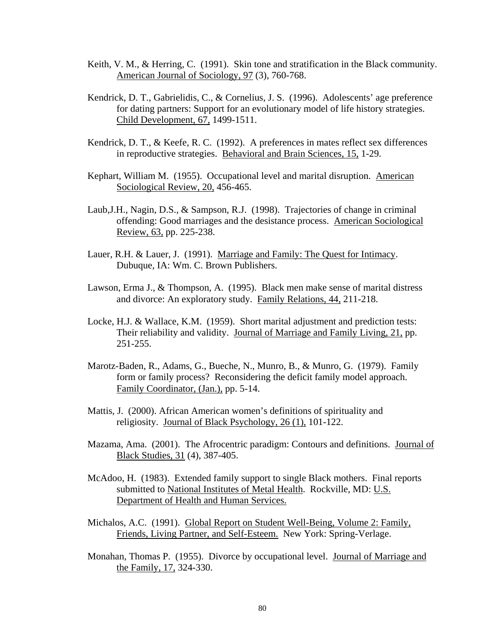- Keith, V. M., & Herring, C. (1991). Skin tone and stratification in the Black community. American Journal of Sociology, 97 (3), 760-768.
- Kendrick, D. T., Gabrielidis, C., & Cornelius, J. S. (1996). Adolescents' age preference for dating partners: Support for an evolutionary model of life history strategies. Child Development, 67, 1499-1511.
- Kendrick, D. T., & Keefe, R. C. (1992). A preferences in mates reflect sex differences in reproductive strategies. Behavioral and Brain Sciences, 15, 1-29.
- Kephart, William M. (1955). Occupational level and marital disruption. American Sociological Review, 20, 456-465.
- Laub,J.H., Nagin, D.S., & Sampson, R.J. (1998). Trajectories of change in criminal offending: Good marriages and the desistance process. American Sociological Review, 63, pp. 225-238.
- Lauer, R.H. & Lauer, J. (1991). Marriage and Family: The Quest for Intimacy. Dubuque, IA: Wm. C. Brown Publishers.
- Lawson, Erma J., & Thompson, A. (1995). Black men make sense of marital distress and divorce: An exploratory study. Family Relations, 44, 211-218.
- Locke, H.J. & Wallace, K.M. (1959). Short marital adjustment and prediction tests: Their reliability and validity. Journal of Marriage and Family Living, 21, pp. 251-255.
- Marotz-Baden, R., Adams, G., Bueche, N., Munro, B., & Munro, G. (1979). Family form or family process? Reconsidering the deficit family model approach. Family Coordinator, (Jan.), pp. 5-14.
- Mattis, J. (2000). African American women's definitions of spirituality and religiosity. Journal of Black Psychology, 26 (1), 101-122.
- Mazama, Ama. (2001). The Afrocentric paradigm: Contours and definitions. Journal of Black Studies, 31 (4), 387-405.
- McAdoo, H. (1983). Extended family support to single Black mothers. Final reports submitted to National Institutes of Metal Health. Rockville, MD: U.S. Department of Health and Human Services.
- Michalos, A.C. (1991). Global Report on Student Well-Being, Volume 2: Family, Friends, Living Partner, and Self-Esteem. New York: Spring-Verlage.
- Monahan, Thomas P. (1955). Divorce by occupational level. Journal of Marriage and the Family, 17, 324-330.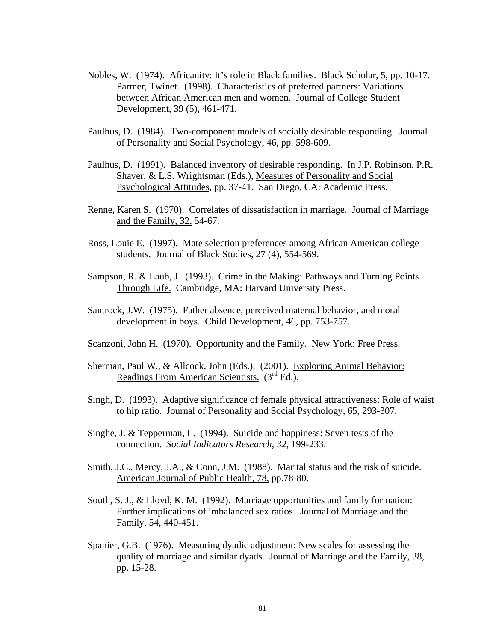- Nobles, W. (1974). Africanity: It's role in Black families. Black Scholar, 5, pp. 10-17. Parmer, Twinet. (1998). Characteristics of preferred partners: Variations between African American men and women. Journal of College Student Development, 39 (5), 461-471.
- Paulhus, D. (1984). Two-component models of socially desirable responding. Journal of Personality and Social Psychology, 46, pp. 598-609.
- Paulhus, D. (1991). Balanced inventory of desirable responding. In J.P. Robinson, P.R. Shaver, & L.S. Wrightsman (Eds.), Measures of Personality and Social Psychological Attitudes, pp. 37-41. San Diego, CA: Academic Press.
- Renne, Karen S. (1970). Correlates of dissatisfaction in marriage. Journal of Marriage and the Family, 32, 54-67.
- Ross, Louie E. (1997). Mate selection preferences among African American college students. Journal of Black Studies, 27 (4), 554-569.
- Sampson, R. & Laub, J. (1993). Crime in the Making: Pathways and Turning Points Through Life. Cambridge, MA: Harvard University Press.
- Santrock, J.W. (1975). Father absence, perceived maternal behavior, and moral development in boys. Child Development, 46, pp. 753-757.
- Scanzoni, John H. (1970). Opportunity and the Family. New York: Free Press.
- Sherman, Paul W., & Allcock, John (Eds.). (2001). Exploring Animal Behavior: Readings From American Scientists. (3<sup>rd</sup> Ed.).
- Singh, D. (1993). Adaptive significance of female physical attractiveness: Role of waist to hip ratio. Journal of Personality and Social Psychology, 65, 293-307.
- Singhe, J. & Tepperman, L. (1994). Suicide and happiness: Seven tests of the connection. *Social Indicators Research, 32*, 199-233.
- Smith, J.C., Mercy, J.A., & Conn, J.M. (1988). Marital status and the risk of suicide. American Journal of Public Health, 78, pp.78-80.
- South, S. J., & Lloyd, K. M. (1992). Marriage opportunities and family formation: Further implications of imbalanced sex ratios. Journal of Marriage and the Family, 54, 440-451.
- Spanier, G.B. (1976). Measuring dyadic adjustment: New scales for assessing the quality of marriage and similar dyads. Journal of Marriage and the Family, 38, pp. 15-28.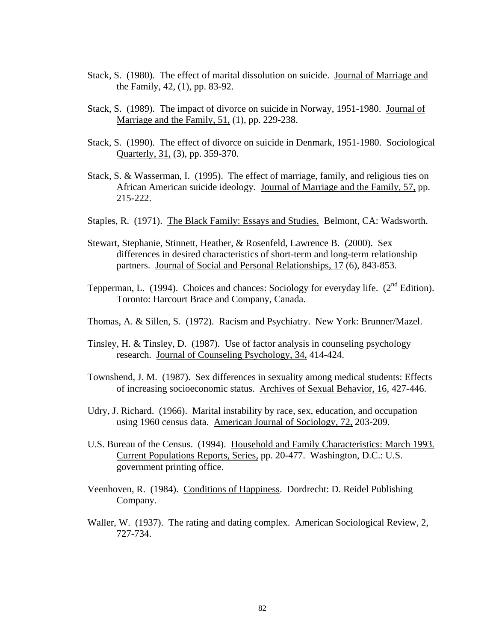- Stack, S. (1980). The effect of marital dissolution on suicide. Journal of Marriage and the Family, 42, (1), pp. 83-92.
- Stack, S. (1989). The impact of divorce on suicide in Norway, 1951-1980. Journal of Marriage and the Family, 51, (1), pp. 229-238.
- Stack, S. (1990). The effect of divorce on suicide in Denmark, 1951-1980. Sociological Quarterly, 31, (3), pp. 359-370.
- Stack, S. & Wasserman, I. (1995). The effect of marriage, family, and religious ties on African American suicide ideology. Journal of Marriage and the Family, 57, pp. 215-222.
- Staples, R. (1971). The Black Family: Essays and Studies. Belmont, CA: Wadsworth.
- Stewart, Stephanie, Stinnett, Heather, & Rosenfeld, Lawrence B. (2000). Sex differences in desired characteristics of short-term and long-term relationship partners. Journal of Social and Personal Relationships, 17 (6), 843-853.
- Tepperman, L. (1994). Choices and chances: Sociology for everyday life.  $(2<sup>nd</sup> Edition)$ . Toronto: Harcourt Brace and Company, Canada.
- Thomas, A. & Sillen, S. (1972). Racism and Psychiatry. New York: Brunner/Mazel.
- Tinsley, H. & Tinsley, D. (1987). Use of factor analysis in counseling psychology research. Journal of Counseling Psychology, 34, 414-424.
- Townshend, J. M. (1987). Sex differences in sexuality among medical students: Effects of increasing socioeconomic status. Archives of Sexual Behavior, 16, 427-446.
- Udry, J. Richard. (1966). Marital instability by race, sex, education, and occupation using 1960 census data. American Journal of Sociology, 72, 203-209.
- U.S. Bureau of the Census. (1994). Household and Family Characteristics: March 1993. Current Populations Reports, Series, pp. 20-477. Washington, D.C.: U.S. government printing office.
- Veenhoven, R. (1984). Conditions of Happiness. Dordrecht: D. Reidel Publishing Company.
- Waller, W. (1937). The rating and dating complex. American Sociological Review, 2, 727-734.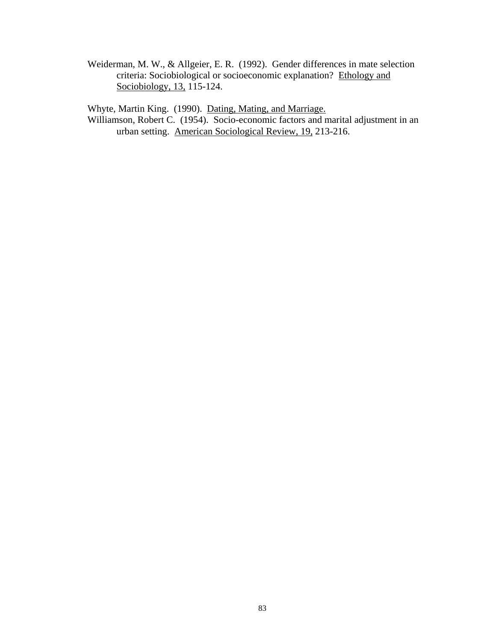Weiderman, M. W., & Allgeier, E. R. (1992). Gender differences in mate selection criteria: Sociobiological or socioeconomic explanation? Ethology and Sociobiology, 13, 115-124.

Whyte, Martin King. (1990). Dating, Mating, and Marriage.

Williamson, Robert C. (1954). Socio-economic factors and marital adjustment in an urban setting. American Sociological Review, 19, 213-216.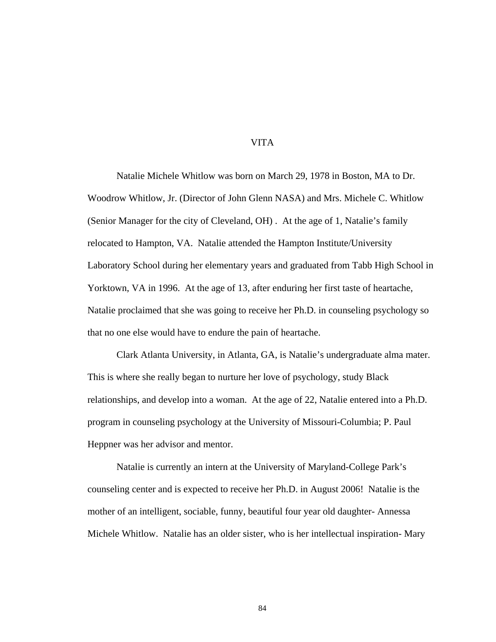## VITA

 Natalie Michele Whitlow was born on March 29, 1978 in Boston, MA to Dr. Woodrow Whitlow, Jr. (Director of John Glenn NASA) and Mrs. Michele C. Whitlow (Senior Manager for the city of Cleveland, OH) . At the age of 1, Natalie's family relocated to Hampton, VA. Natalie attended the Hampton Institute/University Laboratory School during her elementary years and graduated from Tabb High School in Yorktown, VA in 1996. At the age of 13, after enduring her first taste of heartache, Natalie proclaimed that she was going to receive her Ph.D. in counseling psychology so that no one else would have to endure the pain of heartache.

 Clark Atlanta University, in Atlanta, GA, is Natalie's undergraduate alma mater. This is where she really began to nurture her love of psychology, study Black relationships, and develop into a woman. At the age of 22, Natalie entered into a Ph.D. program in counseling psychology at the University of Missouri-Columbia; P. Paul Heppner was her advisor and mentor.

 Natalie is currently an intern at the University of Maryland-College Park's counseling center and is expected to receive her Ph.D. in August 2006! Natalie is the mother of an intelligent, sociable, funny, beautiful four year old daughter- Annessa Michele Whitlow. Natalie has an older sister, who is her intellectual inspiration- Mary